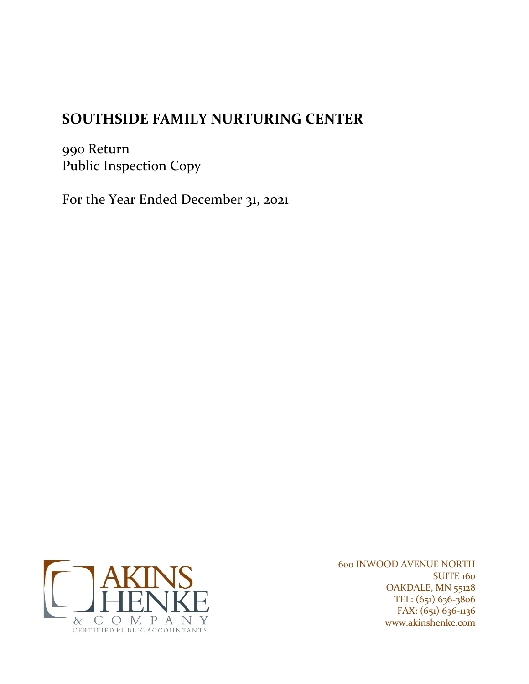# **SOUTHSIDE FAMILY NURTURING CENTER**

990 Return Public Inspection Copy

For the Year Ended December 31, 2021



600 INWOOD AVENUE NORTH **SUITE 160** OAKDALE, MN 55128 TEL: (651) 636-3806 FAX: (651) 636-1136 www.akinshenke.com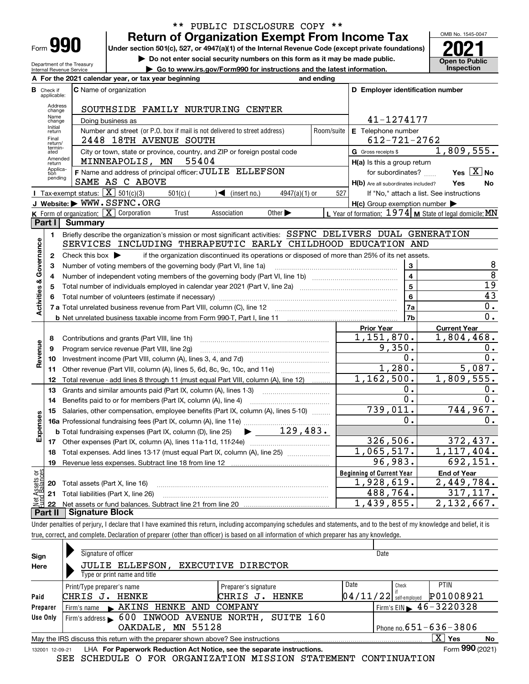| -orm |  |  |
|------|--|--|

Department of the Treasury Internal Revenue Service

### **Return of Organization Exempt From Income Tax** \*\* PUBLIC DISCLOSURE COPY \*\*

Under section 501(c), 527, or 4947(a)(1) of the Internal Revenue Code (except private foundations) **2021** 

**| Do not enter social security numbers on this form as it may be made public.**

**| Go to www.irs.gov/Form990 for instructions and the latest information. Inspection**



|                           |                         | A For the 2021 calendar year, or tax year beginning                                                                                     | and ending |                                                     |                                                         |
|---------------------------|-------------------------|-----------------------------------------------------------------------------------------------------------------------------------------|------------|-----------------------------------------------------|---------------------------------------------------------|
| в                         | Check if<br>applicable: | <b>C</b> Name of organization                                                                                                           |            | D Employer identification number                    |                                                         |
|                           | Address<br>change       | SOUTHSIDE FAMILY NURTURING CENTER                                                                                                       |            |                                                     |                                                         |
|                           | Name<br>change          | Doing business as                                                                                                                       |            | 41-1274177                                          |                                                         |
|                           | Initial<br>return       | Number and street (or P.O. box if mail is not delivered to street address)                                                              | Room/suite | E Telephone number                                  |                                                         |
|                           | Final<br>return/        | 2448 18TH AVENUE SOUTH                                                                                                                  |            | $612 - 721 - 2762$                                  |                                                         |
|                           | termin-<br>ated         | City or town, state or province, country, and ZIP or foreign postal code                                                                |            | G Gross receipts \$                                 | 1,809,555.                                              |
|                           | Amended<br>return       | 55404<br>MINNEAPOLIS, MN                                                                                                                |            | $H(a)$ is this a group return                       |                                                         |
|                           | Applica-<br>tion        | F Name and address of principal officer: JULIE ELLEFSON                                                                                 |            | for subordinates?                                   | Yes $X$ No                                              |
|                           | pending                 | SAME AS C ABOVE                                                                                                                         |            | H(b) Are all subordinates included?                 | Yes<br>No                                               |
|                           |                         | Tax-exempt status: $\boxed{\mathbf{X}}$ 501(c)(3)<br>$\sqrt{\frac{2}{1}}$ (insert no.)<br>$501(c)$ (<br>$4947(a)(1)$ or                 | 527        |                                                     | If "No," attach a list. See instructions                |
|                           |                         | J Website: WWW.SSFNC.ORG                                                                                                                |            | $H(c)$ Group exemption number $\blacktriangleright$ |                                                         |
|                           |                         | K Form of organization: $X$ Corporation<br>Association<br>Other $\blacktriangleright$<br>Trust                                          |            |                                                     | L Year of formation: 1974 M State of legal domicile: MN |
|                           | Part I                  | <b>Summary</b>                                                                                                                          |            |                                                     |                                                         |
|                           | 1                       | Briefly describe the organization's mission or most significant activities: SSFNC DELIVERS DUAL GENERATION                              |            |                                                     |                                                         |
|                           |                         | SERVICES INCLUDING THERAPEUTIC EARLY CHILDHOOD EDUCATION AND                                                                            |            |                                                     |                                                         |
| Activities & Governance   | $\mathbf{2}$            | Check this box $\blacktriangleright$<br>if the organization discontinued its operations or disposed of more than 25% of its net assets. |            |                                                     |                                                         |
|                           | з                       | Number of voting members of the governing body (Part VI, line 1a)                                                                       |            | 3                                                   | 8                                                       |
|                           | 4                       |                                                                                                                                         |            | $\overline{\mathbf{4}}$                             | $\overline{8}$                                          |
|                           | 5                       | Total number of individuals employed in calendar year 2021 (Part V, line 2a) manufacture of individuals                                 |            | $\overline{\mathbf{5}}$                             | $\overline{19}$                                         |
|                           |                         |                                                                                                                                         |            | $6\phantom{1}6$                                     | $\overline{43}$                                         |
|                           |                         |                                                                                                                                         |            | 7a                                                  | 0.                                                      |
|                           |                         | <b>b</b> Net unrelated business taxable income from Form 990-T, Part I, line 11 <i>maching manumumumumum</i>                            |            | 7b                                                  | 0.                                                      |
|                           |                         |                                                                                                                                         |            | <b>Prior Year</b>                                   | <b>Current Year</b>                                     |
|                           | 8                       | Contributions and grants (Part VIII, line 1h)                                                                                           |            | 1,151,870.<br>9,350.                                | 1,804,468.                                              |
|                           | 9                       | Program service revenue (Part VIII, line 2g)                                                                                            |            |                                                     | 0.<br>0.                                                |
| Revenue                   | 10                      |                                                                                                                                         |            | 0.<br>1,280.                                        | 5,087.                                                  |
|                           | 11                      | Other revenue (Part VIII, column (A), lines 5, 6d, 8c, 9c, 10c, and 11e)                                                                |            | 1,162,500.                                          | 1,809,555.                                              |
|                           | 12                      | Total revenue - add lines 8 through 11 (must equal Part VIII, column (A), line 12)                                                      |            | 0.                                                  |                                                         |
|                           | 13                      | Grants and similar amounts paid (Part IX, column (A), lines 1-3)                                                                        |            | 0.                                                  | 0.<br>0.                                                |
|                           | 14                      | Benefits paid to or for members (Part IX, column (A), line 4)                                                                           |            | 739,011.                                            | 744,967.                                                |
|                           | 15                      | Salaries, other compensation, employee benefits (Part IX, column (A), lines 5-10)                                                       |            | 0.                                                  | 0.                                                      |
| Expenses                  |                         | $\blacktriangleright$ 129,483.                                                                                                          |            |                                                     |                                                         |
|                           |                         | <b>b</b> Total fundraising expenses (Part IX, column (D), line 25)                                                                      |            | 326,506.                                            | 372,437.                                                |
|                           |                         |                                                                                                                                         |            | 1,065,517.                                          | 1,117,404.                                              |
|                           | 18                      | Total expenses. Add lines 13-17 (must equal Part IX, column (A), line 25)                                                               |            | 96,983.                                             | 692,151.                                                |
|                           | 19                      |                                                                                                                                         |            |                                                     |                                                         |
| bg                        |                         |                                                                                                                                         |            | <b>Beginning of Current Year</b><br>1,928,619.      | <b>End of Year</b><br>2,449,784.                        |
| Net Assets<br>Fund Balanc | 20                      | Total assets (Part X, line 16)                                                                                                          |            | 488,764.                                            | 317, 117.                                               |
|                           |                         | 21 Total liabilities (Part X, line 26)                                                                                                  |            | $\overline{1,439}$ , 855.                           | $\overline{2}$ , 132, 667.                              |
|                           |                         | Dart II   Cianature Block                                                                                                               |            |                                                     |                                                         |

**Part II Signature Block**

Under penalties of perjury, I declare that I have examined this return, including accompanying schedules and statements, and to the best of my knowledge and belief, it is true, correct, and complete. Declaration of preparer (other than officer) is based on all information of which preparer has any knowledge.

| Sign            | Signature of officer                                                            | Date                                          |                          |  |  |  |  |  |  |
|-----------------|---------------------------------------------------------------------------------|-----------------------------------------------|--------------------------|--|--|--|--|--|--|
| Here            | <b>JULIE ELLEFSON,</b><br><b>EXECUTIVE DIRECTOR</b>                             |                                               |                          |  |  |  |  |  |  |
|                 | Type or print name and title                                                    |                                               |                          |  |  |  |  |  |  |
|                 | Print/Type preparer's name<br>Preparer's signature                              | Date<br>Check                                 | <b>PTIN</b>              |  |  |  |  |  |  |
| Paid            | CHRIS J.<br>CHRIS<br>HENKE<br>HENKE<br>J.                                       | 04/11/22 <br>self-emploved                    | P01008921                |  |  |  |  |  |  |
| Preparer        | Firm's name AKINS HENKE AND<br>COMPANY                                          | Firm's EIN $\blacktriangleright$ 46 - 3220328 |                          |  |  |  |  |  |  |
| Use Only        | Firm's address 600 INWOOD AVENUE NORTH, SUITE 160                               |                                               |                          |  |  |  |  |  |  |
|                 | OAKDALE, MN 55128                                                               | Phone no. $651 - 636 - 3806$                  |                          |  |  |  |  |  |  |
|                 | May the IRS discuss this return with the preparer shown above? See instructions |                                               | $\overline{X}$ Yes<br>No |  |  |  |  |  |  |
| 132001 12-09-21 | LHA For Paperwork Reduction Act Notice, see the separate instructions.          |                                               | Form 990 (2021)          |  |  |  |  |  |  |
|                 | SEE SCHEDULE O FOR ORGANIZATION MISSION STATEMENT CONTINUATION                  |                                               |                          |  |  |  |  |  |  |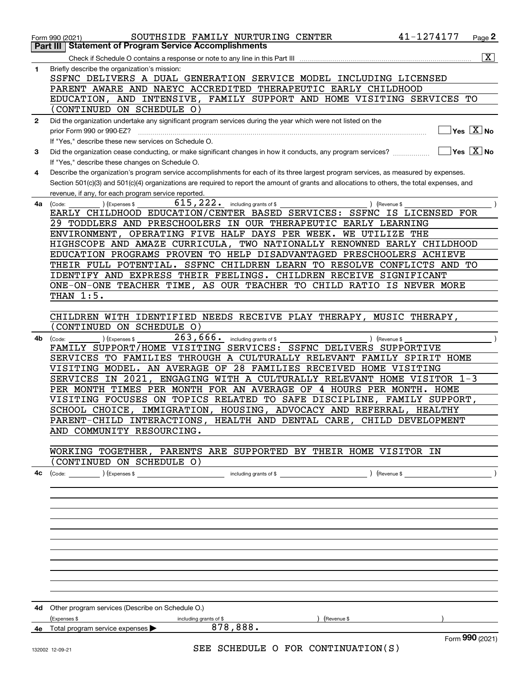|              | 41-1274177<br>SOUTHSIDE FAMILY NURTURING CENTER<br>Page 2<br>Form 990 (2021)                                                                                                            |                       |
|--------------|-----------------------------------------------------------------------------------------------------------------------------------------------------------------------------------------|-----------------------|
| Part III     | <b>Statement of Program Service Accomplishments</b>                                                                                                                                     |                       |
|              | Check if Schedule O contains a response or note to any line in this Part III                                                                                                            | $\overline{\text{X}}$ |
| 1            | Briefly describe the organization's mission:<br>SSFNC DELIVERS A DUAL GENERATION SERVICE MODEL INCLUDING LICENSED                                                                       |                       |
|              | PARENT AWARE AND NAEYC ACCREDITED THERAPEUTIC EARLY CHILDHOOD                                                                                                                           |                       |
|              | EDUCATION, AND INTENSIVE, FAMILY SUPPORT AND HOME VISITING SERVICES TO                                                                                                                  |                       |
|              | (CONTINUED ON SCHEDULE O)                                                                                                                                                               |                       |
| $\mathbf{2}$ | Did the organization undertake any significant program services during the year which were not listed on the                                                                            |                       |
|              | $Yes$ $X$ No<br>prior Form 990 or 990-EZ?                                                                                                                                               |                       |
|              | If "Yes," describe these new services on Schedule O.                                                                                                                                    |                       |
| 3            | ∣Yes │X │No<br>Did the organization cease conducting, or make significant changes in how it conducts, any program services?                                                             |                       |
| 4            | If "Yes," describe these changes on Schedule O.<br>Describe the organization's program service accomplishments for each of its three largest program services, as measured by expenses. |                       |
|              | Section 501(c)(3) and 501(c)(4) organizations are required to report the amount of grants and allocations to others, the total expenses, and                                            |                       |
|              | revenue, if any, for each program service reported.                                                                                                                                     |                       |
| 4a           | 615,222.<br>including grants of \$<br>) (Revenue \$<br>(Code:<br>(Expenses \$                                                                                                           |                       |
|              | EARLY CHILDHOOD EDUCATION/CENTER BASED SERVICES: SSFNC IS LICENSED FOR                                                                                                                  |                       |
|              | 29 TODDLERS AND PRESCHOOLERS IN OUR THERAPEUTIC EARLY LEARNING                                                                                                                          |                       |
|              | ENVIRONMENT, OPERATING FIVE HALF DAYS PER WEEK.<br>WE UTILIZE THE                                                                                                                       |                       |
|              | HIGHSCOPE AND AMAZE CURRICULA, TWO NATIONALLY RENOWNED EARLY CHILDHOOD<br>EDUCATION PROGRAMS PROVEN TO HELP DISADVANTAGED PRESCHOOLERS ACHIEVE                                          |                       |
|              | THEIR FULL POTENTIAL. SSFNC CHILDREN LEARN TO RESOLVE CONFLICTS AND TO                                                                                                                  |                       |
|              | IDENTIFY AND EXPRESS THEIR FEELINGS. CHILDREN RECEIVE SIGNIFICANT                                                                                                                       |                       |
|              | ONE-ON-ONE TEACHER TIME, AS OUR TEACHER TO CHILD RATIO IS NEVER MORE                                                                                                                    |                       |
|              | THAN 1:5.                                                                                                                                                                               |                       |
|              |                                                                                                                                                                                         |                       |
|              | CHILDREN WITH IDENTIFIED NEEDS RECEIVE PLAY THERAPY, MUSIC THERAPY,                                                                                                                     |                       |
|              | CONTINUED ON SCHEDULE O)<br>263,666.                                                                                                                                                    |                       |
| 4b           | ) (Expenses \$<br>including grants of \$<br>) (Revenue \$<br>(Code:<br>FAMILY SUPPORT/HOME VISITING SERVICES: SSFNC DELIVERS SUPPORTIVE                                                 |                       |
|              | SERVICES TO FAMILIES THROUGH A CULTURALLY RELEVANT FAMILY SPIRIT HOME                                                                                                                   |                       |
|              | VISITING MODEL. AN AVERAGE OF 28 FAMILIES RECEIVED HOME VISITING                                                                                                                        |                       |
|              | SERVICES IN 2021,<br>ENGAGING WITH A CULTURALLY RELEVANT HOME VISITOR 1-3                                                                                                               |                       |
|              | PER MONTH TIMES PER MONTH FOR AN AVERAGE OF 4 HOURS PER MONTH. HOME                                                                                                                     |                       |
|              | VISITING FOCUSES ON TOPICS RELATED TO SAFE DISCIPLINE, FAMILY SUPPORT,                                                                                                                  |                       |
|              | IMMIGRATION, HOUSING, ADVOCACY AND REFERRAL, HEALTHY<br>SCHOOL CHOICE,<br>PARENT-CHILD INTERACTIONS, HEALTH AND DENTAL CARE, CHILD DEVELOPMENT                                          |                       |
|              | AND COMMUNITY RESOURCING.                                                                                                                                                               |                       |
|              |                                                                                                                                                                                         |                       |
|              | WORKING TOGETHER, PARENTS ARE SUPPORTED BY THEIR HOME VISITOR IN                                                                                                                        |                       |
|              | CONTINUED ON SCHEDULE O)                                                                                                                                                                |                       |
| 4с           |                                                                                                                                                                                         |                       |
|              |                                                                                                                                                                                         |                       |
|              |                                                                                                                                                                                         |                       |
|              |                                                                                                                                                                                         |                       |
|              |                                                                                                                                                                                         |                       |
|              |                                                                                                                                                                                         |                       |
|              |                                                                                                                                                                                         |                       |
|              |                                                                                                                                                                                         |                       |
|              |                                                                                                                                                                                         |                       |
|              |                                                                                                                                                                                         |                       |
|              |                                                                                                                                                                                         |                       |
|              | 4d Other program services (Describe on Schedule O.)                                                                                                                                     |                       |
|              | (Expenses \$<br>$\sqrt{2}$ (Revenue \$<br>including grants of \$                                                                                                                        |                       |
|              | 878,888.<br>4e Total program service expenses $\blacktriangleright$                                                                                                                     |                       |
|              | Form 990 (2021)<br>SEE SCHEDULE O FOR CONTINUATION(S)<br>132002 12-09-21                                                                                                                |                       |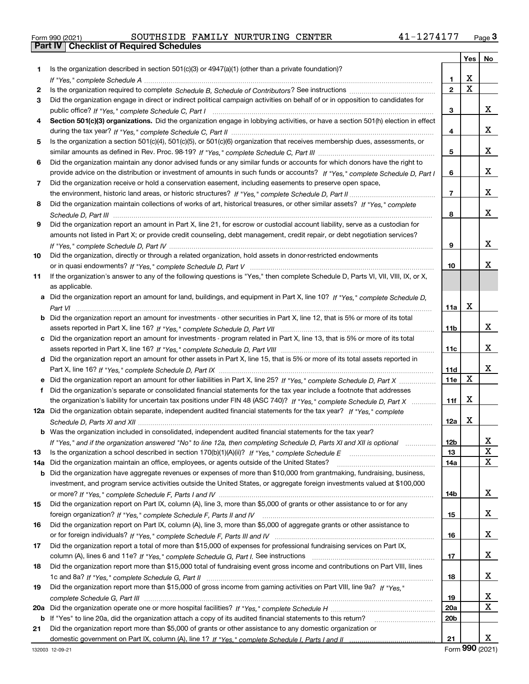|  | Form 990 (2021) |  |
|--|-----------------|--|

|     |                                                                                                                                       |                 |                         | Yes   No                |
|-----|---------------------------------------------------------------------------------------------------------------------------------------|-----------------|-------------------------|-------------------------|
| 1.  | Is the organization described in section $501(c)(3)$ or $4947(a)(1)$ (other than a private foundation)?                               |                 |                         |                         |
|     |                                                                                                                                       | 1               | х                       |                         |
| 2   |                                                                                                                                       | $\overline{2}$  | $\overline{\mathbf{x}}$ |                         |
| 3   | Did the organization engage in direct or indirect political campaign activities on behalf of or in opposition to candidates for       |                 |                         |                         |
|     |                                                                                                                                       | 3               |                         | x                       |
| 4   | Section 501(c)(3) organizations. Did the organization engage in lobbying activities, or have a section 501(h) election in effect      |                 |                         |                         |
|     |                                                                                                                                       | 4               |                         | x                       |
| 5   | Is the organization a section 501(c)(4), 501(c)(5), or 501(c)(6) organization that receives membership dues, assessments, or          |                 |                         |                         |
|     |                                                                                                                                       | 5               |                         | x                       |
| 6   | Did the organization maintain any donor advised funds or any similar funds or accounts for which donors have the right to             |                 |                         |                         |
|     | provide advice on the distribution or investment of amounts in such funds or accounts? If "Yes," complete Schedule D, Part I          | 6               |                         | x                       |
| 7   | Did the organization receive or hold a conservation easement, including easements to preserve open space,                             |                 |                         |                         |
|     |                                                                                                                                       | $\overline{7}$  |                         | x                       |
| 8   | Did the organization maintain collections of works of art, historical treasures, or other similar assets? If "Yes," complete          |                 |                         |                         |
|     |                                                                                                                                       | 8               |                         | x                       |
| 9   | Did the organization report an amount in Part X, line 21, for escrow or custodial account liability, serve as a custodian for         |                 |                         |                         |
|     | amounts not listed in Part X; or provide credit counseling, debt management, credit repair, or debt negotiation services?             |                 |                         |                         |
|     |                                                                                                                                       | 9               |                         | x                       |
| 10  | Did the organization, directly or through a related organization, hold assets in donor-restricted endowments                          |                 |                         |                         |
|     |                                                                                                                                       | 10              |                         | х                       |
| 11  | If the organization's answer to any of the following questions is "Yes," then complete Schedule D, Parts VI, VII, VIII, IX, or X,     |                 |                         |                         |
|     | as applicable.                                                                                                                        |                 |                         |                         |
|     | a Did the organization report an amount for land, buildings, and equipment in Part X, line 10? If "Yes." complete Schedule D.         |                 |                         |                         |
|     |                                                                                                                                       | 11a             | х                       |                         |
|     | <b>b</b> Did the organization report an amount for investments - other securities in Part X, line 12, that is 5% or more of its total |                 |                         |                         |
|     |                                                                                                                                       | 11b             |                         | x                       |
|     | c Did the organization report an amount for investments - program related in Part X, line 13, that is 5% or more of its total         |                 |                         | x                       |
|     |                                                                                                                                       | 11c             |                         |                         |
|     | d Did the organization report an amount for other assets in Part X, line 15, that is 5% or more of its total assets reported in       | 11d             |                         | x                       |
|     | e Did the organization report an amount for other liabilities in Part X, line 25? If "Yes," complete Schedule D, Part X               | <b>11e</b>      | X                       |                         |
| f   | Did the organization's separate or consolidated financial statements for the tax year include a footnote that addresses               |                 |                         |                         |
|     | the organization's liability for uncertain tax positions under FIN 48 (ASC 740)? If "Yes," complete Schedule D, Part X                | 11f             | х                       |                         |
|     | 12a Did the organization obtain separate, independent audited financial statements for the tax year? If "Yes," complete               |                 |                         |                         |
|     |                                                                                                                                       | 12a             | х                       |                         |
|     | <b>b</b> Was the organization included in consolidated, independent audited financial statements for the tax year?                    |                 |                         |                         |
|     | If "Yes," and if the organization answered "No" to line 12a, then completing Schedule D, Parts XI and XII is optional                 | 12 <sub>b</sub> |                         | 44                      |
| 13  |                                                                                                                                       | 13              |                         | X                       |
| 14a | Did the organization maintain an office, employees, or agents outside of the United States?                                           | 14a             |                         | X                       |
|     | <b>b</b> Did the organization have aggregate revenues or expenses of more than \$10,000 from grantmaking, fundraising, business,      |                 |                         |                         |
|     | investment, and program service activities outside the United States, or aggregate foreign investments valued at \$100,000            |                 |                         |                         |
|     |                                                                                                                                       | 14b             |                         | X                       |
| 15  | Did the organization report on Part IX, column (A), line 3, more than \$5,000 of grants or other assistance to or for any             |                 |                         |                         |
|     |                                                                                                                                       | 15              |                         | x                       |
| 16  | Did the organization report on Part IX, column (A), line 3, more than \$5,000 of aggregate grants or other assistance to              |                 |                         |                         |
|     |                                                                                                                                       | 16              |                         | X                       |
| 17  | Did the organization report a total of more than \$15,000 of expenses for professional fundraising services on Part IX,               |                 |                         |                         |
|     |                                                                                                                                       | 17              |                         | X                       |
| 18  | Did the organization report more than \$15,000 total of fundraising event gross income and contributions on Part VIII, lines          |                 |                         |                         |
|     |                                                                                                                                       | 18              |                         | X                       |
| 19  | Did the organization report more than \$15,000 of gross income from gaming activities on Part VIII, line 9a? If "Yes."                |                 |                         |                         |
|     |                                                                                                                                       | 19              |                         | $\overline{\mathbf{x}}$ |
| 20a |                                                                                                                                       | 20a             |                         | $\overline{\mathbf{x}}$ |
|     | b If "Yes" to line 20a, did the organization attach a copy of its audited financial statements to this return?                        | 20 <sub>b</sub> |                         |                         |
| 21  | Did the organization report more than \$5,000 of grants or other assistance to any domestic organization or                           |                 |                         |                         |
|     |                                                                                                                                       | 21              |                         | x                       |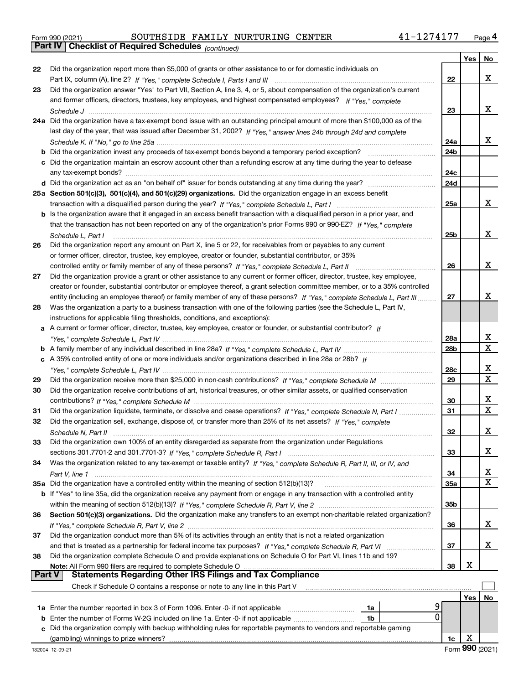|  | Form 990 (2021) |
|--|-----------------|
|  |                 |

|        |                                                                                                                                                                                                             |                 | Yes | No          |
|--------|-------------------------------------------------------------------------------------------------------------------------------------------------------------------------------------------------------------|-----------------|-----|-------------|
| 22     | Did the organization report more than \$5,000 of grants or other assistance to or for domestic individuals on                                                                                               |                 |     |             |
|        |                                                                                                                                                                                                             | 22              |     | x           |
| 23     | Did the organization answer "Yes" to Part VII, Section A, line 3, 4, or 5, about compensation of the organization's current                                                                                 |                 |     |             |
|        | and former officers, directors, trustees, key employees, and highest compensated employees? If "Yes," complete                                                                                              |                 |     |             |
|        |                                                                                                                                                                                                             | 23              |     | x           |
|        | 24a Did the organization have a tax-exempt bond issue with an outstanding principal amount of more than \$100,000 as of the                                                                                 |                 |     |             |
|        | last day of the year, that was issued after December 31, 2002? If "Yes," answer lines 24b through 24d and complete                                                                                          |                 |     |             |
|        |                                                                                                                                                                                                             | 24a             |     | x           |
|        | <b>b</b> Did the organization invest any proceeds of tax-exempt bonds beyond a temporary period exception?                                                                                                  | 24 <sub>b</sub> |     |             |
|        | c Did the organization maintain an escrow account other than a refunding escrow at any time during the year to defease                                                                                      |                 |     |             |
|        | any tax-exempt bonds?                                                                                                                                                                                       | 24c             |     |             |
|        |                                                                                                                                                                                                             | 24d             |     |             |
|        | 25a Section 501(c)(3), 501(c)(4), and 501(c)(29) organizations. Did the organization engage in an excess benefit                                                                                            |                 |     |             |
|        |                                                                                                                                                                                                             | 25a             |     | x           |
|        | b Is the organization aware that it engaged in an excess benefit transaction with a disqualified person in a prior year, and                                                                                |                 |     |             |
|        | that the transaction has not been reported on any of the organization's prior Forms 990 or 990-EZ? If "Yes," complete                                                                                       |                 |     |             |
|        | Schedule L, Part I                                                                                                                                                                                          | 25b             |     | x           |
| 26     | Did the organization report any amount on Part X, line 5 or 22, for receivables from or payables to any current                                                                                             |                 |     |             |
|        | or former officer, director, trustee, key employee, creator or founder, substantial contributor, or 35%                                                                                                     |                 |     |             |
|        | controlled entity or family member of any of these persons? If "Yes," complete Schedule L, Part II                                                                                                          | 26              |     | x           |
| 27     | Did the organization provide a grant or other assistance to any current or former officer, director, trustee, key employee,                                                                                 |                 |     |             |
|        | creator or founder, substantial contributor or employee thereof, a grant selection committee member, or to a 35% controlled                                                                                 |                 |     | x           |
|        | entity (including an employee thereof) or family member of any of these persons? If "Yes," complete Schedule L, Part III                                                                                    | 27              |     |             |
| 28     | Was the organization a party to a business transaction with one of the following parties (see the Schedule L, Part IV,                                                                                      |                 |     |             |
|        | instructions for applicable filing thresholds, conditions, and exceptions):                                                                                                                                 |                 |     |             |
| а      | A current or former officer, director, trustee, key employee, creator or founder, or substantial contributor? If                                                                                            | 28a             |     | х           |
|        |                                                                                                                                                                                                             | 28 <sub>b</sub> |     | $\mathbf X$ |
|        | c A 35% controlled entity of one or more individuals and/or organizations described in line 28a or 28b? If                                                                                                  |                 |     |             |
|        |                                                                                                                                                                                                             | 28c             |     | х           |
| 29     |                                                                                                                                                                                                             | 29              |     | X           |
| 30     | Did the organization receive contributions of art, historical treasures, or other similar assets, or qualified conservation                                                                                 |                 |     |             |
|        |                                                                                                                                                                                                             | 30              |     | х           |
| 31     | Did the organization liquidate, terminate, or dissolve and cease operations? If "Yes," complete Schedule N, Part I                                                                                          | 31              |     | X           |
| 32     | Did the organization sell, exchange, dispose of, or transfer more than 25% of its net assets? If "Yes," complete                                                                                            |                 |     |             |
|        |                                                                                                                                                                                                             | 32              |     | x           |
| 33     | Did the organization own 100% of an entity disregarded as separate from the organization under Regulations                                                                                                  |                 |     |             |
|        |                                                                                                                                                                                                             | 33              |     | x           |
| 34     | Was the organization related to any tax-exempt or taxable entity? If "Yes," complete Schedule R, Part II, III, or IV, and                                                                                   |                 |     |             |
|        |                                                                                                                                                                                                             | 34              |     | х           |
|        | 35a Did the organization have a controlled entity within the meaning of section 512(b)(13)?                                                                                                                 | 35a             |     | X           |
|        | b If "Yes" to line 35a, did the organization receive any payment from or engage in any transaction with a controlled entity                                                                                 |                 |     |             |
|        |                                                                                                                                                                                                             | 35b             |     |             |
| 36     | Section 501(c)(3) organizations. Did the organization make any transfers to an exempt non-charitable related organization?                                                                                  |                 |     |             |
|        |                                                                                                                                                                                                             | 36              |     | x           |
| 37     | Did the organization conduct more than 5% of its activities through an entity that is not a related organization                                                                                            |                 |     |             |
|        |                                                                                                                                                                                                             | 37              |     | x           |
| 38     | Did the organization complete Schedule O and provide explanations on Schedule O for Part VI, lines 11b and 19?                                                                                              |                 |     |             |
|        |                                                                                                                                                                                                             | 38              | х   |             |
| Part V | <b>Statements Regarding Other IRS Filings and Tax Compliance</b>                                                                                                                                            |                 |     |             |
|        | Check if Schedule O contains a response or note to any line in this Part V                                                                                                                                  |                 |     |             |
|        |                                                                                                                                                                                                             |                 | Yes | No          |
|        | 9<br>1a Enter the number reported in box 3 of Form 1096. Enter -0- if not applicable<br>1a<br>0                                                                                                             |                 |     |             |
| b      | Enter the number of Forms W-2G included on line 1a. Enter -0- if not applicable<br>1b<br>Did the organization comply with backup withholding rules for reportable payments to vendors and reportable gaming |                 |     |             |
| c      |                                                                                                                                                                                                             |                 | х   |             |
|        |                                                                                                                                                                                                             | 1c              |     |             |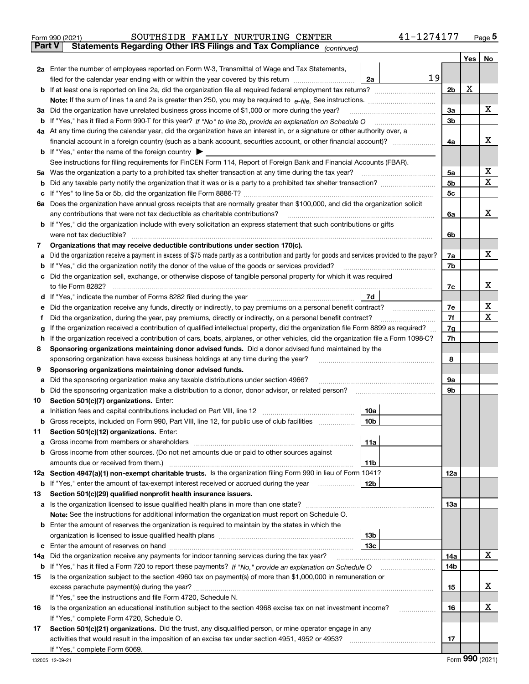|        | 41-1274177<br>SOUTHSIDE FAMILY NURTURING CENTER<br>Form 990 (2021)                                                                                                                                                                    |                |     | $_{\text{Page}}$ 5 |
|--------|---------------------------------------------------------------------------------------------------------------------------------------------------------------------------------------------------------------------------------------|----------------|-----|--------------------|
| Part V | Statements Regarding Other IRS Filings and Tax Compliance (continued)                                                                                                                                                                 |                |     |                    |
|        |                                                                                                                                                                                                                                       |                | Yes | No                 |
|        | 2a Enter the number of employees reported on Form W-3, Transmittal of Wage and Tax Statements,                                                                                                                                        |                |     |                    |
|        | 19<br>filed for the calendar year ending with or within the year covered by this return<br>2a                                                                                                                                         |                |     |                    |
|        |                                                                                                                                                                                                                                       | 2 <sub>b</sub> | х   |                    |
|        |                                                                                                                                                                                                                                       |                |     |                    |
| За     | Did the organization have unrelated business gross income of \$1,000 or more during the year?                                                                                                                                         | 3a             |     | х                  |
| b      |                                                                                                                                                                                                                                       | 3 <sub>b</sub> |     |                    |
|        | 4a At any time during the calendar year, did the organization have an interest in, or a signature or other authority over, a                                                                                                          |                |     |                    |
|        |                                                                                                                                                                                                                                       | 4a             |     | x                  |
|        | <b>b</b> If "Yes," enter the name of the foreign country $\blacktriangleright$                                                                                                                                                        |                |     |                    |
|        | See instructions for filing requirements for FinCEN Form 114, Report of Foreign Bank and Financial Accounts (FBAR).                                                                                                                   |                |     |                    |
| 5a     | Was the organization a party to a prohibited tax shelter transaction at any time during the tax year?                                                                                                                                 | 5a             |     | х                  |
| b      |                                                                                                                                                                                                                                       | 5 <sub>b</sub> |     | X                  |
| c      |                                                                                                                                                                                                                                       | 5c             |     |                    |
|        | 6a Does the organization have annual gross receipts that are normally greater than \$100,000, and did the organization solicit                                                                                                        |                |     |                    |
|        |                                                                                                                                                                                                                                       | 6a             |     | x                  |
|        | b If "Yes," did the organization include with every solicitation an express statement that such contributions or gifts                                                                                                                |                |     |                    |
|        | were not tax deductible?                                                                                                                                                                                                              | 6b             |     |                    |
| 7      | Organizations that may receive deductible contributions under section 170(c).                                                                                                                                                         |                |     |                    |
| a      | Did the organization receive a payment in excess of \$75 made partly as a contribution and partly for goods and services provided to the payor?                                                                                       | 7a             |     | x                  |
| b      | If "Yes," did the organization notify the donor of the value of the goods or services provided?                                                                                                                                       | 7b             |     |                    |
|        | Did the organization sell, exchange, or otherwise dispose of tangible personal property for which it was required                                                                                                                     |                |     |                    |
|        |                                                                                                                                                                                                                                       | 7c             |     | x                  |
| d      | 7d                                                                                                                                                                                                                                    |                |     |                    |
| е      | Did the organization receive any funds, directly or indirectly, to pay premiums on a personal benefit contract?                                                                                                                       | 7e             |     | х                  |
| f      | Did the organization, during the year, pay premiums, directly or indirectly, on a personal benefit contract?                                                                                                                          | 7f             |     | X                  |
| g      | If the organization received a contribution of qualified intellectual property, did the organization file Form 8899 as required?                                                                                                      | 7g             |     |                    |
| h      | If the organization received a contribution of cars, boats, airplanes, or other vehicles, did the organization file a Form 1098-C?                                                                                                    | 7h             |     |                    |
| 8      | Sponsoring organizations maintaining donor advised funds. Did a donor advised fund maintained by the                                                                                                                                  |                |     |                    |
|        | sponsoring organization have excess business holdings at any time during the year?                                                                                                                                                    | 8              |     |                    |
| 9      | Sponsoring organizations maintaining donor advised funds.                                                                                                                                                                             |                |     |                    |
| a      | Did the sponsoring organization make any taxable distributions under section 4966?                                                                                                                                                    | 9а             |     |                    |
| b      | Did the sponsoring organization make a distribution to a donor, donor advisor, or related person?                                                                                                                                     | 9b             |     |                    |
| 10     | Section 501(c)(7) organizations. Enter:                                                                                                                                                                                               |                |     |                    |
|        | 10a<br>a Initiation fees and capital contributions included on Part VIII, line 12 [111] [11] [12] [11] [12] [11] [12] [11] [12] [11] [12] [11] [12] [11] [12] [11] [12] [11] [12] [11] [12] [11] [12] [11] [12] [11] [12] [11] [12] [ |                |     |                    |
|        | 10b<br>Gross receipts, included on Form 990, Part VIII, line 12, for public use of club facilities                                                                                                                                    |                |     |                    |
| 11     | Section 501(c)(12) organizations. Enter:                                                                                                                                                                                              |                |     |                    |
| а      | 11a<br>Gross income from members or shareholders                                                                                                                                                                                      |                |     |                    |
| b      | Gross income from other sources. (Do not net amounts due or paid to other sources against                                                                                                                                             |                |     |                    |
|        | 11 <sub>b</sub><br>amounts due or received from them.)                                                                                                                                                                                |                |     |                    |
|        | 12a Section 4947(a)(1) non-exempt charitable trusts. Is the organization filing Form 990 in lieu of Form 1041?                                                                                                                        | <b>12a</b>     |     |                    |
|        | <b>b</b> If "Yes," enter the amount of tax-exempt interest received or accrued during the year<br>12 <sub>b</sub>                                                                                                                     |                |     |                    |
| 13     | Section 501(c)(29) qualified nonprofit health insurance issuers.                                                                                                                                                                      |                |     |                    |
|        | a Is the organization licensed to issue qualified health plans in more than one state?                                                                                                                                                | 13a            |     |                    |
|        | Note: See the instructions for additional information the organization must report on Schedule O.                                                                                                                                     |                |     |                    |
|        | <b>b</b> Enter the amount of reserves the organization is required to maintain by the states in which the                                                                                                                             |                |     |                    |
|        | 13 <sub>b</sub>                                                                                                                                                                                                                       |                |     |                    |
| c      | 13 <sub>c</sub>                                                                                                                                                                                                                       |                |     |                    |
| 14a    | Did the organization receive any payments for indoor tanning services during the tax year?                                                                                                                                            | 14a            |     | x                  |
|        |                                                                                                                                                                                                                                       | 14b            |     |                    |
| 15     | Is the organization subject to the section 4960 tax on payment(s) of more than \$1,000,000 in remuneration or                                                                                                                         |                |     |                    |
|        |                                                                                                                                                                                                                                       | 15             |     | х                  |
|        | If "Yes," see the instructions and file Form 4720, Schedule N.                                                                                                                                                                        |                |     |                    |
| 16     | Is the organization an educational institution subject to the section 4968 excise tax on net investment income?                                                                                                                       | 16             |     | х                  |
|        | If "Yes," complete Form 4720, Schedule O.                                                                                                                                                                                             |                |     |                    |
| 17     | Section 501(c)(21) organizations. Did the trust, any disqualified person, or mine operator engage in any                                                                                                                              |                |     |                    |
|        | activities that would result in the imposition of an excise tax under section 4951, 4952 or 4953?                                                                                                                                     | 17             |     |                    |
|        | If "Yes," complete Form 6069.                                                                                                                                                                                                         |                |     |                    |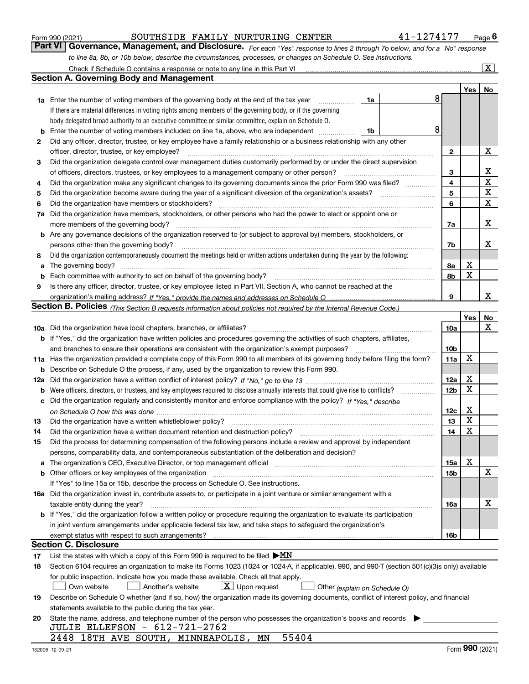|          | to line 8a, 8b, or 10b below, describe the circumstances, processes, or changes on Schedule O. See instructions.                                                                                                                                          |                        |     |                         |
|----------|-----------------------------------------------------------------------------------------------------------------------------------------------------------------------------------------------------------------------------------------------------------|------------------------|-----|-------------------------|
|          | Check if Schedule O contains a response or note to any line in this Part VI                                                                                                                                                                               |                        |     | $\overline{\mathtt{x}}$ |
|          | Section A. Governing Body and Management                                                                                                                                                                                                                  |                        |     |                         |
|          |                                                                                                                                                                                                                                                           |                        | Yes | No                      |
|          | 8<br>1a Enter the number of voting members of the governing body at the end of the tax year<br>1a                                                                                                                                                         |                        |     |                         |
|          | If there are material differences in voting rights among members of the governing body, or if the governing                                                                                                                                               |                        |     |                         |
|          | body delegated broad authority to an executive committee or similar committee, explain on Schedule O.                                                                                                                                                     |                        |     |                         |
| b        | 8<br>Enter the number of voting members included on line 1a, above, who are independent<br>1b                                                                                                                                                             |                        |     |                         |
| 2        | Did any officer, director, trustee, or key employee have a family relationship or a business relationship with any other                                                                                                                                  |                        |     |                         |
|          | officer, director, trustee, or key employee?                                                                                                                                                                                                              | $\mathbf{2}$           |     | х                       |
| 3        | Did the organization delegate control over management duties customarily performed by or under the direct supervision                                                                                                                                     |                        |     |                         |
|          | of officers, directors, trustees, or key employees to a management company or other person?                                                                                                                                                               | 3                      |     | X                       |
| 4        | Did the organization make any significant changes to its governing documents since the prior Form 990 was filed?                                                                                                                                          | 4                      |     | Х                       |
| 5        |                                                                                                                                                                                                                                                           | 5                      |     | x                       |
| 6        | Did the organization have members or stockholders?                                                                                                                                                                                                        | 6                      |     | x                       |
| 7a       | Did the organization have members, stockholders, or other persons who had the power to elect or appoint one or                                                                                                                                            |                        |     |                         |
|          | more members of the governing body?                                                                                                                                                                                                                       | 7a                     |     | х                       |
| b        | Are any governance decisions of the organization reserved to (or subject to approval by) members, stockholders, or                                                                                                                                        |                        |     |                         |
|          | persons other than the governing body?                                                                                                                                                                                                                    | 7b                     |     | х                       |
| 8        | Did the organization contemporaneously document the meetings held or written actions undertaken during the year by the following:                                                                                                                         |                        |     |                         |
| a        | The governing body?                                                                                                                                                                                                                                       | 8а                     | x   |                         |
| b        |                                                                                                                                                                                                                                                           | 8b                     | х   |                         |
| 9        | Is there any officer, director, trustee, or key employee listed in Part VII, Section A, who cannot be reached at the                                                                                                                                      |                        |     |                         |
|          |                                                                                                                                                                                                                                                           | 9                      |     | х                       |
|          | Section B. Policies <sub>(This Section B requests information about policies not required by the Internal Revenue Code.)</sub>                                                                                                                            |                        |     |                         |
|          |                                                                                                                                                                                                                                                           |                        | Yes | No                      |
|          |                                                                                                                                                                                                                                                           | 10a                    |     | x                       |
|          | <b>b</b> If "Yes," did the organization have written policies and procedures governing the activities of such chapters, affiliates,                                                                                                                       |                        |     |                         |
|          | and branches to ensure their operations are consistent with the organization's exempt purposes?                                                                                                                                                           | 10 <sub>b</sub>        | х   |                         |
|          | 11a Has the organization provided a complete copy of this Form 990 to all members of its governing body before filing the form?                                                                                                                           | 11a                    |     |                         |
| b        | Describe on Schedule O the process, if any, used by the organization to review this Form 990.                                                                                                                                                             |                        | х   |                         |
| 12a      |                                                                                                                                                                                                                                                           | 12a<br>12 <sub>b</sub> | х   |                         |
| b        | Were officers, directors, or trustees, and key employees required to disclose annually interests that could give rise to conflicts?<br>Did the organization regularly and consistently monitor and enforce compliance with the policy? If "Yes." describe |                        |     |                         |
| с        |                                                                                                                                                                                                                                                           | 12c                    | x   |                         |
|          | Did the organization have a written whistleblower policy?                                                                                                                                                                                                 | 13                     | х   |                         |
| 13<br>14 |                                                                                                                                                                                                                                                           | 14                     | x   |                         |
| 15       | Did the process for determining compensation of the following persons include a review and approval by independent                                                                                                                                        |                        |     |                         |
|          | persons, comparability data, and contemporaneous substantiation of the deliberation and decision?                                                                                                                                                         |                        |     |                         |
|          | a The organization's CEO, Executive Director, or top management official manufactured content of the organization's CEO, Executive Director, or top management official manufactured content of the state of the state of the                             | 15a                    | х   |                         |
| b        | Other officers or key employees of the organization manufaction manufacture of the contraction of the organization                                                                                                                                        | 15 <sub>b</sub>        |     | X                       |
|          | If "Yes" to line 15a or 15b, describe the process on Schedule O. See instructions.                                                                                                                                                                        |                        |     |                         |
|          | 16a Did the organization invest in, contribute assets to, or participate in a joint venture or similar arrangement with a                                                                                                                                 |                        |     |                         |
|          | taxable entity during the year?                                                                                                                                                                                                                           | 16a                    |     | X.                      |
|          | <b>b</b> If "Yes," did the organization follow a written policy or procedure requiring the organization to evaluate its participation                                                                                                                     |                        |     |                         |
|          | in joint venture arrangements under applicable federal tax law, and take steps to safeguard the organization's                                                                                                                                            |                        |     |                         |
|          | exempt status with respect to such arrangements?                                                                                                                                                                                                          | 16b                    |     |                         |
|          | Section C. Disclosure                                                                                                                                                                                                                                     |                        |     |                         |
| 17       | List the states with which a copy of this Form 990 is required to be filed $\blacktriangleright MN$                                                                                                                                                       |                        |     |                         |
| 18       | Section 6104 requires an organization to make its Forms 1023 (1024 or 1024-A, if applicable), 990, and 990-T (section 501(c)(3)s only) available                                                                                                          |                        |     |                         |
|          | for public inspection. Indicate how you made these available. Check all that apply.                                                                                                                                                                       |                        |     |                         |
|          | $X$ Upon request<br>Another's website<br>Own website<br>Other (explain on Schedule O)                                                                                                                                                                     |                        |     |                         |
| 19       | Describe on Schedule O whether (and if so, how) the organization made its governing documents, conflict of interest policy, and financial                                                                                                                 |                        |     |                         |
|          | statements available to the public during the tax year.                                                                                                                                                                                                   |                        |     |                         |
| 20       | State the name, address, and telephone number of the person who possesses the organization's books and records                                                                                                                                            |                        |     |                         |
|          | JULIE ELLEFSON - 612-721-2762                                                                                                                                                                                                                             |                        |     |                         |
|          | 55404<br>2448 18TH AVE SOUTH, MINNEAPOLIS, MN                                                                                                                                                                                                             |                        |     |                         |

Form 990 (2021) **Container SOUTHSIDE FAMILY NURTURING CENTER** 1990 12021 **41-1274177** Page 6<br>**Part VI Governance, Management, and Disclosure.** For each "Yes" response to lines 2 through 7b below, and for a "No" response

SOUTHSIDE FAMILY NURTURING CENTER 41-1274177

*For each "Yes" response to lines 2 through 7b below, and for a "No" response*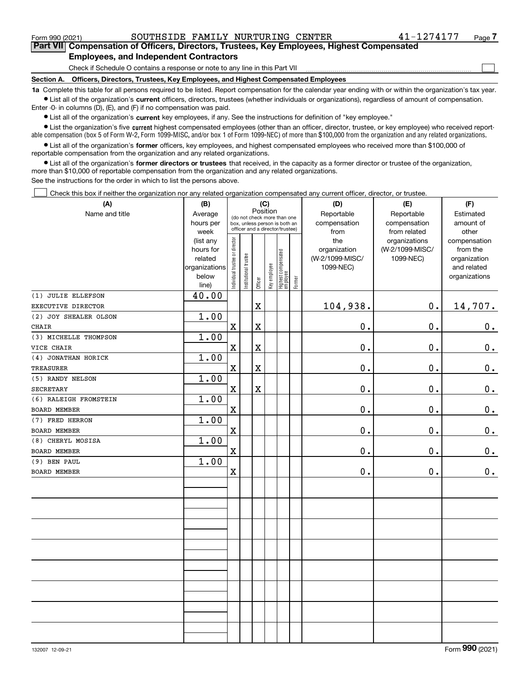$\mathcal{L}^{\text{max}}$ 

**7Part VII Compensation of Officers, Directors, Trustees, Key Employees, Highest Compensated Employees, and Independent Contractors**

Check if Schedule O contains a response or note to any line in this Part VII

**Section A. Officers, Directors, Trustees, Key Employees, and Highest Compensated Employees**

**1a**  Complete this table for all persons required to be listed. Report compensation for the calendar year ending with or within the organization's tax year. **•** List all of the organization's current officers, directors, trustees (whether individuals or organizations), regardless of amount of compensation.

Enter -0- in columns (D), (E), and (F) if no compensation was paid.

 $\bullet$  List all of the organization's  $\sf current$  key employees, if any. See the instructions for definition of "key employee."

**•** List the organization's five current highest compensated employees (other than an officer, director, trustee, or key employee) who received reportable compensation (box 5 of Form W-2, Form 1099-MISC, and/or box 1 of Form 1099-NEC) of more than \$100,000 from the organization and any related organizations.

**•** List all of the organization's former officers, key employees, and highest compensated employees who received more than \$100,000 of reportable compensation from the organization and any related organizations.

**former directors or trustees**  ¥ List all of the organization's that received, in the capacity as a former director or trustee of the organization, more than \$10,000 of reportable compensation from the organization and any related organizations.

See the instructions for the order in which to list the persons above.

Check this box if neither the organization nor any related organization compensated any current officer, director, or trustee.  $\mathcal{L}^{\text{max}}$ 

| (A)                   | (B)                  | (C)                                                              |                       |                         |              |                                 |        | (D)                             | (E)                          | (F)                         |  |  |  |  |
|-----------------------|----------------------|------------------------------------------------------------------|-----------------------|-------------------------|--------------|---------------------------------|--------|---------------------------------|------------------------------|-----------------------------|--|--|--|--|
| Name and title        | Average              | Position<br>(do not check more than one                          |                       |                         |              |                                 |        | Reportable                      | Reportable                   | Estimated                   |  |  |  |  |
|                       | hours per            | box, unless person is both an<br>officer and a director/trustee) |                       |                         |              |                                 |        | compensation                    | compensation                 | amount of                   |  |  |  |  |
|                       | week                 |                                                                  |                       |                         |              |                                 |        | from                            | from related                 | other                       |  |  |  |  |
|                       | (list any            |                                                                  |                       |                         |              |                                 |        | the                             | organizations                | compensation                |  |  |  |  |
|                       | hours for<br>related |                                                                  |                       |                         |              |                                 |        | organization<br>(W-2/1099-MISC/ | (W-2/1099-MISC/<br>1099-NEC) | from the                    |  |  |  |  |
|                       | organizations        |                                                                  |                       |                         |              |                                 |        | 1099-NEC)                       |                              | organization<br>and related |  |  |  |  |
|                       | below                |                                                                  |                       |                         |              |                                 |        |                                 |                              | organizations               |  |  |  |  |
|                       | line)                | Individual trustee or director                                   | Institutional trustee | Officer                 | Key employee | Highest compensated<br>employee | Former |                                 |                              |                             |  |  |  |  |
| (1) JULIE ELLEFSON    | 40.00                |                                                                  |                       |                         |              |                                 |        |                                 |                              |                             |  |  |  |  |
| EXECUTIVE DIRECTOR    |                      |                                                                  |                       | $\mathbf x$             |              |                                 |        | 104,938.                        | $0$ .                        | 14,707.                     |  |  |  |  |
| (2) JOY SHEALER OLSON | 1.00                 |                                                                  |                       |                         |              |                                 |        |                                 |                              |                             |  |  |  |  |
| <b>CHAIR</b>          |                      | $\mathbf X$                                                      |                       | $\mathbf X$             |              |                                 |        | $\mathbf 0$ .                   | 0.                           | $0_{\cdot}$                 |  |  |  |  |
| (3) MICHELLE THOMPSON | 1.00                 |                                                                  |                       |                         |              |                                 |        |                                 |                              |                             |  |  |  |  |
| VICE CHAIR            |                      | $\mathbf X$                                                      |                       | $\mathbf X$             |              |                                 |        | $0$ .                           | $\mathbf 0$ .                | $\mathbf 0$ .               |  |  |  |  |
| (4) JONATHAN HORICK   | 1.00                 |                                                                  |                       |                         |              |                                 |        |                                 |                              |                             |  |  |  |  |
| TREASURER             |                      | $\mathbf x$                                                      |                       | $\overline{\mathbf{X}}$ |              |                                 |        | 0.                              | 0.                           | $\mathbf 0$ .               |  |  |  |  |
| (5) RANDY NELSON      | 1.00                 |                                                                  |                       |                         |              |                                 |        |                                 |                              |                             |  |  |  |  |
| <b>SECRETARY</b>      |                      | $\mathbf X$                                                      |                       | $\mathbf x$             |              |                                 |        | 0.                              | 0.                           | 0.                          |  |  |  |  |
| (6) RALEIGH FROMSTEIN | 1.00                 |                                                                  |                       |                         |              |                                 |        |                                 |                              |                             |  |  |  |  |
| <b>BOARD MEMBER</b>   |                      | $\mathbf X$                                                      |                       |                         |              |                                 |        | $\mathbf 0$ .                   | 0.                           | $\mathbf 0$ .               |  |  |  |  |
| (7) FRED HERRON       | 1.00                 |                                                                  |                       |                         |              |                                 |        |                                 |                              |                             |  |  |  |  |
| <b>BOARD MEMBER</b>   |                      | $\mathbf X$                                                      |                       |                         |              |                                 |        | $0$ .                           | $\mathbf 0$ .                | $\mathbf 0$ .               |  |  |  |  |
| (8) CHERYL MOSISA     | 1.00                 |                                                                  |                       |                         |              |                                 |        |                                 |                              |                             |  |  |  |  |
| BOARD MEMBER          |                      | $\mathbf X$                                                      |                       |                         |              |                                 |        | 0.                              | 0.                           | $\mathbf 0$ .               |  |  |  |  |
| (9) BEN PAUL          | 1.00                 |                                                                  |                       |                         |              |                                 |        |                                 |                              |                             |  |  |  |  |
| <b>BOARD MEMBER</b>   |                      | $\mathbf X$                                                      |                       |                         |              |                                 |        | 0.                              | $\mathbf 0$ .                | 0.                          |  |  |  |  |
|                       |                      |                                                                  |                       |                         |              |                                 |        |                                 |                              |                             |  |  |  |  |
|                       |                      |                                                                  |                       |                         |              |                                 |        |                                 |                              |                             |  |  |  |  |
|                       |                      |                                                                  |                       |                         |              |                                 |        |                                 |                              |                             |  |  |  |  |
|                       |                      |                                                                  |                       |                         |              |                                 |        |                                 |                              |                             |  |  |  |  |
|                       |                      |                                                                  |                       |                         |              |                                 |        |                                 |                              |                             |  |  |  |  |
|                       |                      |                                                                  |                       |                         |              |                                 |        |                                 |                              |                             |  |  |  |  |
|                       |                      |                                                                  |                       |                         |              |                                 |        |                                 |                              |                             |  |  |  |  |
|                       |                      |                                                                  |                       |                         |              |                                 |        |                                 |                              |                             |  |  |  |  |
|                       |                      |                                                                  |                       |                         |              |                                 |        |                                 |                              |                             |  |  |  |  |
|                       |                      |                                                                  |                       |                         |              |                                 |        |                                 |                              |                             |  |  |  |  |
|                       |                      |                                                                  |                       |                         |              |                                 |        |                                 |                              |                             |  |  |  |  |
|                       |                      |                                                                  |                       |                         |              |                                 |        |                                 |                              |                             |  |  |  |  |
|                       |                      |                                                                  |                       |                         |              |                                 |        |                                 |                              |                             |  |  |  |  |
|                       |                      |                                                                  |                       |                         |              |                                 |        |                                 |                              |                             |  |  |  |  |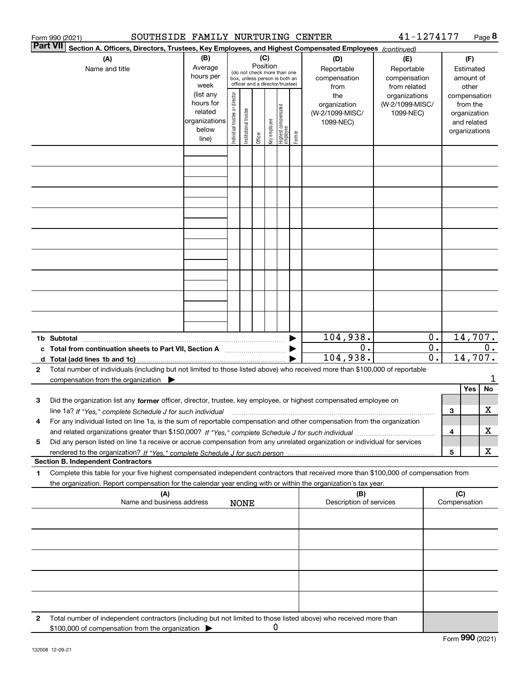|                 | SOUTHSIDE FAMILY NURTURING CENTER<br>Form 990 (2021)                                                                                                                                                                                                                             |                                                                      |                                |                       |                 |              |                                                                                                 |        |                                                     | 41-1274177                                        |                                      |                     |                                                          | Page 8  |
|-----------------|----------------------------------------------------------------------------------------------------------------------------------------------------------------------------------------------------------------------------------------------------------------------------------|----------------------------------------------------------------------|--------------------------------|-----------------------|-----------------|--------------|-------------------------------------------------------------------------------------------------|--------|-----------------------------------------------------|---------------------------------------------------|--------------------------------------|---------------------|----------------------------------------------------------|---------|
| <b>Part VII</b> | Section A. Officers, Directors, Trustees, Key Employees, and Highest Compensated Employees (continued)                                                                                                                                                                           |                                                                      |                                |                       |                 |              |                                                                                                 |        |                                                     |                                                   |                                      |                     |                                                          |         |
|                 | (A)<br>Name and title                                                                                                                                                                                                                                                            | (B)<br>Average<br>hours per<br>week                                  |                                |                       | (C)<br>Position |              | (do not check more than one<br>box, unless person is both an<br>officer and a director/trustee) |        | (D)<br>Reportable<br>compensation<br>from           | (E)<br>Reportable<br>compensation<br>from related |                                      |                     | (F)<br>Estimated<br>amount of<br>other                   |         |
|                 |                                                                                                                                                                                                                                                                                  | (list any<br>hours for<br>related<br>organizations<br>below<br>line) | Individual trustee or director | Institutional trustee | Officer         | key employee | Highest compensated<br>  employee                                                               | Former | the<br>organization<br>(W-2/1099-MISC/<br>1099-NEC) | organizations<br>(W-2/1099-MISC/<br>1099-NEC)     |                                      | compensation        | from the<br>organization<br>and related<br>organizations |         |
|                 |                                                                                                                                                                                                                                                                                  |                                                                      |                                |                       |                 |              |                                                                                                 |        |                                                     |                                                   |                                      |                     |                                                          |         |
|                 |                                                                                                                                                                                                                                                                                  |                                                                      |                                |                       |                 |              |                                                                                                 |        |                                                     |                                                   |                                      |                     |                                                          |         |
|                 |                                                                                                                                                                                                                                                                                  |                                                                      |                                |                       |                 |              |                                                                                                 |        |                                                     |                                                   |                                      |                     |                                                          |         |
|                 |                                                                                                                                                                                                                                                                                  |                                                                      |                                |                       |                 |              |                                                                                                 |        |                                                     |                                                   |                                      |                     |                                                          |         |
|                 |                                                                                                                                                                                                                                                                                  |                                                                      |                                |                       |                 |              |                                                                                                 |        |                                                     |                                                   |                                      |                     |                                                          |         |
|                 |                                                                                                                                                                                                                                                                                  |                                                                      |                                |                       |                 |              |                                                                                                 |        |                                                     |                                                   |                                      |                     |                                                          |         |
|                 |                                                                                                                                                                                                                                                                                  |                                                                      |                                |                       |                 |              |                                                                                                 |        |                                                     |                                                   |                                      |                     |                                                          |         |
|                 |                                                                                                                                                                                                                                                                                  |                                                                      |                                |                       |                 |              |                                                                                                 |        |                                                     |                                                   |                                      |                     |                                                          |         |
|                 |                                                                                                                                                                                                                                                                                  |                                                                      |                                |                       |                 |              |                                                                                                 |        | 104,938.                                            | 0.                                                |                                      |                     |                                                          | 14,707. |
|                 | c Total from continuation sheets to Part VII, Section A manufactured by                                                                                                                                                                                                          |                                                                      |                                |                       |                 |              |                                                                                                 |        | 0.<br>104,938.                                      |                                                   | $\overline{0}$ .<br>$\overline{0}$ . |                     | 14,707.                                                  | $0$ .   |
| 2               | Total number of individuals (including but not limited to those listed above) who received more than \$100,000 of reportable<br>compensation from the organization $\blacktriangleright$                                                                                         |                                                                      |                                |                       |                 |              |                                                                                                 |        |                                                     |                                                   |                                      |                     |                                                          | 1       |
| 3               | Did the organization list any former officer, director, trustee, key employee, or highest compensated employee on                                                                                                                                                                |                                                                      |                                |                       |                 |              |                                                                                                 |        |                                                     |                                                   |                                      |                     | Yes                                                      | No      |
|                 | line 1a? If "Yes," complete Schedule J for such individual manufactured contained and the line 1a? If "Yes," complete Schedule J for such individual<br>For any individual listed on line 1a, is the sum of reportable compensation and other compensation from the organization |                                                                      |                                |                       |                 |              |                                                                                                 |        |                                                     |                                                   |                                      | 3                   |                                                          | x       |
| 5               | Did any person listed on line 1a receive or accrue compensation from any unrelated organization or individual for services                                                                                                                                                       |                                                                      |                                |                       |                 |              |                                                                                                 |        |                                                     |                                                   |                                      | 4                   |                                                          | X<br>х  |
|                 | <b>Section B. Independent Contractors</b>                                                                                                                                                                                                                                        |                                                                      |                                |                       |                 |              |                                                                                                 |        |                                                     |                                                   |                                      | 5                   |                                                          |         |
| 1               | Complete this table for your five highest compensated independent contractors that received more than \$100,000 of compensation from<br>the organization. Report compensation for the calendar year ending with or within the organization's tax year.                           |                                                                      |                                |                       |                 |              |                                                                                                 |        |                                                     |                                                   |                                      |                     |                                                          |         |
|                 | (A)<br>Name and business address                                                                                                                                                                                                                                                 |                                                                      |                                | <b>NONE</b>           |                 |              |                                                                                                 |        | (B)<br>Description of services                      |                                                   |                                      | (C)<br>Compensation |                                                          |         |
|                 |                                                                                                                                                                                                                                                                                  |                                                                      |                                |                       |                 |              |                                                                                                 |        |                                                     |                                                   |                                      |                     |                                                          |         |
|                 |                                                                                                                                                                                                                                                                                  |                                                                      |                                |                       |                 |              |                                                                                                 |        |                                                     |                                                   |                                      |                     |                                                          |         |
|                 |                                                                                                                                                                                                                                                                                  |                                                                      |                                |                       |                 |              |                                                                                                 |        |                                                     |                                                   |                                      |                     |                                                          |         |
|                 |                                                                                                                                                                                                                                                                                  |                                                                      |                                |                       |                 |              |                                                                                                 |        |                                                     |                                                   |                                      |                     |                                                          |         |
| 2               | Total number of independent contractors (including but not limited to those listed above) who received more than                                                                                                                                                                 |                                                                      |                                |                       |                 |              |                                                                                                 |        |                                                     |                                                   |                                      |                     |                                                          |         |
|                 | \$100,000 of compensation from the organization                                                                                                                                                                                                                                  |                                                                      |                                |                       |                 | 0            |                                                                                                 |        |                                                     |                                                   |                                      |                     |                                                          |         |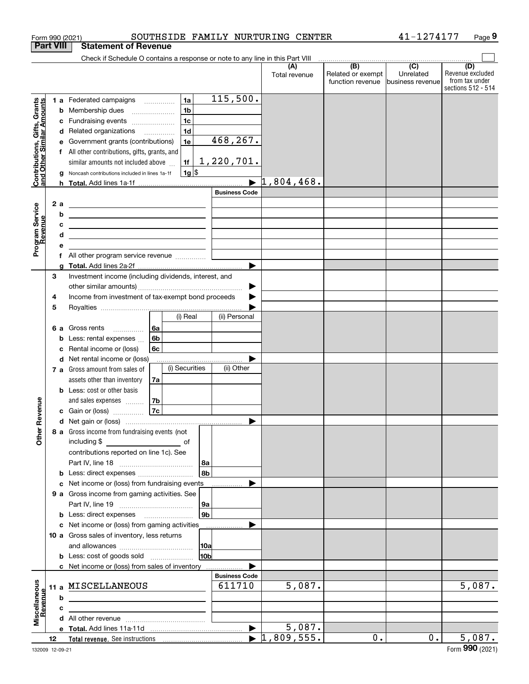|                                                           |                  |         | Form 990 (2021)                                                                                                       |      |                |                 |                      | SOUTHSIDE FAMILY NURTURING CENTER |                                                                                              | 41-1274177                    | Page 9                                                          |
|-----------------------------------------------------------|------------------|---------|-----------------------------------------------------------------------------------------------------------------------|------|----------------|-----------------|----------------------|-----------------------------------|----------------------------------------------------------------------------------------------|-------------------------------|-----------------------------------------------------------------|
|                                                           | <b>Part VIII</b> |         | <b>Statement of Revenue</b>                                                                                           |      |                |                 |                      |                                   |                                                                                              |                               |                                                                 |
|                                                           |                  |         | Check if Schedule O contains a response or note to any line in this Part VIII                                         |      |                |                 |                      |                                   |                                                                                              |                               |                                                                 |
|                                                           |                  |         |                                                                                                                       |      |                |                 |                      | (A)<br>Total revenue              | $\overline{(\mathsf{B})}$ $\overline{(\mathsf{C})}$<br>Related or exempt<br>function revenue | Unrelated<br>business revenue | (D)<br>Revenue excluded<br>from tax under<br>sections 512 - 514 |
|                                                           |                  |         | 1 a Federated campaigns                                                                                               |      | 1a             |                 | 115,500.             |                                   |                                                                                              |                               |                                                                 |
|                                                           |                  | b       | Membership dues                                                                                                       |      | 1 <sub>b</sub> |                 |                      |                                   |                                                                                              |                               |                                                                 |
|                                                           |                  | c       | Fundraising events                                                                                                    |      | 1 <sub>c</sub> |                 |                      |                                   |                                                                                              |                               |                                                                 |
|                                                           |                  |         | d Related organizations                                                                                               |      | 1d             |                 |                      |                                   |                                                                                              |                               |                                                                 |
|                                                           |                  | е       | Government grants (contributions)                                                                                     |      | 1e             |                 | 468,267.             |                                   |                                                                                              |                               |                                                                 |
|                                                           |                  |         | f All other contributions, gifts, grants, and                                                                         |      |                |                 |                      |                                   |                                                                                              |                               |                                                                 |
|                                                           |                  |         | similar amounts not included above                                                                                    |      | 1f             |                 | 1,220,701.           |                                   |                                                                                              |                               |                                                                 |
| Contributions, Gifts, Grants<br>and Other Similar Amounts |                  |         | Noncash contributions included in lines 1a-1f                                                                         |      |                | $1g$ \$         |                      |                                   |                                                                                              |                               |                                                                 |
|                                                           |                  | a<br>h. |                                                                                                                       |      |                |                 |                      | $\blacktriangleright$ 1,804,468.  |                                                                                              |                               |                                                                 |
|                                                           |                  |         |                                                                                                                       |      |                |                 | <b>Business Code</b> |                                   |                                                                                              |                               |                                                                 |
|                                                           |                  |         |                                                                                                                       |      |                |                 |                      |                                   |                                                                                              |                               |                                                                 |
| Program Service<br>Revenue                                | 2 a              |         | <u> 1989 - Johann Harry Harry Harry Harry Harry Harry Harry Harry Harry Harry Harry Harry Harry Harry Harry Harry</u> |      |                |                 |                      |                                   |                                                                                              |                               |                                                                 |
|                                                           |                  | b       | <u> 1989 - Johann Barn, amerikansk politiker (</u>                                                                    |      |                |                 |                      |                                   |                                                                                              |                               |                                                                 |
|                                                           |                  | с       | <u> 1989 - Andrea Stadt Britain, amerikansk politik (</u>                                                             |      |                |                 |                      |                                   |                                                                                              |                               |                                                                 |
|                                                           |                  | d       | <u> 1989 - Johann Stein, mars an de Brasilia (b. 1989)</u>                                                            |      |                |                 |                      |                                   |                                                                                              |                               |                                                                 |
|                                                           |                  | е       |                                                                                                                       |      |                |                 |                      |                                   |                                                                                              |                               |                                                                 |
|                                                           |                  |         |                                                                                                                       |      |                |                 |                      |                                   |                                                                                              |                               |                                                                 |
|                                                           |                  | g       |                                                                                                                       |      |                |                 | ▶                    |                                   |                                                                                              |                               |                                                                 |
|                                                           | 3                |         | Investment income (including dividends, interest, and                                                                 |      |                |                 |                      |                                   |                                                                                              |                               |                                                                 |
|                                                           |                  |         |                                                                                                                       |      |                |                 | ▶                    |                                   |                                                                                              |                               |                                                                 |
|                                                           | 4                |         | Income from investment of tax-exempt bond proceeds                                                                    |      |                |                 |                      |                                   |                                                                                              |                               |                                                                 |
|                                                           | 5                |         |                                                                                                                       |      |                |                 |                      |                                   |                                                                                              |                               |                                                                 |
|                                                           |                  |         |                                                                                                                       |      | (i) Real       |                 | (ii) Personal        |                                   |                                                                                              |                               |                                                                 |
|                                                           | 6а               |         | Gross rents                                                                                                           | l 6a |                |                 |                      |                                   |                                                                                              |                               |                                                                 |
|                                                           |                  | b       | Less: rental expenses                                                                                                 | 6b   |                |                 |                      |                                   |                                                                                              |                               |                                                                 |
|                                                           |                  | с       | Rental income or (loss)                                                                                               | 6с   |                |                 |                      |                                   |                                                                                              |                               |                                                                 |
|                                                           |                  | d       | Net rental income or (loss)                                                                                           |      |                |                 |                      |                                   |                                                                                              |                               |                                                                 |
|                                                           |                  |         | 7 a Gross amount from sales of                                                                                        |      | (i) Securities |                 | (ii) Other           |                                   |                                                                                              |                               |                                                                 |
|                                                           |                  |         | assets other than inventory                                                                                           | 7a   |                |                 |                      |                                   |                                                                                              |                               |                                                                 |
|                                                           |                  |         | <b>b</b> Less: cost or other basis                                                                                    |      |                |                 |                      |                                   |                                                                                              |                               |                                                                 |
|                                                           |                  |         | and sales expenses                                                                                                    | 7b   |                |                 |                      |                                   |                                                                                              |                               |                                                                 |
| evenue                                                    |                  |         | c Gain or (loss)                                                                                                      | 7c   |                |                 |                      |                                   |                                                                                              |                               |                                                                 |
|                                                           |                  |         |                                                                                                                       |      |                |                 |                      |                                   |                                                                                              |                               |                                                                 |
| Other <sub>R</sub>                                        |                  |         | 8 a Gross income from fundraising events (not                                                                         |      |                |                 |                      |                                   |                                                                                              |                               |                                                                 |
|                                                           |                  |         | including \$                                                                                                          |      |                |                 |                      |                                   |                                                                                              |                               |                                                                 |
|                                                           |                  |         | contributions reported on line 1c). See                                                                               |      |                |                 |                      |                                   |                                                                                              |                               |                                                                 |
|                                                           |                  |         |                                                                                                                       |      |                | 8a              |                      |                                   |                                                                                              |                               |                                                                 |
|                                                           |                  |         | <b>b</b> Less: direct expenses <i></i>                                                                                |      |                | 8b              |                      |                                   |                                                                                              |                               |                                                                 |
|                                                           |                  |         | c Net income or (loss) from fundraising events                                                                        |      |                |                 |                      |                                   |                                                                                              |                               |                                                                 |
|                                                           |                  |         | 9 a Gross income from gaming activities. See                                                                          |      |                |                 |                      |                                   |                                                                                              |                               |                                                                 |
|                                                           |                  |         |                                                                                                                       |      |                | 9а              |                      |                                   |                                                                                              |                               |                                                                 |
|                                                           |                  |         |                                                                                                                       |      |                | 9 <sub>b</sub>  |                      |                                   |                                                                                              |                               |                                                                 |
|                                                           |                  |         | c Net income or (loss) from gaming activities                                                                         |      |                |                 |                      |                                   |                                                                                              |                               |                                                                 |
|                                                           |                  |         | 10 a Gross sales of inventory, less returns                                                                           |      |                |                 |                      |                                   |                                                                                              |                               |                                                                 |
|                                                           |                  |         |                                                                                                                       |      |                | 10a             |                      |                                   |                                                                                              |                               |                                                                 |
|                                                           |                  |         | <b>b</b> Less: cost of goods sold                                                                                     |      |                | 10 <sub>b</sub> |                      |                                   |                                                                                              |                               |                                                                 |
|                                                           |                  |         | c Net income or (loss) from sales of inventory                                                                        |      |                |                 |                      |                                   |                                                                                              |                               |                                                                 |
|                                                           |                  |         |                                                                                                                       |      |                |                 | <b>Business Code</b> |                                   |                                                                                              |                               |                                                                 |
| Miscellaneous<br>Revenue                                  |                  |         | 11 a MISCELLANEOUS                                                                                                    |      |                |                 | 611710               | 5,087.                            |                                                                                              |                               | 5,087.                                                          |
|                                                           |                  | b       |                                                                                                                       |      |                |                 |                      |                                   |                                                                                              |                               |                                                                 |
|                                                           |                  | c       | the control of the control of the control of the control of the control of the control of                             |      |                |                 |                      |                                   |                                                                                              |                               |                                                                 |
|                                                           |                  |         |                                                                                                                       |      |                |                 |                      |                                   |                                                                                              |                               |                                                                 |
|                                                           |                  |         |                                                                                                                       |      |                |                 |                      | 5,087.                            |                                                                                              |                               |                                                                 |
|                                                           | 12               |         |                                                                                                                       |      |                |                 |                      | $\blacktriangleright$ 1,809,555.  | 0.                                                                                           | $\overline{0}$ .              | 5,087.                                                          |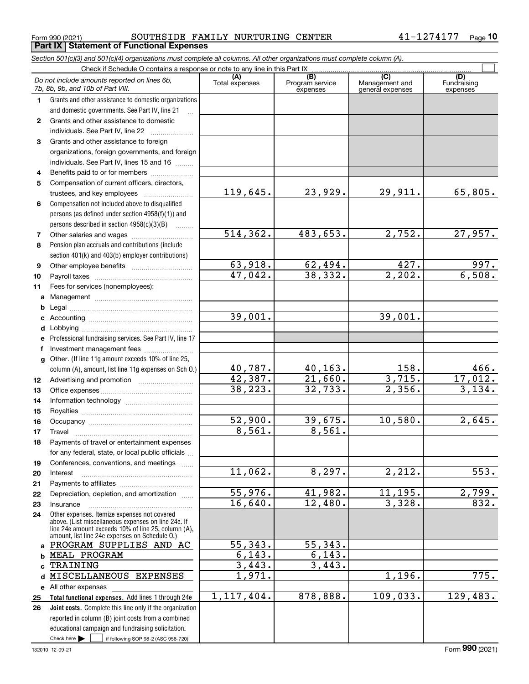Form 990 (2021) SOUTHSIDE FAMILY NURTURING CENTER 4 $1\text{--}1274177$   $_\text{Page}$ **Part IX Statement of Functional Expenses**

|              | Section 501(c)(3) and 501(c)(4) organizations must complete all columns. All other organizations must complete column (A).                                                                                   |                       |                                    |                                           |                                |
|--------------|--------------------------------------------------------------------------------------------------------------------------------------------------------------------------------------------------------------|-----------------------|------------------------------------|-------------------------------------------|--------------------------------|
|              | Check if Schedule O contains a response or note to any line in this Part IX                                                                                                                                  |                       |                                    |                                           |                                |
|              | Do not include amounts reported on lines 6b,<br>7b, 8b, 9b, and 10b of Part VIII.                                                                                                                            | (A)<br>Total expenses | (B)<br>Program service<br>expenses | (C)<br>Management and<br>general expenses | (D)<br>Fundraising<br>expenses |
| 1.           | Grants and other assistance to domestic organizations                                                                                                                                                        |                       |                                    |                                           |                                |
|              | and domestic governments. See Part IV, line 21                                                                                                                                                               |                       |                                    |                                           |                                |
| $\mathbf{2}$ | Grants and other assistance to domestic                                                                                                                                                                      |                       |                                    |                                           |                                |
|              | individuals. See Part IV, line 22                                                                                                                                                                            |                       |                                    |                                           |                                |
| 3            | Grants and other assistance to foreign                                                                                                                                                                       |                       |                                    |                                           |                                |
|              | organizations, foreign governments, and foreign                                                                                                                                                              |                       |                                    |                                           |                                |
|              | individuals. See Part IV, lines 15 and 16                                                                                                                                                                    |                       |                                    |                                           |                                |
| 4            | Benefits paid to or for members                                                                                                                                                                              |                       |                                    |                                           |                                |
| 5            | Compensation of current officers, directors,                                                                                                                                                                 |                       |                                    |                                           |                                |
|              | trustees, and key employees                                                                                                                                                                                  | 119,645.              | 23,929.                            | 29,911.                                   | 65,805.                        |
| 6            | Compensation not included above to disqualified                                                                                                                                                              |                       |                                    |                                           |                                |
|              | persons (as defined under section 4958(f)(1)) and                                                                                                                                                            |                       |                                    |                                           |                                |
|              | persons described in section 4958(c)(3)(B)                                                                                                                                                                   |                       |                                    |                                           |                                |
| 7            | Other salaries and wages                                                                                                                                                                                     | 514, 362.             | 483,653.                           | 2,752.                                    | 27,957.                        |
| 8            | Pension plan accruals and contributions (include                                                                                                                                                             |                       |                                    |                                           |                                |
|              | section 401(k) and 403(b) employer contributions)                                                                                                                                                            |                       |                                    |                                           |                                |
| 9            |                                                                                                                                                                                                              | 63,918.               | $\frac{62,494.}{38,332.}$          | 427.                                      | 997.                           |
| 10           |                                                                                                                                                                                                              | 47,042.               |                                    | $\overline{2,202}$ .                      | 6,508.                         |
| 11           | Fees for services (nonemployees):                                                                                                                                                                            |                       |                                    |                                           |                                |
|              |                                                                                                                                                                                                              |                       |                                    |                                           |                                |
| b            |                                                                                                                                                                                                              |                       |                                    |                                           |                                |
| c            |                                                                                                                                                                                                              | 39,001.               |                                    | 39,001.                                   |                                |
| d            |                                                                                                                                                                                                              |                       |                                    |                                           |                                |
| е            | Professional fundraising services. See Part IV, line 17                                                                                                                                                      |                       |                                    |                                           |                                |
| f            | Investment management fees                                                                                                                                                                                   |                       |                                    |                                           |                                |
|              | g Other. (If line 11g amount exceeds 10% of line 25,                                                                                                                                                         |                       |                                    |                                           |                                |
|              | column (A), amount, list line 11g expenses on Sch O.)                                                                                                                                                        | 40,787.               | <u>40,163.</u>                     | $\frac{158}{3,715}$                       | $\frac{466}{17,012}$ .         |
| 12           |                                                                                                                                                                                                              | 42,387.               | 21,660.                            |                                           |                                |
| 13           |                                                                                                                                                                                                              | 38, 223.              | 32,733.                            | 2,356.                                    | 3,134.                         |
| 14           |                                                                                                                                                                                                              |                       |                                    |                                           |                                |
| 15           |                                                                                                                                                                                                              |                       |                                    |                                           |                                |
| 16           |                                                                                                                                                                                                              | 52,900.               | 39,675.                            | 10,580.                                   | 2,645.                         |
| 17           |                                                                                                                                                                                                              | 8,561.                | 8,561.                             |                                           |                                |
| 18           | Payments of travel or entertainment expenses                                                                                                                                                                 |                       |                                    |                                           |                                |
|              | for any federal, state, or local public officials                                                                                                                                                            |                       |                                    |                                           |                                |
| 19           | Conferences, conventions, and meetings                                                                                                                                                                       |                       |                                    |                                           |                                |
| 20           | Interest                                                                                                                                                                                                     | 11,062.               | 8, 297.                            | $\overline{2,212}$ .                      | $\overline{553.}$              |
| 21           |                                                                                                                                                                                                              |                       |                                    |                                           |                                |
| 22           | Depreciation, depletion, and amortization                                                                                                                                                                    | 55,976.               | 41,982.                            | 11,195.                                   | 2,799.                         |
| 23           | Insurance                                                                                                                                                                                                    | 16,640.               | 12,480.                            | 3,328.                                    | 832.                           |
| 24           | Other expenses. Itemize expenses not covered<br>above. (List miscellaneous expenses on line 24e. If<br>line 24e amount exceeds 10% of line 25, column (A),<br>amount, list line 24e expenses on Schedule 0.) |                       |                                    |                                           |                                |
|              | a PROGRAM SUPPLIES AND AC                                                                                                                                                                                    | 55,343.               | 55, 343.                           |                                           |                                |
| b            | MEAL PROGRAM                                                                                                                                                                                                 | 6, 143.               | 6, 143.                            |                                           |                                |
|              | TRAINING                                                                                                                                                                                                     | 3,443.                | 3,443.                             |                                           |                                |
| d            | MISCELLANEOUS EXPENSES                                                                                                                                                                                       | 1,971.                |                                    | 1,196.                                    | 775.                           |
|              | e All other expenses                                                                                                                                                                                         |                       |                                    |                                           |                                |
| 25           | Total functional expenses. Add lines 1 through 24e                                                                                                                                                           | 1, 117, 404.          | 878,888.                           | 109,033.                                  | 129,483.                       |
| 26           | Joint costs. Complete this line only if the organization                                                                                                                                                     |                       |                                    |                                           |                                |
|              | reported in column (B) joint costs from a combined                                                                                                                                                           |                       |                                    |                                           |                                |
|              | educational campaign and fundraising solicitation.                                                                                                                                                           |                       |                                    |                                           |                                |
|              | Check here $\blacktriangleright$<br>if following SOP 98-2 (ASC 958-720)                                                                                                                                      |                       |                                    |                                           |                                |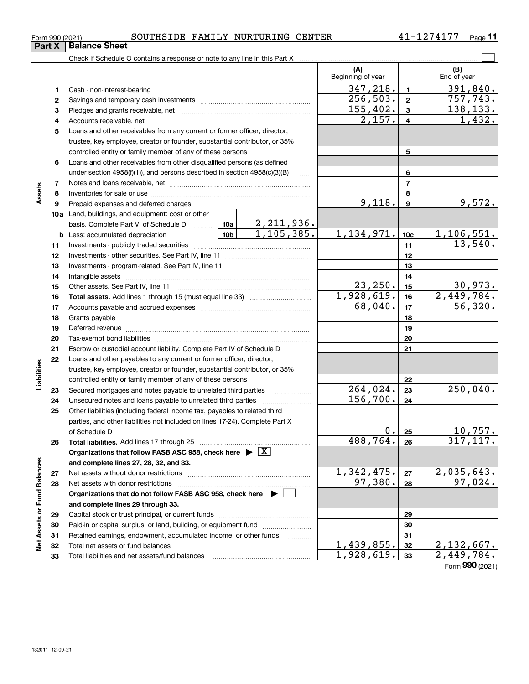| Form 990 (2021) |                 | SOUTHSIDE | FAMILY NURTURING | CENTER | $\sqrt{ }$<br>⊥ 4 | $P$ age |
|-----------------|-----------------|-----------|------------------|--------|-------------------|---------|
| $D_{out}$ V     | l Dalanaa Chaat |           |                  |        |                   |         |

|                             |    | Check if Schedule O contains a response or note to any line in this Part X                                                                                                                                                     |                        |                              |                          |                  |                    |
|-----------------------------|----|--------------------------------------------------------------------------------------------------------------------------------------------------------------------------------------------------------------------------------|------------------------|------------------------------|--------------------------|------------------|--------------------|
|                             |    |                                                                                                                                                                                                                                |                        |                              | (A)<br>Beginning of year |                  | (B)<br>End of year |
|                             | 1  |                                                                                                                                                                                                                                | 347,218.               | $\mathbf{1}$                 | 391,840.                 |                  |                    |
|                             | 2  |                                                                                                                                                                                                                                | 256, 503.              | $\mathbf{2}$                 | 757,743.                 |                  |                    |
|                             | з  |                                                                                                                                                                                                                                | 155,402.               | $\mathbf{3}$                 | 138,133.                 |                  |                    |
|                             | 4  |                                                                                                                                                                                                                                | 2,157.                 | $\overline{\mathbf{4}}$      | 1,432.                   |                  |                    |
|                             | 5  | Loans and other receivables from any current or former officer, director,                                                                                                                                                      |                        |                              |                          |                  |                    |
|                             |    | trustee, key employee, creator or founder, substantial contributor, or 35%                                                                                                                                                     |                        |                              |                          |                  |                    |
|                             |    | controlled entity or family member of any of these persons                                                                                                                                                                     |                        |                              |                          | 5                |                    |
|                             | 6  | Loans and other receivables from other disqualified persons (as defined                                                                                                                                                        |                        |                              |                          |                  |                    |
|                             |    | under section $4958(f)(1)$ , and persons described in section $4958(c)(3)(B)$                                                                                                                                                  |                        | $\ldots$                     |                          | 6                |                    |
|                             | 7  |                                                                                                                                                                                                                                |                        |                              |                          | $\overline{7}$   |                    |
| Assets                      | 8  |                                                                                                                                                                                                                                |                        |                              |                          | 8                |                    |
|                             | 9  | Prepaid expenses and deferred charges                                                                                                                                                                                          |                        |                              | 9,118.                   | $\boldsymbol{9}$ | 9,572.             |
|                             |    | <b>10a</b> Land, buildings, and equipment: cost or other                                                                                                                                                                       |                        |                              |                          |                  |                    |
|                             |    | basis. Complete Part VI of Schedule D  10a                                                                                                                                                                                     |                        |                              |                          |                  |                    |
|                             |    | <b>b</b> Less: accumulated depreciation                                                                                                                                                                                        |                        | 2, 211, 936.<br>1, 105, 385. | 1, 134, 971.             | 10 <sub>c</sub>  | <u>1,106,551.</u>  |
|                             | 11 |                                                                                                                                                                                                                                |                        |                              | 11                       | 13,540.          |                    |
|                             | 12 |                                                                                                                                                                                                                                |                        | 12                           |                          |                  |                    |
|                             | 13 |                                                                                                                                                                                                                                |                        | 13                           |                          |                  |                    |
|                             | 14 |                                                                                                                                                                                                                                |                        | 14                           |                          |                  |                    |
|                             | 15 |                                                                                                                                                                                                                                | 23, 250.               | 15                           | 30,973.                  |                  |                    |
|                             | 16 |                                                                                                                                                                                                                                | 1,928,619.             | 16                           | 2,449,784.               |                  |                    |
|                             | 17 |                                                                                                                                                                                                                                | 68,040.                | 17                           | 56,320.                  |                  |                    |
|                             | 18 |                                                                                                                                                                                                                                |                        | 18                           |                          |                  |                    |
|                             | 19 | Deferred revenue manual contracts and contracts are contracted and contract and contract are contracted and contract are contracted and contract are contracted and contract are contracted and contract are contracted and co |                        |                              |                          | 19               |                    |
|                             | 20 |                                                                                                                                                                                                                                |                        |                              |                          | 20               |                    |
|                             | 21 | Escrow or custodial account liability. Complete Part IV of Schedule D                                                                                                                                                          |                        |                              |                          | 21               |                    |
|                             | 22 | Loans and other payables to any current or former officer, director,                                                                                                                                                           |                        |                              |                          |                  |                    |
| Liabilities                 |    | trustee, key employee, creator or founder, substantial contributor, or 35%                                                                                                                                                     |                        |                              |                          |                  |                    |
|                             |    | controlled entity or family member of any of these persons                                                                                                                                                                     |                        |                              |                          | 22               |                    |
|                             | 23 | Secured mortgages and notes payable to unrelated third parties                                                                                                                                                                 | $\overline{264,024}$ . | 23                           | $\overline{250,040}$ .   |                  |                    |
|                             | 24 |                                                                                                                                                                                                                                |                        | 156,700.                     | 24                       |                  |                    |
|                             | 25 | Other liabilities (including federal income tax, payables to related third                                                                                                                                                     |                        |                              |                          |                  |                    |
|                             |    | parties, and other liabilities not included on lines 17-24). Complete Part X                                                                                                                                                   |                        |                              |                          |                  |                    |
|                             |    | of Schedule D                                                                                                                                                                                                                  | $0$ .                  | 25                           | 10,757.                  |                  |                    |
|                             | 26 | Total liabilities. Add lines 17 through 25                                                                                                                                                                                     |                        |                              | 488, 764.                | 26               | 317, 117.          |
|                             |    | Organizations that follow FASB ASC 958, check here $\triangleright \lfloor X \rfloor$                                                                                                                                          |                        |                              |                          |                  |                    |
|                             |    | and complete lines 27, 28, 32, and 33.                                                                                                                                                                                         |                        |                              |                          |                  |                    |
|                             | 27 |                                                                                                                                                                                                                                | 1,342,475.             | 27                           | 2,035,643.               |                  |                    |
|                             | 28 |                                                                                                                                                                                                                                | 97,380.                | 28                           | 97,024.                  |                  |                    |
|                             |    | Organizations that do not follow FASB ASC 958, check here ▶ [                                                                                                                                                                  |                        |                              |                          |                  |                    |
|                             |    | and complete lines 29 through 33.                                                                                                                                                                                              |                        |                              |                          |                  |                    |
|                             | 29 |                                                                                                                                                                                                                                |                        |                              |                          | 29               |                    |
|                             | 30 | Paid-in or capital surplus, or land, building, or equipment fund                                                                                                                                                               |                        |                              |                          | 30               |                    |
| Net Assets or Fund Balances | 31 | Retained earnings, endowment, accumulated income, or other funds                                                                                                                                                               |                        |                              |                          | 31               |                    |
|                             | 32 |                                                                                                                                                                                                                                |                        |                              | 1,439,855.               | 32               | 2, 132, 667.       |
|                             | 33 |                                                                                                                                                                                                                                |                        |                              | 1,928,619.               | 33               | 2,449,784.         |

Form (2021) **990**

**Part X Balance Sheet**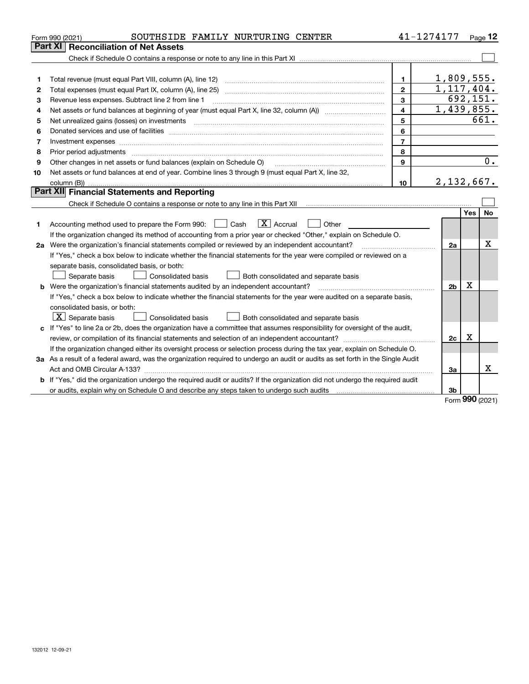|    | SOUTHSIDE FAMILY NURTURING CENTER<br>Form 990 (2021)                                                                                 |                 | 41-1274177              |     | Page $12$ |
|----|--------------------------------------------------------------------------------------------------------------------------------------|-----------------|-------------------------|-----|-----------|
|    | Part XI<br><b>Reconciliation of Net Assets</b>                                                                                       |                 |                         |     |           |
|    |                                                                                                                                      |                 |                         |     |           |
|    |                                                                                                                                      |                 |                         |     |           |
| 1  |                                                                                                                                      | 1.              | 1,809,555.              |     |           |
| 2  | Total expenses (must equal Part IX, column (A), line 25)                                                                             | $\mathbf{2}$    | 1,117,404.              |     |           |
| з  | Revenue less expenses. Subtract line 2 from line 1                                                                                   | 3               |                         |     | 692, 151. |
| 4  |                                                                                                                                      | $\overline{4}$  | $\overline{1,439},855.$ |     |           |
| 5  | Net unrealized gains (losses) on investments                                                                                         | 5               |                         |     | 661.      |
| 6  |                                                                                                                                      | 6               |                         |     |           |
| 7  | Investment expenses                                                                                                                  | $\overline{7}$  |                         |     |           |
| 8  | Prior period adjustments                                                                                                             | 8               |                         |     |           |
| 9  | Other changes in net assets or fund balances (explain on Schedule O)                                                                 | $\mathbf{9}$    |                         |     | 0.        |
| 10 | Net assets or fund balances at end of year. Combine lines 3 through 9 (must equal Part X, line 32,                                   |                 |                         |     |           |
|    |                                                                                                                                      | 10 <sup>1</sup> | 2,132,667.              |     |           |
|    | Part XII Financial Statements and Reporting                                                                                          |                 |                         |     |           |
|    |                                                                                                                                      |                 |                         |     |           |
|    |                                                                                                                                      |                 |                         | Yes | No        |
| 1  | $\boxed{\text{X}}$ Accrual<br>Accounting method used to prepare the Form 990: <u>June</u> Cash<br>Other                              |                 |                         |     |           |
|    | If the organization changed its method of accounting from a prior year or checked "Other," explain on Schedule O.                    |                 |                         |     |           |
|    | 2a Were the organization's financial statements compiled or reviewed by an independent accountant?                                   |                 | 2a                      |     | Χ         |
|    | If "Yes," check a box below to indicate whether the financial statements for the year were compiled or reviewed on a                 |                 |                         |     |           |
|    | separate basis, consolidated basis, or both:                                                                                         |                 |                         |     |           |
|    | Both consolidated and separate basis<br>Separate basis<br>Consolidated basis                                                         |                 |                         |     |           |
|    | <b>b</b> Were the organization's financial statements audited by an independent accountant?                                          |                 | 2 <sub>b</sub>          | х   |           |
|    | If "Yes," check a box below to indicate whether the financial statements for the year were audited on a separate basis,              |                 |                         |     |           |
|    | consolidated basis, or both:                                                                                                         |                 |                         |     |           |
|    | $X$ Separate basis<br><b>Consolidated basis</b><br>Both consolidated and separate basis                                              |                 |                         |     |           |
|    | c If "Yes" to line 2a or 2b, does the organization have a committee that assumes responsibility for oversight of the audit,          |                 |                         |     |           |
|    |                                                                                                                                      |                 | 2c                      | x   |           |
|    | If the organization changed either its oversight process or selection process during the tax year, explain on Schedule O.            |                 |                         |     |           |
|    | 3a As a result of a federal award, was the organization required to undergo an audit or audits as set forth in the Single Audit      |                 |                         |     |           |
|    |                                                                                                                                      |                 | За                      |     | Χ         |
|    | <b>b</b> If "Yes," did the organization undergo the required audit or audits? If the organization did not undergo the required audit |                 |                         |     |           |
|    |                                                                                                                                      |                 | 3b                      |     |           |

Form (2021) **990**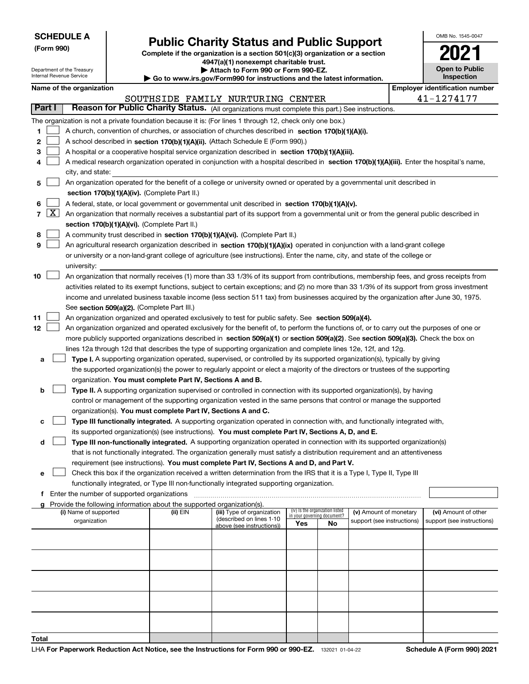**(Form 990)**

# **Public Charity Status and Public Support**

**Complete if the organization is a section 501(c)(3) organization or a section 4947(a)(1) nonexempt charitable trust.**

| Department of the Treasury<br>Internal Revenue Service |        |                                             |  | Attach to Form 990 or Form 990-EZ.<br>$\blacktriangleright$ Go to www.irs.gov/Form990 for instructions and the latest information. | <b>Open to Public</b><br>Inspection                                                                                                          |                             |                                 |                            |  |                                       |
|--------------------------------------------------------|--------|---------------------------------------------|--|------------------------------------------------------------------------------------------------------------------------------------|----------------------------------------------------------------------------------------------------------------------------------------------|-----------------------------|---------------------------------|----------------------------|--|---------------------------------------|
| Name of the organization                               |        |                                             |  |                                                                                                                                    |                                                                                                                                              |                             |                                 |                            |  | <b>Employer identification number</b> |
|                                                        |        |                                             |  |                                                                                                                                    | SOUTHSIDE FAMILY NURTURING CENTER                                                                                                            |                             |                                 |                            |  | 41-1274177                            |
|                                                        | Part I |                                             |  |                                                                                                                                    | Reason for Public Charity Status. (All organizations must complete this part.) See instructions.                                             |                             |                                 |                            |  |                                       |
|                                                        |        |                                             |  |                                                                                                                                    |                                                                                                                                              |                             |                                 |                            |  |                                       |
|                                                        |        |                                             |  |                                                                                                                                    | The organization is not a private foundation because it is: (For lines 1 through 12, check only one box.)                                    |                             |                                 |                            |  |                                       |
| 1                                                      |        |                                             |  |                                                                                                                                    | A church, convention of churches, or association of churches described in section 170(b)(1)(A)(i).                                           |                             |                                 |                            |  |                                       |
| 2                                                      |        |                                             |  |                                                                                                                                    | A school described in section 170(b)(1)(A)(ii). (Attach Schedule E (Form 990).)                                                              |                             |                                 |                            |  |                                       |
| 3                                                      |        |                                             |  |                                                                                                                                    | A hospital or a cooperative hospital service organization described in section 170(b)(1)(A)(iii).                                            |                             |                                 |                            |  |                                       |
| 4                                                      |        |                                             |  |                                                                                                                                    | A medical research organization operated in conjunction with a hospital described in section 170(b)(1)(A)(iii). Enter the hospital's name,   |                             |                                 |                            |  |                                       |
|                                                        |        | city, and state:                            |  |                                                                                                                                    |                                                                                                                                              |                             |                                 |                            |  |                                       |
| 5                                                      |        |                                             |  |                                                                                                                                    | An organization operated for the benefit of a college or university owned or operated by a governmental unit described in                    |                             |                                 |                            |  |                                       |
|                                                        |        |                                             |  | section 170(b)(1)(A)(iv). (Complete Part II.)                                                                                      |                                                                                                                                              |                             |                                 |                            |  |                                       |
| 6                                                      |        |                                             |  |                                                                                                                                    | A federal, state, or local government or governmental unit described in section 170(b)(1)(A)(v).                                             |                             |                                 |                            |  |                                       |
|                                                        | 7   X  |                                             |  |                                                                                                                                    | An organization that normally receives a substantial part of its support from a governmental unit or from the general public described in    |                             |                                 |                            |  |                                       |
|                                                        |        |                                             |  | section 170(b)(1)(A)(vi). (Complete Part II.)                                                                                      |                                                                                                                                              |                             |                                 |                            |  |                                       |
| 8                                                      |        |                                             |  |                                                                                                                                    | A community trust described in section 170(b)(1)(A)(vi). (Complete Part II.)                                                                 |                             |                                 |                            |  |                                       |
| 9                                                      |        |                                             |  |                                                                                                                                    | An agricultural research organization described in section 170(b)(1)(A)(ix) operated in conjunction with a land-grant college                |                             |                                 |                            |  |                                       |
|                                                        |        |                                             |  |                                                                                                                                    | or university or a non-land-grant college of agriculture (see instructions). Enter the name, city, and state of the college or               |                             |                                 |                            |  |                                       |
|                                                        |        | university:                                 |  |                                                                                                                                    |                                                                                                                                              |                             |                                 |                            |  |                                       |
| 10                                                     |        |                                             |  |                                                                                                                                    | An organization that normally receives (1) more than 33 1/3% of its support from contributions, membership fees, and gross receipts from     |                             |                                 |                            |  |                                       |
|                                                        |        |                                             |  |                                                                                                                                    | activities related to its exempt functions, subject to certain exceptions; and (2) no more than 33 1/3% of its support from gross investment |                             |                                 |                            |  |                                       |
|                                                        |        |                                             |  |                                                                                                                                    | income and unrelated business taxable income (less section 511 tax) from businesses acquired by the organization after June 30, 1975.        |                             |                                 |                            |  |                                       |
|                                                        |        |                                             |  | See section 509(a)(2). (Complete Part III.)                                                                                        |                                                                                                                                              |                             |                                 |                            |  |                                       |
| 11                                                     |        |                                             |  |                                                                                                                                    | An organization organized and operated exclusively to test for public safety. See section 509(a)(4).                                         |                             |                                 |                            |  |                                       |
| 12                                                     |        |                                             |  |                                                                                                                                    | An organization organized and operated exclusively for the benefit of, to perform the functions of, or to carry out the purposes of one or   |                             |                                 |                            |  |                                       |
|                                                        |        |                                             |  |                                                                                                                                    | more publicly supported organizations described in section 509(a)(1) or section 509(a)(2). See section 509(a)(3). Check the box on           |                             |                                 |                            |  |                                       |
|                                                        |        |                                             |  |                                                                                                                                    | lines 12a through 12d that describes the type of supporting organization and complete lines 12e, 12f, and 12g.                               |                             |                                 |                            |  |                                       |
| а                                                      |        |                                             |  |                                                                                                                                    | Type I. A supporting organization operated, supervised, or controlled by its supported organization(s), typically by giving                  |                             |                                 |                            |  |                                       |
|                                                        |        |                                             |  |                                                                                                                                    | the supported organization(s) the power to regularly appoint or elect a majority of the directors or trustees of the supporting              |                             |                                 |                            |  |                                       |
|                                                        |        |                                             |  | organization. You must complete Part IV, Sections A and B.                                                                         |                                                                                                                                              |                             |                                 |                            |  |                                       |
| b                                                      |        |                                             |  |                                                                                                                                    | Type II. A supporting organization supervised or controlled in connection with its supported organization(s), by having                      |                             |                                 |                            |  |                                       |
|                                                        |        |                                             |  |                                                                                                                                    | control or management of the supporting organization vested in the same persons that control or manage the supported                         |                             |                                 |                            |  |                                       |
|                                                        |        |                                             |  | organization(s). You must complete Part IV, Sections A and C.                                                                      |                                                                                                                                              |                             |                                 |                            |  |                                       |
| с                                                      |        |                                             |  |                                                                                                                                    | Type III functionally integrated. A supporting organization operated in connection with, and functionally integrated with,                   |                             |                                 |                            |  |                                       |
|                                                        |        |                                             |  |                                                                                                                                    | its supported organization(s) (see instructions). You must complete Part IV, Sections A, D, and E.                                           |                             |                                 |                            |  |                                       |
| d                                                      |        |                                             |  |                                                                                                                                    | Type III non-functionally integrated. A supporting organization operated in connection with its supported organization(s)                    |                             |                                 |                            |  |                                       |
|                                                        |        |                                             |  |                                                                                                                                    | that is not functionally integrated. The organization generally must satisfy a distribution requirement and an attentiveness                 |                             |                                 |                            |  |                                       |
|                                                        |        |                                             |  |                                                                                                                                    | requirement (see instructions). You must complete Part IV, Sections A and D, and Part V.                                                     |                             |                                 |                            |  |                                       |
| е                                                      |        |                                             |  |                                                                                                                                    | Check this box if the organization received a written determination from the IRS that it is a Type I, Type II, Type III                      |                             |                                 |                            |  |                                       |
|                                                        |        |                                             |  |                                                                                                                                    | functionally integrated, or Type III non-functionally integrated supporting organization.                                                    |                             |                                 |                            |  |                                       |
| f                                                      |        | Enter the number of supported organizations |  |                                                                                                                                    |                                                                                                                                              |                             |                                 |                            |  |                                       |
|                                                        |        |                                             |  | Provide the following information about the supported organization(s).                                                             |                                                                                                                                              |                             |                                 |                            |  |                                       |
|                                                        |        | (i) Name of supported                       |  | (ii) EIN                                                                                                                           | (iii) Type of organization                                                                                                                   | in your governing document? | (iv) Is the organization listed | (v) Amount of monetary     |  | (vi) Amount of other                  |
|                                                        |        | organization                                |  |                                                                                                                                    | (described on lines 1-10<br>above (see instructions))                                                                                        | Yes                         | No                              | support (see instructions) |  | support (see instructions)            |
|                                                        |        |                                             |  |                                                                                                                                    |                                                                                                                                              |                             |                                 |                            |  |                                       |
|                                                        |        |                                             |  |                                                                                                                                    |                                                                                                                                              |                             |                                 |                            |  |                                       |
|                                                        |        |                                             |  |                                                                                                                                    |                                                                                                                                              |                             |                                 |                            |  |                                       |
|                                                        |        |                                             |  |                                                                                                                                    |                                                                                                                                              |                             |                                 |                            |  |                                       |
|                                                        |        |                                             |  |                                                                                                                                    |                                                                                                                                              |                             |                                 |                            |  |                                       |
|                                                        |        |                                             |  |                                                                                                                                    |                                                                                                                                              |                             |                                 |                            |  |                                       |
|                                                        |        |                                             |  |                                                                                                                                    |                                                                                                                                              |                             |                                 |                            |  |                                       |
|                                                        |        |                                             |  |                                                                                                                                    |                                                                                                                                              |                             |                                 |                            |  |                                       |
|                                                        |        |                                             |  |                                                                                                                                    |                                                                                                                                              |                             |                                 |                            |  |                                       |
|                                                        |        |                                             |  |                                                                                                                                    |                                                                                                                                              |                             |                                 |                            |  |                                       |
| Total                                                  |        |                                             |  |                                                                                                                                    |                                                                                                                                              |                             |                                 |                            |  |                                       |

OMB No. 1545-0047

**2021**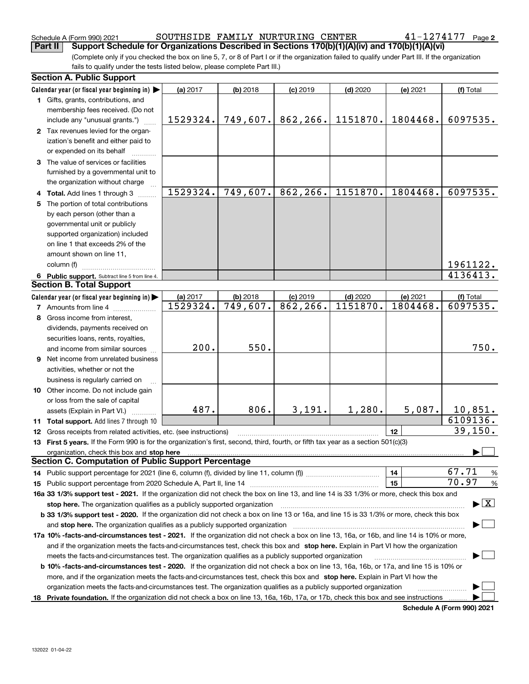Schedule A (Form 990) 2021 SOUTHSIDE FAMILY NURTURING CENTER 4 $1$ - $1274177$  Page

(Complete only if you checked the box on line 5, 7, or 8 of Part I or if the organization failed to qualify under Part III. If the organization fails to qualify under the tests listed below, please complete Part III.) **Part II Support Schedule for Organizations Described in Sections 170(b)(1)(A)(iv) and 170(b)(1)(A)(vi)**

|    | <b>Section A. Public Support</b>                                                                                                               |          |                       |            |            |          |                                          |
|----|------------------------------------------------------------------------------------------------------------------------------------------------|----------|-----------------------|------------|------------|----------|------------------------------------------|
|    | Calendar year (or fiscal year beginning in)                                                                                                    | (a) 2017 | $(b)$ 2018            | $(c)$ 2019 | $(d)$ 2020 | (e) 2021 | (f) Total                                |
|    | 1 Gifts, grants, contributions, and                                                                                                            |          |                       |            |            |          |                                          |
|    | membership fees received. (Do not                                                                                                              |          |                       |            |            |          |                                          |
|    | include any "unusual grants.")                                                                                                                 | 1529324. | 749,607.              | 862,266.   | 1151870.   | 1804468. | 6097535.                                 |
|    | 2 Tax revenues levied for the organ-                                                                                                           |          |                       |            |            |          |                                          |
|    | ization's benefit and either paid to                                                                                                           |          |                       |            |            |          |                                          |
|    | or expended on its behalf                                                                                                                      |          |                       |            |            |          |                                          |
|    | 3 The value of services or facilities                                                                                                          |          |                       |            |            |          |                                          |
|    | furnished by a governmental unit to                                                                                                            |          |                       |            |            |          |                                          |
|    | the organization without charge                                                                                                                |          |                       |            |            |          |                                          |
|    | 4 Total. Add lines 1 through 3                                                                                                                 | 1529324. | 749,607.              | 862, 266.  | 1151870.   | 1804468. | 6097535.                                 |
| 5. | The portion of total contributions                                                                                                             |          |                       |            |            |          |                                          |
|    | by each person (other than a                                                                                                                   |          |                       |            |            |          |                                          |
|    | governmental unit or publicly                                                                                                                  |          |                       |            |            |          |                                          |
|    |                                                                                                                                                |          |                       |            |            |          |                                          |
|    | supported organization) included                                                                                                               |          |                       |            |            |          |                                          |
|    | on line 1 that exceeds 2% of the                                                                                                               |          |                       |            |            |          |                                          |
|    | amount shown on line 11,                                                                                                                       |          |                       |            |            |          |                                          |
|    | column (f)                                                                                                                                     |          |                       |            |            |          | 1961122.                                 |
|    | 6 Public support. Subtract line 5 from line 4.                                                                                                 |          |                       |            |            |          | 4136413.                                 |
|    | <b>Section B. Total Support</b>                                                                                                                |          |                       |            |            |          |                                          |
|    | Calendar year (or fiscal year beginning in)                                                                                                    | (a) 2017 | $(b)$ 2018            | $(c)$ 2019 | $(d)$ 2020 | (e) 2021 | (f) Total                                |
|    | <b>7</b> Amounts from line 4                                                                                                                   | 1529324. | $\overline{749,}607.$ | 862, 266.  | 1151870.   | 1804468. | 6097535.                                 |
|    | 8 Gross income from interest,                                                                                                                  |          |                       |            |            |          |                                          |
|    | dividends, payments received on                                                                                                                |          |                       |            |            |          |                                          |
|    | securities loans, rents, royalties,                                                                                                            |          |                       |            |            |          |                                          |
|    | and income from similar sources                                                                                                                | 200.     | 550.                  |            |            |          | 750.                                     |
|    | 9 Net income from unrelated business                                                                                                           |          |                       |            |            |          |                                          |
|    | activities, whether or not the                                                                                                                 |          |                       |            |            |          |                                          |
|    | business is regularly carried on                                                                                                               |          |                       |            |            |          |                                          |
|    | 10 Other income. Do not include gain                                                                                                           |          |                       |            |            |          |                                          |
|    | or loss from the sale of capital                                                                                                               |          |                       |            |            |          |                                          |
|    | assets (Explain in Part VI.)                                                                                                                   | 487.     | 806.                  | 3,191.     | 1,280.     | 5,087.   | 10,851.                                  |
|    | 11 Total support. Add lines 7 through 10                                                                                                       |          |                       |            |            |          | 6109136.                                 |
|    | 12 Gross receipts from related activities, etc. (see instructions)                                                                             |          |                       |            |            | 12       | 39, 150.                                 |
|    | 13 First 5 years. If the Form 990 is for the organization's first, second, third, fourth, or fifth tax year as a section 501(c)(3)             |          |                       |            |            |          |                                          |
|    |                                                                                                                                                |          |                       |            |            |          |                                          |
|    | organization, check this box and stop here<br><b>Section C. Computation of Public Support Percentage</b>                                       |          |                       |            |            |          |                                          |
|    |                                                                                                                                                |          |                       |            |            | 14       | 67.71<br>%                               |
|    |                                                                                                                                                |          |                       |            |            | 15       | 70.97<br>$\%$                            |
|    |                                                                                                                                                |          |                       |            |            |          |                                          |
|    | 16a 33 1/3% support test - 2021. If the organization did not check the box on line 13, and line 14 is 33 1/3% or more, check this box and      |          |                       |            |            |          | $\blacktriangleright$ $\boxed{\text{X}}$ |
|    | stop here. The organization qualifies as a publicly supported organization                                                                     |          |                       |            |            |          |                                          |
|    | b 33 1/3% support test - 2020. If the organization did not check a box on line 13 or 16a, and line 15 is 33 1/3% or more, check this box       |          |                       |            |            |          |                                          |
|    | and stop here. The organization qualifies as a publicly supported organization                                                                 |          |                       |            |            |          |                                          |
|    | 17a 10% -facts-and-circumstances test - 2021. If the organization did not check a box on line 13, 16a, or 16b, and line 14 is 10% or more,     |          |                       |            |            |          |                                          |
|    | and if the organization meets the facts-and-circumstances test, check this box and stop here. Explain in Part VI how the organization          |          |                       |            |            |          |                                          |
|    | meets the facts-and-circumstances test. The organization qualifies as a publicly supported organization                                        |          |                       |            |            |          |                                          |
|    | <b>b 10% -facts-and-circumstances test - 2020.</b> If the organization did not check a box on line 13, 16a, 16b, or 17a, and line 15 is 10% or |          |                       |            |            |          |                                          |
|    | more, and if the organization meets the facts-and-circumstances test, check this box and stop here. Explain in Part VI how the                 |          |                       |            |            |          |                                          |
|    | organization meets the facts-and-circumstances test. The organization qualifies as a publicly supported organization                           |          |                       |            |            |          |                                          |
|    | 18 Private foundation. If the organization did not check a box on line 13, 16a, 16b, 17a, or 17b, check this box and see instructions          |          |                       |            |            |          |                                          |

**Schedule A (Form 990) 2021**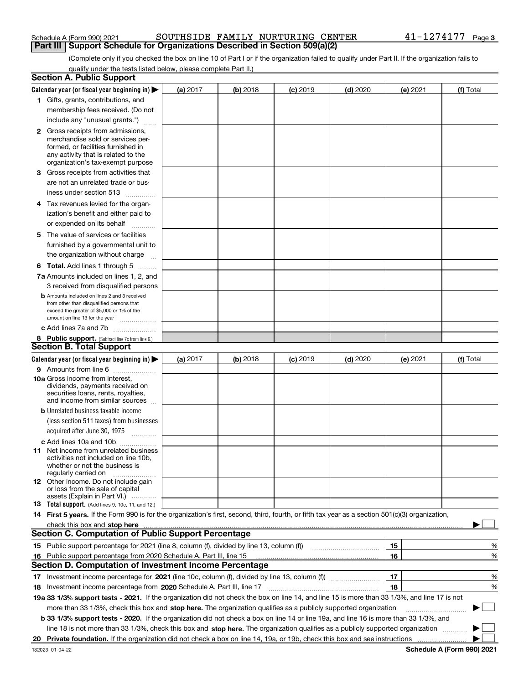#### Schedule A (Form 990) 2021 SOUTHSIDE FAMILY NURTURING CENTER 4 $1$ - $1274177$  Page **Part III Support Schedule for Organizations Described in Section 509(a)(2)**

(Complete only if you checked the box on line 10 of Part I or if the organization failed to qualify under Part II. If the organization fails to qualify under the tests listed below, please complete Part II.)

|    | <b>Section A. Public Support</b>                                                                                                                                                                                                    |          |          |                 |            |          |           |
|----|-------------------------------------------------------------------------------------------------------------------------------------------------------------------------------------------------------------------------------------|----------|----------|-----------------|------------|----------|-----------|
|    | Calendar year (or fiscal year beginning in) $\blacktriangleright$                                                                                                                                                                   | (a) 2017 | (b) 2018 | <b>(c)</b> 2019 | $(d)$ 2020 | (e) 2021 | (f) Total |
|    | 1 Gifts, grants, contributions, and                                                                                                                                                                                                 |          |          |                 |            |          |           |
|    | membership fees received. (Do not                                                                                                                                                                                                   |          |          |                 |            |          |           |
|    | include any "unusual grants.")                                                                                                                                                                                                      |          |          |                 |            |          |           |
|    | <b>2</b> Gross receipts from admissions,                                                                                                                                                                                            |          |          |                 |            |          |           |
|    | merchandise sold or services per-                                                                                                                                                                                                   |          |          |                 |            |          |           |
|    | formed, or facilities furnished in                                                                                                                                                                                                  |          |          |                 |            |          |           |
|    | any activity that is related to the<br>organization's tax-exempt purpose                                                                                                                                                            |          |          |                 |            |          |           |
|    |                                                                                                                                                                                                                                     |          |          |                 |            |          |           |
|    | 3 Gross receipts from activities that                                                                                                                                                                                               |          |          |                 |            |          |           |
|    | are not an unrelated trade or bus-                                                                                                                                                                                                  |          |          |                 |            |          |           |
|    | iness under section 513                                                                                                                                                                                                             |          |          |                 |            |          |           |
|    | 4 Tax revenues levied for the organ-                                                                                                                                                                                                |          |          |                 |            |          |           |
|    | ization's benefit and either paid to                                                                                                                                                                                                |          |          |                 |            |          |           |
|    | or expended on its behalf<br>.                                                                                                                                                                                                      |          |          |                 |            |          |           |
|    | 5 The value of services or facilities                                                                                                                                                                                               |          |          |                 |            |          |           |
|    | furnished by a governmental unit to                                                                                                                                                                                                 |          |          |                 |            |          |           |
|    | the organization without charge                                                                                                                                                                                                     |          |          |                 |            |          |           |
|    | <b>6 Total.</b> Add lines 1 through 5 $\dots$                                                                                                                                                                                       |          |          |                 |            |          |           |
|    | 7a Amounts included on lines 1, 2, and                                                                                                                                                                                              |          |          |                 |            |          |           |
|    | 3 received from disqualified persons                                                                                                                                                                                                |          |          |                 |            |          |           |
|    | <b>b</b> Amounts included on lines 2 and 3 received                                                                                                                                                                                 |          |          |                 |            |          |           |
|    | from other than disqualified persons that                                                                                                                                                                                           |          |          |                 |            |          |           |
|    | exceed the greater of \$5,000 or 1% of the                                                                                                                                                                                          |          |          |                 |            |          |           |
|    | amount on line 13 for the year                                                                                                                                                                                                      |          |          |                 |            |          |           |
|    | c Add lines 7a and 7b                                                                                                                                                                                                               |          |          |                 |            |          |           |
|    | 8 Public support. (Subtract line 7c from line 6.)<br><b>Section B. Total Support</b>                                                                                                                                                |          |          |                 |            |          |           |
|    |                                                                                                                                                                                                                                     |          |          |                 |            |          |           |
|    | Calendar year (or fiscal year beginning in)                                                                                                                                                                                         | (a) 2017 | (b) 2018 | <b>(c)</b> 2019 | $(d)$ 2020 | (e) 2021 | (f) Total |
|    | 9 Amounts from line 6                                                                                                                                                                                                               |          |          |                 |            |          |           |
|    | 10a Gross income from interest,<br>dividends, payments received on                                                                                                                                                                  |          |          |                 |            |          |           |
|    | securities loans, rents, royalties,                                                                                                                                                                                                 |          |          |                 |            |          |           |
|    | and income from similar sources                                                                                                                                                                                                     |          |          |                 |            |          |           |
|    | <b>b</b> Unrelated business taxable income                                                                                                                                                                                          |          |          |                 |            |          |           |
|    | (less section 511 taxes) from businesses                                                                                                                                                                                            |          |          |                 |            |          |           |
|    | acquired after June 30, 1975 [10001]                                                                                                                                                                                                |          |          |                 |            |          |           |
|    | c Add lines 10a and 10b                                                                                                                                                                                                             |          |          |                 |            |          |           |
|    | 11 Net income from unrelated business                                                                                                                                                                                               |          |          |                 |            |          |           |
|    | activities not included on line 10b,                                                                                                                                                                                                |          |          |                 |            |          |           |
|    | whether or not the business is                                                                                                                                                                                                      |          |          |                 |            |          |           |
|    | regularly carried on<br><b>12</b> Other income. Do not include gain                                                                                                                                                                 |          |          |                 |            |          |           |
|    | or loss from the sale of capital                                                                                                                                                                                                    |          |          |                 |            |          |           |
|    | assets (Explain in Part VI.)                                                                                                                                                                                                        |          |          |                 |            |          |           |
|    | 13 Total support. (Add lines 9, 10c, 11, and 12.)                                                                                                                                                                                   |          |          |                 |            |          |           |
|    | 14 First 5 years. If the Form 990 is for the organization's first, second, third, fourth, or fifth tax year as a section 501(c)(3) organization,                                                                                    |          |          |                 |            |          |           |
|    | check this box and stop here <b>contractly contractly and stop here</b> contractly contract the stop here contractly and stop here contractly and stop here contractly and stop here contractly and stop here contractly and stop h |          |          |                 |            |          |           |
|    | <b>Section C. Computation of Public Support Percentage</b>                                                                                                                                                                          |          |          |                 |            |          |           |
|    | 15 Public support percentage for 2021 (line 8, column (f), divided by line 13, column (f))                                                                                                                                          |          |          |                 |            | 15       | %         |
| 16 | Public support percentage from 2020 Schedule A, Part III, line 15                                                                                                                                                                   |          |          |                 |            | 16       | %         |
|    | <b>Section D. Computation of Investment Income Percentage</b>                                                                                                                                                                       |          |          |                 |            |          |           |
|    | 17 Investment income percentage for 2021 (line 10c, column (f), divided by line 13, column (f))                                                                                                                                     |          |          |                 |            | 17       | %         |
|    | 18 Investment income percentage from 2020 Schedule A, Part III, line 17                                                                                                                                                             |          |          |                 |            | 18       | %         |
|    | 19a 33 1/3% support tests - 2021. If the organization did not check the box on line 14, and line 15 is more than 33 1/3%, and line 17 is not                                                                                        |          |          |                 |            |          |           |
|    | more than 33 1/3%, check this box and stop here. The organization qualifies as a publicly supported organization                                                                                                                    |          |          |                 |            |          | $\sim$ 1  |
|    | b 33 1/3% support tests - 2020. If the organization did not check a box on line 14 or line 19a, and line 16 is more than 33 1/3%, and                                                                                               |          |          |                 |            |          |           |
|    | line 18 is not more than 33 1/3%, check this box and stop here. The organization qualifies as a publicly supported organization                                                                                                     |          |          |                 |            |          |           |
| 20 |                                                                                                                                                                                                                                     |          |          |                 |            |          |           |
|    |                                                                                                                                                                                                                                     |          |          |                 |            |          |           |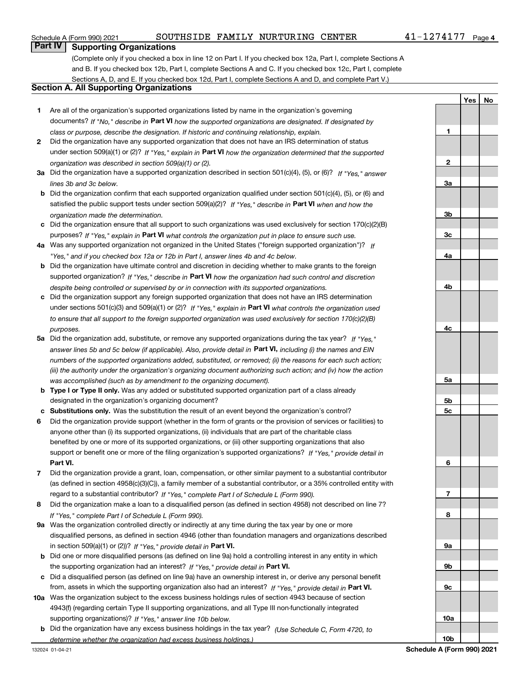### Schedule A (Form 990) 2021 SOUTHSIDE FAMILY NURTURING CENTER 4 $1$ - $1274177$  Page

**YesNo**

### **Part IV Supporting Organizations**

(Complete only if you checked a box in line 12 on Part I. If you checked box 12a, Part I, complete Sections A and B. If you checked box 12b, Part I, complete Sections A and C. If you checked box 12c, Part I, complete Sections A, D, and E. If you checked box 12d, Part I, complete Sections A and D, and complete Part V.)

#### **Section A. All Supporting Organizations**

- **1** Are all of the organization's supported organizations listed by name in the organization's governing documents? If "No," describe in **Part VI** how the supported organizations are designated. If designated by *class or purpose, describe the designation. If historic and continuing relationship, explain.*
- **2** Did the organization have any supported organization that does not have an IRS determination of status under section 509(a)(1) or (2)? If "Yes," explain in Part VI how the organization determined that the supported *organization was described in section 509(a)(1) or (2).*
- **3a** Did the organization have a supported organization described in section 501(c)(4), (5), or (6)? If "Yes," answer *lines 3b and 3c below.*
- **b** Did the organization confirm that each supported organization qualified under section 501(c)(4), (5), or (6) and satisfied the public support tests under section 509(a)(2)? If "Yes," describe in **Part VI** when and how the *organization made the determination.*
- **c**Did the organization ensure that all support to such organizations was used exclusively for section 170(c)(2)(B) purposes? If "Yes," explain in **Part VI** what controls the organization put in place to ensure such use.
- **4a***If* Was any supported organization not organized in the United States ("foreign supported organization")? *"Yes," and if you checked box 12a or 12b in Part I, answer lines 4b and 4c below.*
- **b** Did the organization have ultimate control and discretion in deciding whether to make grants to the foreign supported organization? If "Yes," describe in **Part VI** how the organization had such control and discretion *despite being controlled or supervised by or in connection with its supported organizations.*
- **c** Did the organization support any foreign supported organization that does not have an IRS determination under sections 501(c)(3) and 509(a)(1) or (2)? If "Yes," explain in **Part VI** what controls the organization used *to ensure that all support to the foreign supported organization was used exclusively for section 170(c)(2)(B) purposes.*
- **5a***If "Yes,"* Did the organization add, substitute, or remove any supported organizations during the tax year? answer lines 5b and 5c below (if applicable). Also, provide detail in **Part VI,** including (i) the names and EIN *numbers of the supported organizations added, substituted, or removed; (ii) the reasons for each such action; (iii) the authority under the organization's organizing document authorizing such action; and (iv) how the action was accomplished (such as by amendment to the organizing document).*
- **b** Type I or Type II only. Was any added or substituted supported organization part of a class already designated in the organization's organizing document?
- **cSubstitutions only.**  Was the substitution the result of an event beyond the organization's control?
- **6** Did the organization provide support (whether in the form of grants or the provision of services or facilities) to **Part VI.** *If "Yes," provide detail in* support or benefit one or more of the filing organization's supported organizations? anyone other than (i) its supported organizations, (ii) individuals that are part of the charitable class benefited by one or more of its supported organizations, or (iii) other supporting organizations that also
- **7**Did the organization provide a grant, loan, compensation, or other similar payment to a substantial contributor *If "Yes," complete Part I of Schedule L (Form 990).* regard to a substantial contributor? (as defined in section 4958(c)(3)(C)), a family member of a substantial contributor, or a 35% controlled entity with
- **8** Did the organization make a loan to a disqualified person (as defined in section 4958) not described on line 7? *If "Yes," complete Part I of Schedule L (Form 990).*
- **9a** Was the organization controlled directly or indirectly at any time during the tax year by one or more in section 509(a)(1) or (2))? If "Yes," *provide detail in* <code>Part VI.</code> disqualified persons, as defined in section 4946 (other than foundation managers and organizations described
- **b** Did one or more disqualified persons (as defined on line 9a) hold a controlling interest in any entity in which the supporting organization had an interest? If "Yes," provide detail in P**art VI**.
- **c**Did a disqualified person (as defined on line 9a) have an ownership interest in, or derive any personal benefit from, assets in which the supporting organization also had an interest? If "Yes," provide detail in P**art VI.**
- **10a** Was the organization subject to the excess business holdings rules of section 4943 because of section supporting organizations)? If "Yes," answer line 10b below. 4943(f) (regarding certain Type II supporting organizations, and all Type III non-functionally integrated
- **b** Did the organization have any excess business holdings in the tax year? (Use Schedule C, Form 4720, to *determine whether the organization had excess business holdings.)*

**123a3b3c4a4b4c5a5b5c6789a 9b9c10a**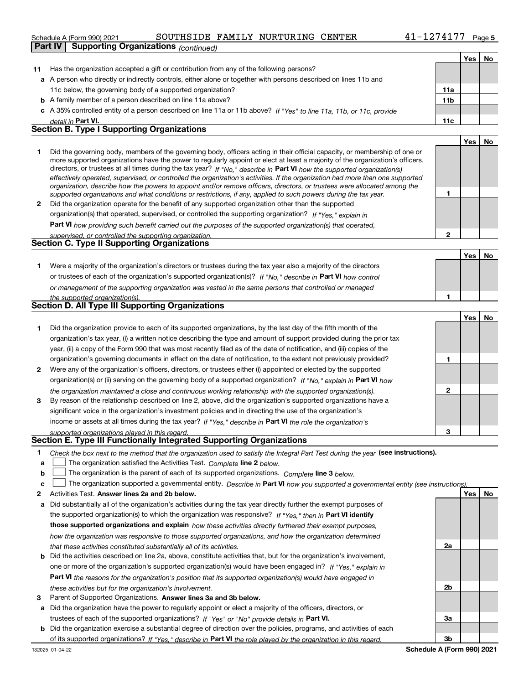#### Schedule A (Form 990) 2021 SOUTHSIDE FAMILY NURTURING CENTER 4 $1$ - $1274177$  Page

|              | Part IV | <b>Supporting Organizations (continued)</b>                                                                                                                                                                                                                                                                                                                                                                                                                                                                                                                                                                                                          |                 |     |     |
|--------------|---------|------------------------------------------------------------------------------------------------------------------------------------------------------------------------------------------------------------------------------------------------------------------------------------------------------------------------------------------------------------------------------------------------------------------------------------------------------------------------------------------------------------------------------------------------------------------------------------------------------------------------------------------------------|-----------------|-----|-----|
|              |         |                                                                                                                                                                                                                                                                                                                                                                                                                                                                                                                                                                                                                                                      |                 | Yes | No. |
| 11           |         | Has the organization accepted a gift or contribution from any of the following persons?                                                                                                                                                                                                                                                                                                                                                                                                                                                                                                                                                              |                 |     |     |
|              |         | a A person who directly or indirectly controls, either alone or together with persons described on lines 11b and                                                                                                                                                                                                                                                                                                                                                                                                                                                                                                                                     |                 |     |     |
|              |         | 11c below, the governing body of a supported organization?                                                                                                                                                                                                                                                                                                                                                                                                                                                                                                                                                                                           | 11a             |     |     |
|              |         | <b>b</b> A family member of a person described on line 11a above?                                                                                                                                                                                                                                                                                                                                                                                                                                                                                                                                                                                    | 11 <sub>b</sub> |     |     |
|              |         | c A 35% controlled entity of a person described on line 11a or 11b above? If "Yes" to line 11a, 11b, or 11c, provide                                                                                                                                                                                                                                                                                                                                                                                                                                                                                                                                 |                 |     |     |
|              |         | detail in Part VI.                                                                                                                                                                                                                                                                                                                                                                                                                                                                                                                                                                                                                                   | 11c             |     |     |
|              |         | <b>Section B. Type I Supporting Organizations</b>                                                                                                                                                                                                                                                                                                                                                                                                                                                                                                                                                                                                    |                 |     |     |
|              |         |                                                                                                                                                                                                                                                                                                                                                                                                                                                                                                                                                                                                                                                      |                 | Yes | No  |
| 1            |         | Did the governing body, members of the governing body, officers acting in their official capacity, or membership of one or<br>more supported organizations have the power to regularly appoint or elect at least a majority of the organization's officers,<br>directors, or trustees at all times during the tax year? If "No," describe in Part VI how the supported organization(s)<br>effectively operated, supervised, or controlled the organization's activities. If the organization had more than one supported<br>organization, describe how the powers to appoint and/or remove officers, directors, or trustees were allocated among the |                 |     |     |
|              |         | supported organizations and what conditions or restrictions, if any, applied to such powers during the tax year.                                                                                                                                                                                                                                                                                                                                                                                                                                                                                                                                     | 1               |     |     |
| $\mathbf{2}$ |         | Did the organization operate for the benefit of any supported organization other than the supported                                                                                                                                                                                                                                                                                                                                                                                                                                                                                                                                                  |                 |     |     |
|              |         | organization(s) that operated, supervised, or controlled the supporting organization? If "Yes," explain in                                                                                                                                                                                                                                                                                                                                                                                                                                                                                                                                           |                 |     |     |
|              |         | <b>Part VI</b> how providing such benefit carried out the purposes of the supported organization(s) that operated,                                                                                                                                                                                                                                                                                                                                                                                                                                                                                                                                   |                 |     |     |
|              |         | supervised, or controlled the supporting organization.                                                                                                                                                                                                                                                                                                                                                                                                                                                                                                                                                                                               | $\mathbf{2}$    |     |     |
|              |         | <b>Section C. Type II Supporting Organizations</b>                                                                                                                                                                                                                                                                                                                                                                                                                                                                                                                                                                                                   |                 |     |     |
|              |         |                                                                                                                                                                                                                                                                                                                                                                                                                                                                                                                                                                                                                                                      |                 | Yes | No. |
| 1.           |         | Were a majority of the organization's directors or trustees during the tax year also a majority of the directors                                                                                                                                                                                                                                                                                                                                                                                                                                                                                                                                     |                 |     |     |
|              |         | or trustees of each of the organization's supported organization(s)? If "No," describe in Part VI how control                                                                                                                                                                                                                                                                                                                                                                                                                                                                                                                                        |                 |     |     |
|              |         | or management of the supporting organization was vested in the same persons that controlled or managed                                                                                                                                                                                                                                                                                                                                                                                                                                                                                                                                               |                 |     |     |
|              |         | the supported organization(s).                                                                                                                                                                                                                                                                                                                                                                                                                                                                                                                                                                                                                       | 1               |     |     |
|              |         | Section D. All Type III Supporting Organizations                                                                                                                                                                                                                                                                                                                                                                                                                                                                                                                                                                                                     |                 |     |     |
|              |         |                                                                                                                                                                                                                                                                                                                                                                                                                                                                                                                                                                                                                                                      |                 | Yes | No  |
| 1            |         | Did the organization provide to each of its supported organizations, by the last day of the fifth month of the                                                                                                                                                                                                                                                                                                                                                                                                                                                                                                                                       |                 |     |     |
|              |         | organization's tax year, (i) a written notice describing the type and amount of support provided during the prior tax                                                                                                                                                                                                                                                                                                                                                                                                                                                                                                                                |                 |     |     |
|              |         | year, (ii) a copy of the Form 990 that was most recently filed as of the date of notification, and (iii) copies of the                                                                                                                                                                                                                                                                                                                                                                                                                                                                                                                               |                 |     |     |
|              |         | organization's governing documents in effect on the date of notification, to the extent not previously provided?                                                                                                                                                                                                                                                                                                                                                                                                                                                                                                                                     | 1               |     |     |
| $\mathbf{2}$ |         | Were any of the organization's officers, directors, or trustees either (i) appointed or elected by the supported                                                                                                                                                                                                                                                                                                                                                                                                                                                                                                                                     |                 |     |     |
|              |         | organization(s) or (ii) serving on the governing body of a supported organization? If "No." explain in Part VI how                                                                                                                                                                                                                                                                                                                                                                                                                                                                                                                                   |                 |     |     |
|              |         | the organization maintained a close and continuous working relationship with the supported organization(s).                                                                                                                                                                                                                                                                                                                                                                                                                                                                                                                                          | $\mathbf{2}$    |     |     |
| 3            |         | By reason of the relationship described on line 2, above, did the organization's supported organizations have a                                                                                                                                                                                                                                                                                                                                                                                                                                                                                                                                      |                 |     |     |
|              |         | significant voice in the organization's investment policies and in directing the use of the organization's                                                                                                                                                                                                                                                                                                                                                                                                                                                                                                                                           |                 |     |     |
|              |         | income or assets at all times during the tax year? If "Yes," describe in Part VI the role the organization's                                                                                                                                                                                                                                                                                                                                                                                                                                                                                                                                         |                 |     |     |
|              |         | supported organizations played in this regard.<br>Section E. Type III Functionally Integrated Supporting Organizations                                                                                                                                                                                                                                                                                                                                                                                                                                                                                                                               | 3               |     |     |

| Check the box next to the method that the organization used to satisfy the Integral Part Test during the year (see instructions). |  |
|-----------------------------------------------------------------------------------------------------------------------------------|--|
|                                                                                                                                   |  |

- **alinupy** The organization satisfied the Activities Test. Complete line 2 below.
- **bThe organization is the parent of each of its supported organizations. Complete line 3 below.**

|  |  |  | $\mathbf{c}$ $\Box$ The organization supported a governmental entity. Describe in Part VI how you supported a governmental entity (see instructions). |  |
|--|--|--|-------------------------------------------------------------------------------------------------------------------------------------------------------|--|
|--|--|--|-------------------------------------------------------------------------------------------------------------------------------------------------------|--|

- **2Answer lines 2a and 2b below. Yes No** Activities Test.
- **a** Did substantially all of the organization's activities during the tax year directly further the exempt purposes of the supported organization(s) to which the organization was responsive? If "Yes," then in **Part VI identify those supported organizations and explain**  *how these activities directly furthered their exempt purposes, how the organization was responsive to those supported organizations, and how the organization determined that these activities constituted substantially all of its activities.*
- **b** Did the activities described on line 2a, above, constitute activities that, but for the organization's involvement, **Part VI**  *the reasons for the organization's position that its supported organization(s) would have engaged in* one or more of the organization's supported organization(s) would have been engaged in? If "Yes," e*xplain in these activities but for the organization's involvement.*
- **3** Parent of Supported Organizations. Answer lines 3a and 3b below.
- **a** Did the organization have the power to regularly appoint or elect a majority of the officers, directors, or trustees of each of the supported organizations? If "Yes" or "No" provide details in **Part VI.**
- **b** Did the organization exercise a substantial degree of direction over the policies, programs, and activities of each of its supported organizations? If "Yes," describe in Part VI the role played by the organization in this regard.

**2a**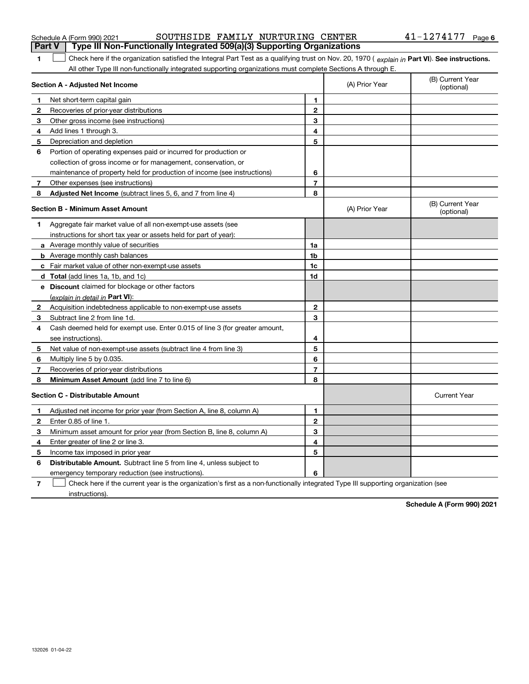|                | SOUTHSIDE FAMILY NURTURING CENTER<br>Schedule A (Form 990) 2021                                                                                |                |                | $41 - 1274177$ Page 6          |
|----------------|------------------------------------------------------------------------------------------------------------------------------------------------|----------------|----------------|--------------------------------|
| <b>Part V</b>  | Type III Non-Functionally Integrated 509(a)(3) Supporting Organizations                                                                        |                |                |                                |
| 1              | Check here if the organization satisfied the Integral Part Test as a qualifying trust on Nov. 20, 1970 (explain in Part VI). See instructions. |                |                |                                |
|                | All other Type III non-functionally integrated supporting organizations must complete Sections A through E.                                    |                |                |                                |
|                | Section A - Adjusted Net Income                                                                                                                |                | (A) Prior Year | (B) Current Year<br>(optional) |
| 1              | Net short-term capital gain                                                                                                                    | $\mathbf{1}$   |                |                                |
| 2              | Recoveries of prior-year distributions                                                                                                         | $\mathbf 2$    |                |                                |
| 3              | Other gross income (see instructions)                                                                                                          | 3              |                |                                |
| 4              | Add lines 1 through 3.                                                                                                                         | 4              |                |                                |
| 5              | Depreciation and depletion                                                                                                                     | 5              |                |                                |
| 6              | Portion of operating expenses paid or incurred for production or                                                                               |                |                |                                |
|                | collection of gross income or for management, conservation, or                                                                                 |                |                |                                |
|                | maintenance of property held for production of income (see instructions)                                                                       | 6              |                |                                |
| 7 <sup>7</sup> | Other expenses (see instructions)                                                                                                              | $\overline{7}$ |                |                                |
| 8              | Adjusted Net Income (subtract lines 5, 6, and 7 from line 4)                                                                                   | 8              |                |                                |
|                | <b>Section B - Minimum Asset Amount</b>                                                                                                        |                | (A) Prior Year | (B) Current Year<br>(optional) |
| 1              | Aggregate fair market value of all non-exempt-use assets (see                                                                                  |                |                |                                |
|                | instructions for short tax year or assets held for part of year):                                                                              |                |                |                                |
|                | <b>a</b> Average monthly value of securities                                                                                                   | 1a             |                |                                |
|                | <b>b</b> Average monthly cash balances                                                                                                         | 1 <sub>b</sub> |                |                                |
|                | c Fair market value of other non-exempt-use assets                                                                                             | 1c             |                |                                |
|                | d Total (add lines 1a, 1b, and 1c)                                                                                                             | 1d             |                |                                |
|                | e Discount claimed for blockage or other factors                                                                                               |                |                |                                |
|                | (explain in detail in Part VI):                                                                                                                |                |                |                                |
| $\mathbf{2}$   | Acquisition indebtedness applicable to non-exempt-use assets                                                                                   | $\mathbf{2}$   |                |                                |
| 3              | Subtract line 2 from line 1d.                                                                                                                  | 3              |                |                                |
| 4              | Cash deemed held for exempt use. Enter 0.015 of line 3 (for greater amount,                                                                    |                |                |                                |
|                | see instructions)                                                                                                                              | 4              |                |                                |
| 5              | Net value of non-exempt-use assets (subtract line 4 from line 3)                                                                               | 5              |                |                                |
| 6              | Multiply line 5 by 0.035.                                                                                                                      | 6              |                |                                |
| 7              | Recoveries of prior-year distributions                                                                                                         | $\overline{7}$ |                |                                |
| 8              | Minimum Asset Amount (add line 7 to line 6)                                                                                                    | 8              |                |                                |
|                | <b>Section C - Distributable Amount</b>                                                                                                        |                |                | <b>Current Year</b>            |
| 1              | Adjusted net income for prior year (from Section A, line 8, column A)                                                                          | 1              |                |                                |
| $\mathbf{2}$   | Enter 0.85 of line 1.                                                                                                                          | $\mathbf{2}$   |                |                                |
| З              | Minimum asset amount for prior year (from Section B, line 8, column A)                                                                         | 3              |                |                                |
| 4              | Enter greater of line 2 or line 3.                                                                                                             | 4              |                |                                |
| 5              | Income tax imposed in prior year                                                                                                               | 5              |                |                                |

**6Distributable Amount.** Subtract line 5 from line 4, unless subject to

emergency temporary reduction (see instructions).

**7**Check here if the current year is the organization's first as a non-functionally integrated Type III supporting organization (see instructions).  $\mathcal{L}^{\text{max}}$ 

**6**

**Schedule A (Form 990) 2021**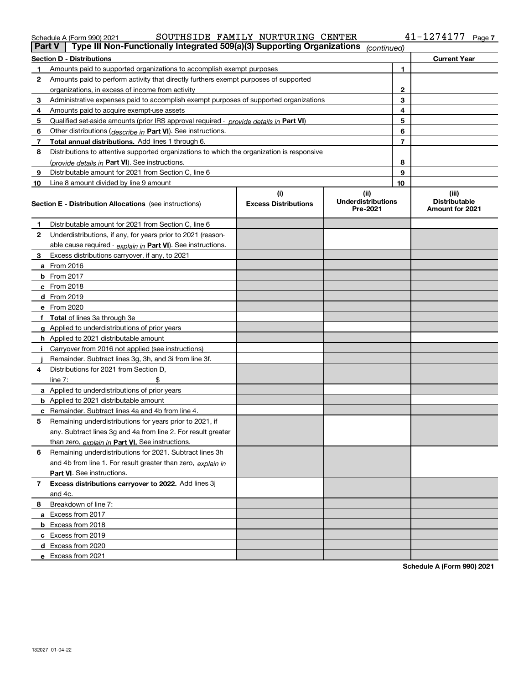132027 01-04-22

| Schedule A (Form 990) 2021                                                                                    |  | SOUTHSIDE FAMILY NURTURING CENTER |  | 41-1274177 | Page <sup>-</sup> |
|---------------------------------------------------------------------------------------------------------------|--|-----------------------------------|--|------------|-------------------|
| $\blacksquare$ Type III Non-Eunetianally Integrated E00(e)(2) Supporting Organizations .<br>$D_{\rm out}$ $V$ |  |                                   |  |            |                   |

| Part V | Type III Non-Functionally Integrated 509(a)(3) Supporting Organizations                    |                             | (continued)                           |    |                                                |
|--------|--------------------------------------------------------------------------------------------|-----------------------------|---------------------------------------|----|------------------------------------------------|
|        | <b>Section D - Distributions</b>                                                           |                             |                                       |    | <b>Current Year</b>                            |
| 1.     | Amounts paid to supported organizations to accomplish exempt purposes                      | 1                           |                                       |    |                                                |
| 2      | Amounts paid to perform activity that directly furthers exempt purposes of supported       |                             |                                       |    |                                                |
|        | organizations, in excess of income from activity                                           | $\mathbf{2}$                |                                       |    |                                                |
| 3      | Administrative expenses paid to accomplish exempt purposes of supported organizations      |                             | 3                                     |    |                                                |
| 4      | Amounts paid to acquire exempt-use assets                                                  | 4                           |                                       |    |                                                |
| 5      | Qualified set-aside amounts (prior IRS approval required - provide details in Part VI)     |                             |                                       | 5  |                                                |
| 6      | Other distributions ( <i>describe in</i> Part VI). See instructions.                       |                             |                                       | 6  |                                                |
| 7      | Total annual distributions. Add lines 1 through 6.                                         |                             |                                       | 7  |                                                |
| 8      | Distributions to attentive supported organizations to which the organization is responsive |                             |                                       |    |                                                |
|        | (provide details in Part VI). See instructions.                                            |                             |                                       | 8  |                                                |
| 9      | Distributable amount for 2021 from Section C, line 6                                       |                             |                                       | 9  |                                                |
| 10     | Line 8 amount divided by line 9 amount                                                     |                             |                                       | 10 |                                                |
|        |                                                                                            | (i)                         | (ii)                                  |    | (iii)                                          |
|        | <b>Section E - Distribution Allocations</b> (see instructions)                             | <b>Excess Distributions</b> | <b>Underdistributions</b><br>Pre-2021 |    | <b>Distributable</b><br><b>Amount for 2021</b> |
| 1      | Distributable amount for 2021 from Section C, line 6                                       |                             |                                       |    |                                                |
| 2      | Underdistributions, if any, for years prior to 2021 (reason-                               |                             |                                       |    |                                                |
|        | able cause required - explain in Part VI). See instructions.                               |                             |                                       |    |                                                |
| 3      | Excess distributions carryover, if any, to 2021                                            |                             |                                       |    |                                                |
|        | a From 2016                                                                                |                             |                                       |    |                                                |
|        | <b>b</b> From 2017                                                                         |                             |                                       |    |                                                |
|        | c From 2018                                                                                |                             |                                       |    |                                                |
|        | d From 2019                                                                                |                             |                                       |    |                                                |
|        | e From 2020                                                                                |                             |                                       |    |                                                |
|        | f Total of lines 3a through 3e                                                             |                             |                                       |    |                                                |
|        | g Applied to underdistributions of prior years                                             |                             |                                       |    |                                                |
|        | h Applied to 2021 distributable amount                                                     |                             |                                       |    |                                                |
|        | Carryover from 2016 not applied (see instructions)                                         |                             |                                       |    |                                                |
|        | Remainder. Subtract lines 3g, 3h, and 3i from line 3f.                                     |                             |                                       |    |                                                |
| 4      | Distributions for 2021 from Section D.                                                     |                             |                                       |    |                                                |
|        | line $7:$                                                                                  |                             |                                       |    |                                                |
|        | a Applied to underdistributions of prior years                                             |                             |                                       |    |                                                |
|        | <b>b</b> Applied to 2021 distributable amount                                              |                             |                                       |    |                                                |
|        | c Remainder. Subtract lines 4a and 4b from line 4.                                         |                             |                                       |    |                                                |
| 5      | Remaining underdistributions for years prior to 2021, if                                   |                             |                                       |    |                                                |
|        | any. Subtract lines 3g and 4a from line 2. For result greater                              |                             |                                       |    |                                                |
|        | than zero, explain in Part VI. See instructions.                                           |                             |                                       |    |                                                |
| 6      | Remaining underdistributions for 2021. Subtract lines 3h                                   |                             |                                       |    |                                                |
|        | and 4b from line 1. For result greater than zero, explain in                               |                             |                                       |    |                                                |
|        | <b>Part VI.</b> See instructions.                                                          |                             |                                       |    |                                                |
| 7      | Excess distributions carryover to 2022. Add lines 3j                                       |                             |                                       |    |                                                |
|        | and 4c.                                                                                    |                             |                                       |    |                                                |
| 8.     | Breakdown of line 7:                                                                       |                             |                                       |    |                                                |
|        | a Excess from 2017                                                                         |                             |                                       |    |                                                |
|        | b Excess from 2018                                                                         |                             |                                       |    |                                                |
|        | c Excess from 2019                                                                         |                             |                                       |    |                                                |
|        | d Excess from 2020                                                                         |                             |                                       |    |                                                |
|        | e Excess from 2021                                                                         |                             |                                       |    |                                                |
|        |                                                                                            |                             |                                       |    |                                                |

**Schedule A (Form 990) 2021**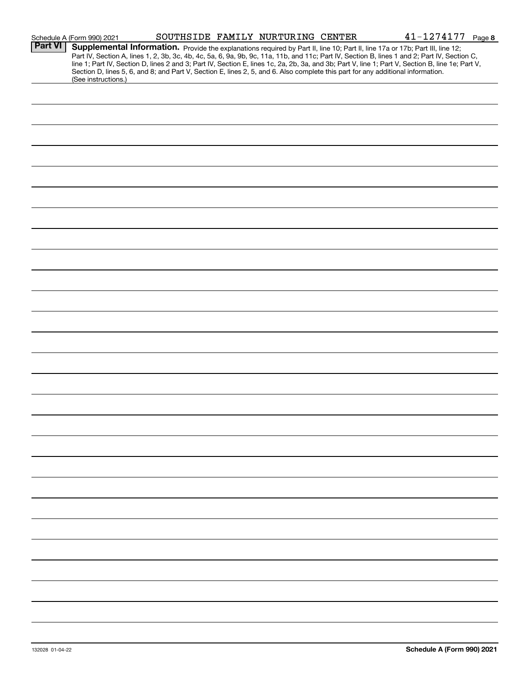|                | Schedule A (Form 990) 2021                                                                                                                                                                                                                                                              |  | SOUTHSIDE FAMILY NURTURING CENTER | 41-1274177<br>Page 8                                                                                                                                                                                                                                                                             |
|----------------|-----------------------------------------------------------------------------------------------------------------------------------------------------------------------------------------------------------------------------------------------------------------------------------------|--|-----------------------------------|--------------------------------------------------------------------------------------------------------------------------------------------------------------------------------------------------------------------------------------------------------------------------------------------------|
| <b>Part VI</b> | Supplemental Information. Provide the explanations required by Part II, line 10; Part II, line 17a or 17b; Part III, line 12;<br>Section D, lines 5, 6, and 8; and Part V, Section E, lines 2, 5, and 6. Also complete this part for any additional information.<br>(See instructions.) |  |                                   | Part IV, Section A, lines 1, 2, 3b, 3c, 4b, 4c, 5a, 6, 9a, 9b, 9c, 11a, 11b, and 11c; Part IV, Section B, lines 1 and 2; Part IV, Section C,<br>line 1; Part IV, Section D, lines 2 and 3; Part IV, Section E, lines 1c, 2a, 2b, 3a, and 3b; Part V, line 1; Part V, Section B, line 1e; Part V, |
|                |                                                                                                                                                                                                                                                                                         |  |                                   |                                                                                                                                                                                                                                                                                                  |
|                |                                                                                                                                                                                                                                                                                         |  |                                   |                                                                                                                                                                                                                                                                                                  |
|                |                                                                                                                                                                                                                                                                                         |  |                                   |                                                                                                                                                                                                                                                                                                  |
|                |                                                                                                                                                                                                                                                                                         |  |                                   |                                                                                                                                                                                                                                                                                                  |
|                |                                                                                                                                                                                                                                                                                         |  |                                   |                                                                                                                                                                                                                                                                                                  |
|                |                                                                                                                                                                                                                                                                                         |  |                                   |                                                                                                                                                                                                                                                                                                  |
|                |                                                                                                                                                                                                                                                                                         |  |                                   |                                                                                                                                                                                                                                                                                                  |
|                |                                                                                                                                                                                                                                                                                         |  |                                   |                                                                                                                                                                                                                                                                                                  |
|                |                                                                                                                                                                                                                                                                                         |  |                                   |                                                                                                                                                                                                                                                                                                  |
|                |                                                                                                                                                                                                                                                                                         |  |                                   |                                                                                                                                                                                                                                                                                                  |
|                |                                                                                                                                                                                                                                                                                         |  |                                   |                                                                                                                                                                                                                                                                                                  |
|                |                                                                                                                                                                                                                                                                                         |  |                                   |                                                                                                                                                                                                                                                                                                  |
|                |                                                                                                                                                                                                                                                                                         |  |                                   |                                                                                                                                                                                                                                                                                                  |
|                |                                                                                                                                                                                                                                                                                         |  |                                   |                                                                                                                                                                                                                                                                                                  |
|                |                                                                                                                                                                                                                                                                                         |  |                                   |                                                                                                                                                                                                                                                                                                  |
|                |                                                                                                                                                                                                                                                                                         |  |                                   |                                                                                                                                                                                                                                                                                                  |
|                |                                                                                                                                                                                                                                                                                         |  |                                   |                                                                                                                                                                                                                                                                                                  |
|                |                                                                                                                                                                                                                                                                                         |  |                                   |                                                                                                                                                                                                                                                                                                  |
|                |                                                                                                                                                                                                                                                                                         |  |                                   |                                                                                                                                                                                                                                                                                                  |
|                |                                                                                                                                                                                                                                                                                         |  |                                   |                                                                                                                                                                                                                                                                                                  |
|                |                                                                                                                                                                                                                                                                                         |  |                                   |                                                                                                                                                                                                                                                                                                  |
|                |                                                                                                                                                                                                                                                                                         |  |                                   |                                                                                                                                                                                                                                                                                                  |
|                |                                                                                                                                                                                                                                                                                         |  |                                   |                                                                                                                                                                                                                                                                                                  |
|                |                                                                                                                                                                                                                                                                                         |  |                                   |                                                                                                                                                                                                                                                                                                  |
|                |                                                                                                                                                                                                                                                                                         |  |                                   |                                                                                                                                                                                                                                                                                                  |
|                |                                                                                                                                                                                                                                                                                         |  |                                   |                                                                                                                                                                                                                                                                                                  |
|                |                                                                                                                                                                                                                                                                                         |  |                                   |                                                                                                                                                                                                                                                                                                  |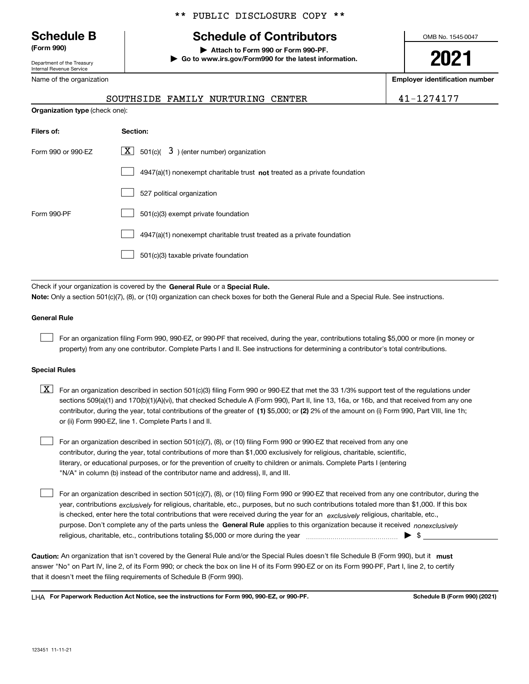**Organization** 

Department of the Treasury Internal Revenue Service

Name of the organization

#### \*\* PUBLIC DISCLOSURE COPY \*\*

# **Schedule B Schedule of Contributors**

**(Form 990) | Attach to Form 990 or Form 990-PF. | Go to www.irs.gov/Form990 for the latest information.** OMB No. 1545-0047

**2021**

**Employer identification number**

|                          |  | SOUTHSIDE FAMILY NURTURING CENTER |  |
|--------------------------|--|-----------------------------------|--|
| <b>type</b> (check one): |  |                                   |  |

41-1274177

| Filers of:         | Section:                                                                           |
|--------------------|------------------------------------------------------------------------------------|
| Form 990 or 990-EZ | $ \mathbf{X} $ 501(c)( 3) (enter number) organization                              |
|                    | $4947(a)(1)$ nonexempt charitable trust <b>not</b> treated as a private foundation |
|                    | 527 political organization                                                         |
| Form 990-PF        | 501(c)(3) exempt private foundation                                                |
|                    | 4947(a)(1) nonexempt charitable trust treated as a private foundation              |
|                    | 501(c)(3) taxable private foundation                                               |

Check if your organization is covered by the **General Rule** or a **Special Rule. Note:**  Only a section 501(c)(7), (8), or (10) organization can check boxes for both the General Rule and a Special Rule. See instructions.

#### **General Rule**

 $\mathcal{L}^{\text{max}}$ 

For an organization filing Form 990, 990-EZ, or 990-PF that received, during the year, contributions totaling \$5,000 or more (in money or property) from any one contributor. Complete Parts I and II. See instructions for determining a contributor's total contributions.

#### **Special Rules**

contributor, during the year, total contributions of the greater of (1**)** \$5,000; or (2) 2% of the amount on (i) Form 990, Part VIII, line 1h;  $\boxed{\textbf{X}}$  For an organization described in section 501(c)(3) filing Form 990 or 990-EZ that met the 33 1/3% support test of the regulations under sections 509(a)(1) and 170(b)(1)(A)(vi), that checked Schedule A (Form 990), Part II, line 13, 16a, or 16b, and that received from any one or (ii) Form 990-EZ, line 1. Complete Parts I and II.

For an organization described in section 501(c)(7), (8), or (10) filing Form 990 or 990-EZ that received from any one contributor, during the year, total contributions of more than \$1,000 exclusively for religious, charitable, scientific, literary, or educational purposes, or for the prevention of cruelty to children or animals. Complete Parts I (entering "N/A" in column (b) instead of the contributor name and address), II, and III.  $\mathcal{L}^{\text{max}}$ 

purpose. Don't complete any of the parts unless the **General Rule** applies to this organization because it received *nonexclusively* year, contributions <sub>exclusively</sub> for religious, charitable, etc., purposes, but no such contributions totaled more than \$1,000. If this box is checked, enter here the total contributions that were received during the year for an  $\;$ exclusively religious, charitable, etc., For an organization described in section 501(c)(7), (8), or (10) filing Form 990 or 990-EZ that received from any one contributor, during the religious, charitable, etc., contributions totaling \$5,000 or more during the year  $\Box$ — $\Box$   $\Box$  $\mathcal{L}^{\text{max}}$ 

Caution: An organization that isn't covered by the General Rule and/or the Special Rules doesn't file Schedule B (Form 990), but it **must** answer "No" on Part IV, line 2, of its Form 990; or check the box on line H of its Form 990-EZ or on its Form 990-PF, Part I, line 2, to certify that it doesn't meet the filing requirements of Schedule B (Form 990).

LHA For Paperwork Reduction Act Notice, see the instructions for Form 990, 990-EZ, or 990-PF. **In the act and Schedule B** (Form 990) (2021)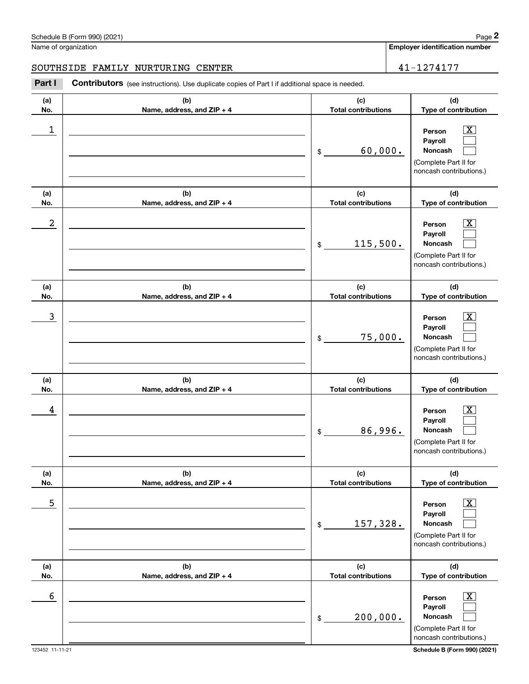noncash contributions.)

|            | Schedule B (Form 990) (2021)                                                                          |                                   | Page 2                                                                                                      |
|------------|-------------------------------------------------------------------------------------------------------|-----------------------------------|-------------------------------------------------------------------------------------------------------------|
|            | Name of organization                                                                                  |                                   | <b>Employer identification number</b>                                                                       |
|            | SOUTHSIDE FAMILY NURTURING CENTER                                                                     |                                   | 41-1274177                                                                                                  |
| Part I     | <b>Contributors</b> (see instructions). Use duplicate copies of Part I if additional space is needed. |                                   |                                                                                                             |
| (a)<br>No. | (b)<br>Name, address, and ZIP + 4                                                                     | (c)<br><b>Total contributions</b> | (d)<br>Type of contribution                                                                                 |
| 1          |                                                                                                       | 60,000.<br>\$                     | $\overline{\mathbf{X}}$<br>Person<br>Payroll<br>Noncash<br>(Complete Part II for<br>noncash contributions.) |
| (a)<br>No. | (b)<br>Name, address, and ZIP + 4                                                                     | (c)<br><b>Total contributions</b> | (d)<br>Type of contribution                                                                                 |
| 2          |                                                                                                       | 115,500.<br>\$                    | $\overline{\mathbf{X}}$<br>Person<br>Payroll<br>Noncash<br>(Complete Part II for<br>noncash contributions.) |
| (a)<br>No. | (b)<br>Name, address, and ZIP + 4                                                                     | (c)<br><b>Total contributions</b> | (d)<br>Type of contribution                                                                                 |
| 3          |                                                                                                       | 75,000.<br>\$                     | $\overline{\mathbf{X}}$<br>Person<br>Payroll<br>Noncash<br>(Complete Part II for<br>noncash contributions.) |
| (a)<br>No. | (b)<br>Name, address, and ZIP + 4                                                                     | (c)<br><b>Total contributions</b> | (d)<br>Type of contribution                                                                                 |
| 4          |                                                                                                       | 86,996.<br>\$                     | $\overline{\mathbf{X}}$<br>Person<br>Payroll<br>Noncash<br>(Complete Part II for<br>noncash contributions.) |
| (a)<br>No. | (b)<br>Name, address, and ZIP + 4                                                                     | (c)<br><b>Total contributions</b> | (d)<br>Type of contribution                                                                                 |
| 5          |                                                                                                       | 157,328.<br>\$                    | $\overline{\text{X}}$<br>Person<br>Payroll<br>Noncash<br>(Complete Part II for<br>noncash contributions.)   |
| (a)<br>No. | (b)<br>Name, address, and ZIP + 4                                                                     | (c)<br><b>Total contributions</b> | (d)<br>Type of contribution                                                                                 |
| 6          |                                                                                                       | 200,000.<br>\$                    | $\overline{\mathbf{X}}$<br>Person<br>Payroll<br>Noncash<br>(Complete Part II for                            |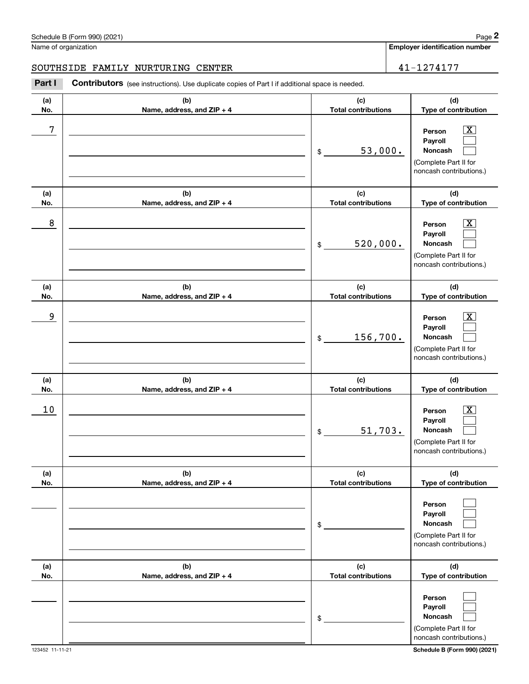| Schedule B (Form 990) (2021) |                                                                                                       |                     | Page 2                                |  |
|------------------------------|-------------------------------------------------------------------------------------------------------|---------------------|---------------------------------------|--|
|                              | Name of organization                                                                                  |                     | <b>Employer identification number</b> |  |
|                              | SOUTHSIDE FAMILY NURTURING CENTER                                                                     |                     | 41-1274177                            |  |
| Part I                       | <b>Contributors</b> (see instructions). Use duplicate copies of Part I if additional space is needed. |                     |                                       |  |
| (a)                          | (b)                                                                                                   | (c)                 | (d)                                   |  |
| Nο.                          | Name, address, and $ZIP + 4$                                                                          | Total contributions | Type of contribution                  |  |

| (a)<br>No. | (b)<br>Name, address, and ZIP + 4 | (c)<br><b>Total contributions</b> | (d)<br>Type of contribution                                                                                 |
|------------|-----------------------------------|-----------------------------------|-------------------------------------------------------------------------------------------------------------|
| 7          |                                   | 53,000.<br>\$                     | $\overline{\texttt{X}}$<br>Person<br>Payroll<br>Noncash<br>(Complete Part II for<br>noncash contributions.) |
| (a)<br>No. | (b)<br>Name, address, and ZIP + 4 | (c)<br><b>Total contributions</b> | (d)<br>Type of contribution                                                                                 |
| 8          |                                   | 520,000.<br>\$                    | $\overline{\text{X}}$<br>Person<br>Payroll<br>Noncash<br>(Complete Part II for<br>noncash contributions.)   |
| (a)<br>No. | (b)<br>Name, address, and ZIP + 4 | (c)<br><b>Total contributions</b> | (d)<br>Type of contribution                                                                                 |
| 9          |                                   | 156,700.<br>\$                    | $\overline{\text{X}}$<br>Person<br>Payroll<br>Noncash<br>(Complete Part II for<br>noncash contributions.)   |
| (a)<br>No. | (b)<br>Name, address, and ZIP + 4 | (c)<br><b>Total contributions</b> | (d)<br>Type of contribution                                                                                 |
| 10         |                                   | 51,703.<br>\$                     | $\overline{\text{X}}$<br>Person<br>Payroll<br>Noncash<br>(Complete Part II for<br>noncash contributions.)   |
| (a)<br>No. | (b)<br>Name, address, and ZIP + 4 | (c)<br><b>Total contributions</b> | (d)<br>Type of contribution                                                                                 |
|            |                                   | \$                                | Person<br>Payroll<br>Noncash<br>(Complete Part II for<br>noncash contributions.)                            |
| (a)<br>No. | (b)<br>Name, address, and ZIP + 4 | (c)<br><b>Total contributions</b> | (d)<br>Type of contribution                                                                                 |
|            |                                   | \$                                | Person<br>Payroll<br>Noncash<br>(Complete Part II for<br>noncash contributions.)                            |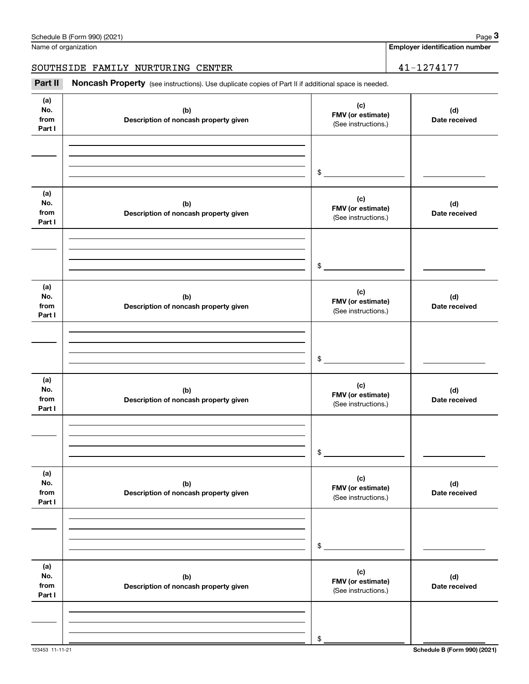Name of organization

### SOUTHSIDE FAMILY NURTURING CENTER | 41-1274177

(see instructions). Use duplicate copies of Part II if additional space is needed. Chedule B (Form 990) (2021)<br>Iame of organization<br>**3Part II Noncash Property** (see instructions). Use duplicate copies of Part II if additional space is needed.<br>**2Part II Noncash Property** (see instructions). Use duplic

| Part II                      | <b>NONCASH Property</b> (see instructions). Use duplicate copies of Part II if additional space is needed. |                                                 |                      |  |  |  |
|------------------------------|------------------------------------------------------------------------------------------------------------|-------------------------------------------------|----------------------|--|--|--|
| (a)<br>No.<br>from<br>Part I | (b)<br>Description of noncash property given                                                               | (c)<br>FMV (or estimate)<br>(See instructions.) | (d)<br>Date received |  |  |  |
|                              |                                                                                                            |                                                 |                      |  |  |  |
|                              |                                                                                                            | $\mathsf{\$}$ .                                 |                      |  |  |  |
| (a)<br>No.<br>from<br>Part I | (b)<br>Description of noncash property given                                                               | (c)<br>FMV (or estimate)<br>(See instructions.) | (d)<br>Date received |  |  |  |
|                              |                                                                                                            |                                                 |                      |  |  |  |
|                              |                                                                                                            | $$^{\circ}$                                     |                      |  |  |  |
| (a)<br>No.<br>from<br>Part I | (b)<br>Description of noncash property given                                                               | (c)<br>FMV (or estimate)<br>(See instructions.) | (d)<br>Date received |  |  |  |
|                              |                                                                                                            |                                                 |                      |  |  |  |
|                              |                                                                                                            | \$                                              |                      |  |  |  |
| (a)<br>No.<br>from<br>Part I | (b)<br>Description of noncash property given                                                               | (c)<br>FMV (or estimate)<br>(See instructions.) | (d)<br>Date received |  |  |  |
|                              |                                                                                                            |                                                 |                      |  |  |  |
|                              |                                                                                                            | \$                                              |                      |  |  |  |
| (a)<br>No.<br>from<br>Part I | (b)<br>Description of noncash property given                                                               | (c)<br>FMV (or estimate)<br>(See instructions.) | (d)<br>Date received |  |  |  |
|                              |                                                                                                            |                                                 |                      |  |  |  |
|                              |                                                                                                            | \$                                              |                      |  |  |  |
| (a)<br>No.<br>from<br>Part I | (b)<br>Description of noncash property given                                                               | (c)<br>FMV (or estimate)<br>(See instructions.) | (d)<br>Date received |  |  |  |
|                              |                                                                                                            |                                                 |                      |  |  |  |
|                              |                                                                                                            | \$                                              |                      |  |  |  |

**Employer identification number**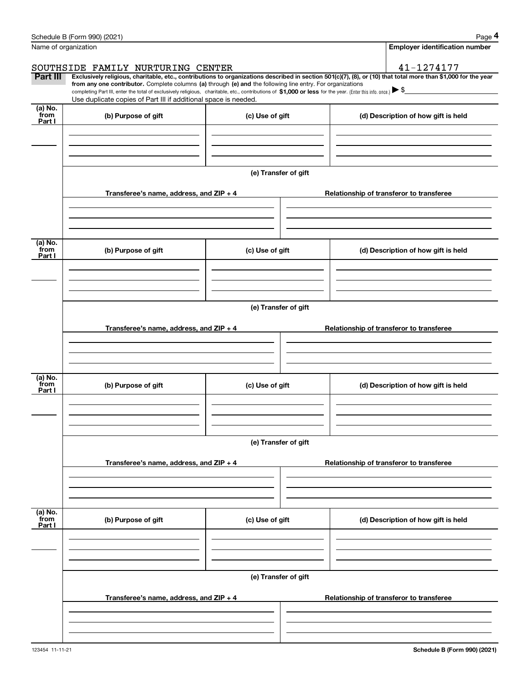|                           | Schedule B (Form 990) (2021)                                                                                                                                                                                                                                                                                                                                                                                                                                                                                                          |                      |  | Page 4                                   |  |  |  |
|---------------------------|---------------------------------------------------------------------------------------------------------------------------------------------------------------------------------------------------------------------------------------------------------------------------------------------------------------------------------------------------------------------------------------------------------------------------------------------------------------------------------------------------------------------------------------|----------------------|--|------------------------------------------|--|--|--|
|                           | Name of organization                                                                                                                                                                                                                                                                                                                                                                                                                                                                                                                  |                      |  | <b>Employer identification number</b>    |  |  |  |
|                           | SOUTHSIDE FAMILY NURTURING CENTER                                                                                                                                                                                                                                                                                                                                                                                                                                                                                                     |                      |  | 41-1274177                               |  |  |  |
| Part III                  | Exclusively religious, charitable, etc., contributions to organizations described in section 501(c)(7), (8), or (10) that total more than \$1,000 for the year<br>from any one contributor. Complete columns (a) through (e) and the following line entry. For organizations<br>completing Part III, enter the total of exclusively religious, charitable, etc., contributions of $$1,000$ or less for the year. (Enter this info. once.) $\blacktriangleright$ \$<br>Use duplicate copies of Part III if additional space is needed. |                      |  |                                          |  |  |  |
| (a) No.                   |                                                                                                                                                                                                                                                                                                                                                                                                                                                                                                                                       |                      |  |                                          |  |  |  |
| from<br>Part I            | (b) Purpose of gift                                                                                                                                                                                                                                                                                                                                                                                                                                                                                                                   | (c) Use of gift      |  | (d) Description of how gift is held      |  |  |  |
|                           |                                                                                                                                                                                                                                                                                                                                                                                                                                                                                                                                       | (e) Transfer of gift |  |                                          |  |  |  |
|                           | Transferee's name, address, and $ZIP + 4$                                                                                                                                                                                                                                                                                                                                                                                                                                                                                             |                      |  | Relationship of transferor to transferee |  |  |  |
|                           |                                                                                                                                                                                                                                                                                                                                                                                                                                                                                                                                       |                      |  |                                          |  |  |  |
| (a) No.<br>from<br>Part I | (b) Purpose of gift                                                                                                                                                                                                                                                                                                                                                                                                                                                                                                                   | (c) Use of gift      |  | (d) Description of how gift is held      |  |  |  |
|                           |                                                                                                                                                                                                                                                                                                                                                                                                                                                                                                                                       |                      |  |                                          |  |  |  |
|                           | (e) Transfer of gift                                                                                                                                                                                                                                                                                                                                                                                                                                                                                                                  |                      |  |                                          |  |  |  |
|                           | Transferee's name, address, and $ZIP + 4$                                                                                                                                                                                                                                                                                                                                                                                                                                                                                             |                      |  | Relationship of transferor to transferee |  |  |  |
|                           |                                                                                                                                                                                                                                                                                                                                                                                                                                                                                                                                       |                      |  |                                          |  |  |  |
| (a) No.<br>from<br>Part I | (b) Purpose of gift                                                                                                                                                                                                                                                                                                                                                                                                                                                                                                                   | (c) Use of gift      |  | (d) Description of how gift is held      |  |  |  |
|                           |                                                                                                                                                                                                                                                                                                                                                                                                                                                                                                                                       |                      |  |                                          |  |  |  |
|                           | (e) Transfer of gift                                                                                                                                                                                                                                                                                                                                                                                                                                                                                                                  |                      |  |                                          |  |  |  |
|                           | Transferee's name, address, and ZIP + 4                                                                                                                                                                                                                                                                                                                                                                                                                                                                                               |                      |  | Relationship of transferor to transferee |  |  |  |
|                           |                                                                                                                                                                                                                                                                                                                                                                                                                                                                                                                                       |                      |  |                                          |  |  |  |
| (a) No.<br>from<br>Part I | (b) Purpose of gift                                                                                                                                                                                                                                                                                                                                                                                                                                                                                                                   | (c) Use of gift      |  | (d) Description of how gift is held      |  |  |  |
|                           |                                                                                                                                                                                                                                                                                                                                                                                                                                                                                                                                       |                      |  |                                          |  |  |  |
|                           | Transferee's name, address, and ZIP + 4                                                                                                                                                                                                                                                                                                                                                                                                                                                                                               | (e) Transfer of gift |  | Relationship of transferor to transferee |  |  |  |
|                           |                                                                                                                                                                                                                                                                                                                                                                                                                                                                                                                                       |                      |  |                                          |  |  |  |
|                           |                                                                                                                                                                                                                                                                                                                                                                                                                                                                                                                                       |                      |  |                                          |  |  |  |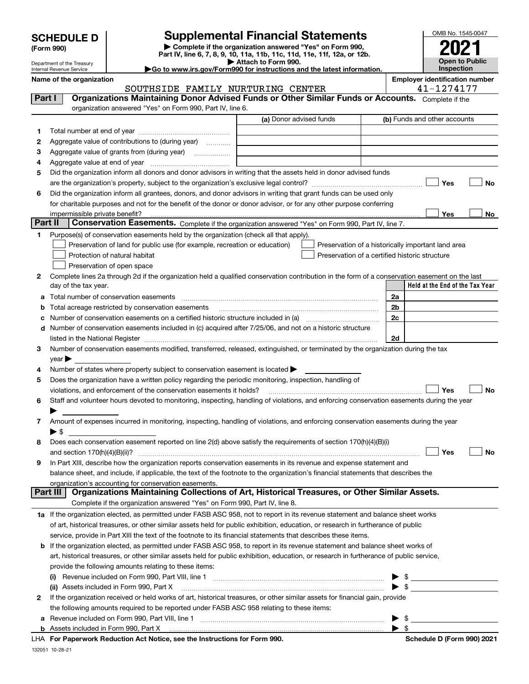|  | <b>SCHEDULE D</b> |  |  |  |
|--|-------------------|--|--|--|
|--|-------------------|--|--|--|

Department of the Treasury Internal Revenue Service

| (Form 990) |
|------------|
|            |

## **Supplemental Financial Statements**

**| Complete if the organization answered "Yes" on Form 990, Part IV, line 6, 7, 8, 9, 10, 11a, 11b, 11c, 11d, 11e, 11f, 12a, or 12b. | Attach to Form 990.**

OMB No. 1545-0047 **to Public Inspection2021**

|  |  |  | Go to www.irs.gov/Form990 for instructions and the latest information. |  |  |  |
|--|--|--|------------------------------------------------------------------------|--|--|--|
|  |  |  |                                                                        |  |  |  |

**Held at the End of the Tax Year Name of the organization Employer identification number** (a) Donor advised funds **123456Yes No Yes**<u>es \_\_\_\_\_\_\_\_ No</u> **123456789abcd2a2b2c2dYes No Yes No 1a** If the organization elected, as permitted under FASB ASC 958, not to report in its revenue statement and balance sheet works **2b** If the organization elected, as permitted under FASB ASC 958, to report in its revenue statement and balance sheet works of **(i)** Revenue included on Form 990, Part VIII, line 1 ~~~~~~~~~~~~~~~~~~~~~~~~~~~~ | \$ **(ii)** Assets included in Form 990, Part X ~~~~~~~~~~~~~~~~~~~~~~~~~~~~~~~~~ | \$ **a**Revenue included on Form 990, Part VIII, line 1 ~~~~~~~~~~~~~~~~~~~~~~~~~~~~~~**b**<code>Part I</code>  $|$   $|$  Organizations Maintaining Donor Advised Funds or Other Similar Funds or Accounts.  $\,$  <code>Complete</code> if the organization answered "Yes" on Form 990, Part IV, line 6. (b) Funds and other accounts Total number at end of year ~~~~~~~~~~~~~~~ Aggregate value of contributions to (during year)  $\quad \quad \ldots \ldots \ldots$ Aggregate value of grants from (during year) www.community Aggregate value at end of year ~~~~~~~~~~~~~ Did the organization inform all donors and donor advisors in writing that the assets held in donor advised funds are the organization's property, subject to the organization's exclusive legal control? ~~~~~~~~~~~~~~~~~~ Did the organization inform all grantees, donors, and donor advisors in writing that grant funds can be used only for charitable purposes and not for the benefit of the donor or donor advisor, or for any other purpose conferring impermissible private benefit? **Part II | Conservation Easements.** Complete if the organization answered "Yes" on Form 990, Part IV, line 7. Purpose(s) of conservation easements held by the organization (check all that apply). Preservation of land for public use (for example, recreation or education) **Protection of natural habitat Example 2014** Preservation of open space Preservation of a historically important land area Preservation of a certified historic structure Complete lines 2a through 2d if the organization held a qualified conservation contribution in the form of a conservation easement on the last day of the tax year. Total number of conservation easements ~~~~~~~~~~~~~~~~~~~~~~~~~~~~~~~~ Total acreage restricted by conservation easements Number of conservation easements on a certified historic structure included in (a) ~~~~~~~~~~~~ Number of conservation easements included in (c) acquired after 7/25/06, and not on a historic structure listed in the National Register ~~~~~~~~~~~~~~~~~~~~~~~~~~~~~~~~~~~~~~ Number of conservation easements modified, transferred, released, extinguished, or terminated by the organization during the tax  $year$ Number of states where property subject to conservation easement is located  $\blacktriangleright$ Does the organization have a written policy regarding the periodic monitoring, inspection, handling of violations, and enforcement of the conservation easements it holds? ~~~~~~~~~~~~~~~~~~~~~~~~~ Staff and volunteer hours devoted to monitoring, inspecting, handling of violations, and enforcing conservation easements during the year  $\blacktriangleright$ Amount of expenses incurred in monitoring, inspecting, handling of violations, and enforcing conservation easements during the year  $\blacktriangleright$  \$ Does each conservation easement reported on line 2(d) above satisfy the requirements of section 170(h)(4)(B)(i) and section 170(h)(4)(B)(ii)? ~~~~~~~~~~~~~~~~~~~~~~~~~~~~~~~~~~~~~~~~~~~~~~ In Part XIII, describe how the organization reports conservation easements in its revenue and expense statement and balance sheet, and include, if applicable, the text of the footnote to the organization's financial statements that describes the organization's accounting for conservation easements. Complete if the organization answered "Yes" on Form 990, Part IV, line 8. of art, historical treasures, or other similar assets held for public exhibition, education, or research in furtherance of public service, provide in Part XIII the text of the footnote to its financial statements that describes these items. art, historical treasures, or other similar assets held for public exhibition, education, or research in furtherance of public service, provide the following amounts relating to these items: If the organization received or held works of art, historical treasures, or other similar assets for financial gain, provide the following amounts required to be reported under FASB ASC 958 relating to these items: Assets included in Form 990, Part X  $\blacktriangleright$  \$  $\mathfrak{L}$ **Part III Organizations Maintaining Collections of Art, Historical Treasures, or Other Similar Assets.**  $\mathcal{L}^{\text{max}}$  $\mathcal{L}^{\text{max}}$  $\Box$  Yes  $\Box$  $\mathcal{L}^{\text{max}}$  $\mathcal{L}^{\text{max}}$  $\mathcal{L}^{\text{max}}$ SOUTHSIDE FAMILY NURTURING CENTER 41-1274177

**For Paperwork Reduction Act Notice, see the Instructions for Form 990. Schedule D (Form 990) 2021** LHA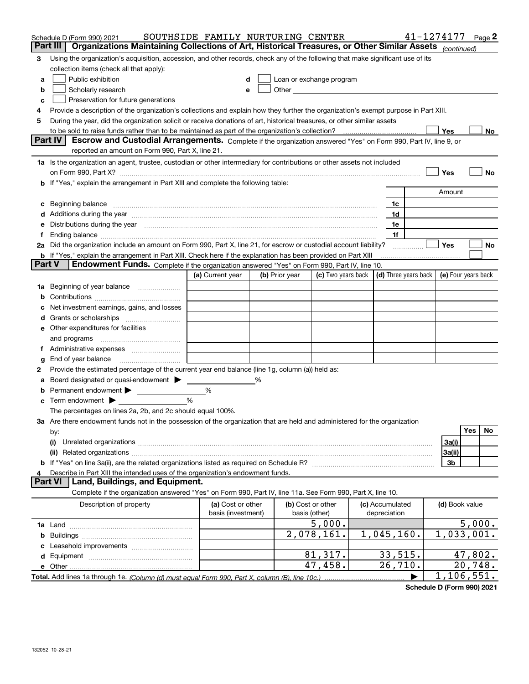|               | Schedule D (Form 990) 2021                                                                                                                                                                                                     | SOUTHSIDE FAMILY NURTURING CENTER |   |                |                                                                                                                                                                                                                               |                 |                                      | 41-1274177     | Page 2              |
|---------------|--------------------------------------------------------------------------------------------------------------------------------------------------------------------------------------------------------------------------------|-----------------------------------|---|----------------|-------------------------------------------------------------------------------------------------------------------------------------------------------------------------------------------------------------------------------|-----------------|--------------------------------------|----------------|---------------------|
| Part III      | Organizations Maintaining Collections of Art, Historical Treasures, or Other Similar Assets (continued)                                                                                                                        |                                   |   |                |                                                                                                                                                                                                                               |                 |                                      |                |                     |
| 3             | Using the organization's acquisition, accession, and other records, check any of the following that make significant use of its                                                                                                |                                   |   |                |                                                                                                                                                                                                                               |                 |                                      |                |                     |
|               | collection items (check all that apply):                                                                                                                                                                                       |                                   |   |                |                                                                                                                                                                                                                               |                 |                                      |                |                     |
| a             | Public exhibition                                                                                                                                                                                                              | d                                 |   |                | Loan or exchange program                                                                                                                                                                                                      |                 |                                      |                |                     |
| b             | Scholarly research                                                                                                                                                                                                             | е                                 |   |                | Other and the contract of the contract of the contract of the contract of the contract of the contract of the contract of the contract of the contract of the contract of the contract of the contract of the contract of the |                 |                                      |                |                     |
| c             | Preservation for future generations                                                                                                                                                                                            |                                   |   |                |                                                                                                                                                                                                                               |                 |                                      |                |                     |
| 4             | Provide a description of the organization's collections and explain how they further the organization's exempt purpose in Part XIII.                                                                                           |                                   |   |                |                                                                                                                                                                                                                               |                 |                                      |                |                     |
| 5             | During the year, did the organization solicit or receive donations of art, historical treasures, or other similar assets                                                                                                       |                                   |   |                |                                                                                                                                                                                                                               |                 |                                      |                |                     |
|               |                                                                                                                                                                                                                                |                                   |   |                |                                                                                                                                                                                                                               |                 |                                      | Yes            | No                  |
|               | Part IV<br>Escrow and Custodial Arrangements. Complete if the organization answered "Yes" on Form 990, Part IV, line 9, or                                                                                                     |                                   |   |                |                                                                                                                                                                                                                               |                 |                                      |                |                     |
|               | reported an amount on Form 990, Part X, line 21.                                                                                                                                                                               |                                   |   |                |                                                                                                                                                                                                                               |                 |                                      |                |                     |
|               | 1a Is the organization an agent, trustee, custodian or other intermediary for contributions or other assets not included                                                                                                       |                                   |   |                |                                                                                                                                                                                                                               |                 |                                      |                |                     |
|               | on Form 990, Part X? [11] matter contracts and contracts and contracts are contracted as a function of the set of the set of the set of the set of the set of the set of the set of the set of the set of the set of the set o |                                   |   |                |                                                                                                                                                                                                                               |                 |                                      | Yes            | No                  |
|               | b If "Yes," explain the arrangement in Part XIII and complete the following table:                                                                                                                                             |                                   |   |                |                                                                                                                                                                                                                               |                 |                                      |                |                     |
|               |                                                                                                                                                                                                                                |                                   |   |                |                                                                                                                                                                                                                               |                 |                                      | Amount         |                     |
|               | c Beginning balance measurements and the contract of the contract of the contract of the contract of the contract of the contract of the contract of the contract of the contract of the contract of the contract of the contr |                                   |   |                |                                                                                                                                                                                                                               | 1c              |                                      |                |                     |
|               | Additions during the year manufactured and an according to the year manufactured and according the year manufactured and according the year manufactured and according the year manufactured and according the year manufactur |                                   |   |                |                                                                                                                                                                                                                               | 1d              |                                      |                |                     |
|               | Distributions during the year measurements are all the set of the set of the set of the set of the set of the set of the set of the set of the set of the set of the set of the set of the set of the set of the set of the se |                                   |   |                |                                                                                                                                                                                                                               | 1e              |                                      |                |                     |
|               |                                                                                                                                                                                                                                |                                   |   |                |                                                                                                                                                                                                                               | 1f              |                                      |                |                     |
|               | 2a Did the organization include an amount on Form 990, Part X, line 21, for escrow or custodial account liability?                                                                                                             |                                   |   |                |                                                                                                                                                                                                                               |                 |                                      | Yes            | No                  |
|               | <b>b</b> If "Yes," explain the arrangement in Part XIII. Check here if the explanation has been provided on Part XIII                                                                                                          |                                   |   |                |                                                                                                                                                                                                                               |                 |                                      |                |                     |
| <b>Part V</b> | <b>Endowment Funds.</b> Complete if the organization answered "Yes" on Form 990, Part IV, line 10.                                                                                                                             |                                   |   |                |                                                                                                                                                                                                                               |                 |                                      |                |                     |
|               |                                                                                                                                                                                                                                | (a) Current year                  |   | (b) Prior year | (c) Two years back                                                                                                                                                                                                            |                 | $\vert$ (d) Three years back $\vert$ |                | (e) Four years back |
| 1a            | Beginning of year balance                                                                                                                                                                                                      |                                   |   |                |                                                                                                                                                                                                                               |                 |                                      |                |                     |
| b             |                                                                                                                                                                                                                                |                                   |   |                |                                                                                                                                                                                                                               |                 |                                      |                |                     |
|               | Net investment earnings, gains, and losses                                                                                                                                                                                     |                                   |   |                |                                                                                                                                                                                                                               |                 |                                      |                |                     |
| d             |                                                                                                                                                                                                                                |                                   |   |                |                                                                                                                                                                                                                               |                 |                                      |                |                     |
|               | e Other expenditures for facilities                                                                                                                                                                                            |                                   |   |                |                                                                                                                                                                                                                               |                 |                                      |                |                     |
|               | and programs                                                                                                                                                                                                                   |                                   |   |                |                                                                                                                                                                                                                               |                 |                                      |                |                     |
|               |                                                                                                                                                                                                                                |                                   |   |                |                                                                                                                                                                                                                               |                 |                                      |                |                     |
| g             | End of year balance                                                                                                                                                                                                            |                                   |   |                |                                                                                                                                                                                                                               |                 |                                      |                |                     |
| 2             | Provide the estimated percentage of the current year end balance (line 1g, column (a)) held as:                                                                                                                                |                                   |   |                |                                                                                                                                                                                                                               |                 |                                      |                |                     |
| а             | Board designated or quasi-endowment                                                                                                                                                                                            |                                   | % |                |                                                                                                                                                                                                                               |                 |                                      |                |                     |
| b             | Permanent endowment                                                                                                                                                                                                            | $\%$                              |   |                |                                                                                                                                                                                                                               |                 |                                      |                |                     |
|               | <b>c</b> Term endowment $\blacktriangleright$                                                                                                                                                                                  | %                                 |   |                |                                                                                                                                                                                                                               |                 |                                      |                |                     |
|               | The percentages on lines 2a, 2b, and 2c should equal 100%.                                                                                                                                                                     |                                   |   |                |                                                                                                                                                                                                                               |                 |                                      |                |                     |
|               | 3a Are there endowment funds not in the possession of the organization that are held and administered for the organization                                                                                                     |                                   |   |                |                                                                                                                                                                                                                               |                 |                                      |                |                     |
|               | by:                                                                                                                                                                                                                            |                                   |   |                |                                                                                                                                                                                                                               |                 |                                      |                | <b>Yes</b><br>No    |
|               | (i)                                                                                                                                                                                                                            |                                   |   |                |                                                                                                                                                                                                                               |                 |                                      | 3a(i)          |                     |
|               | (ii)                                                                                                                                                                                                                           |                                   |   |                |                                                                                                                                                                                                                               |                 |                                      | 3a(ii)         |                     |
|               |                                                                                                                                                                                                                                |                                   |   |                |                                                                                                                                                                                                                               |                 |                                      | 3b             |                     |
|               | Describe in Part XIII the intended uses of the organization's endowment funds.<br><b>Part VI</b>                                                                                                                               |                                   |   |                |                                                                                                                                                                                                                               |                 |                                      |                |                     |
|               | Land, Buildings, and Equipment.<br>Complete if the organization answered "Yes" on Form 990, Part IV, line 11a. See Form 990, Part X, line 10.                                                                                  |                                   |   |                |                                                                                                                                                                                                                               |                 |                                      |                |                     |
|               |                                                                                                                                                                                                                                |                                   |   |                |                                                                                                                                                                                                                               |                 |                                      |                |                     |
|               | Description of property                                                                                                                                                                                                        | (a) Cost or other                 |   |                | (b) Cost or other                                                                                                                                                                                                             | (c) Accumulated |                                      | (d) Book value |                     |
|               |                                                                                                                                                                                                                                | basis (investment)                |   |                | basis (other)                                                                                                                                                                                                                 | depreciation    |                                      |                |                     |
|               |                                                                                                                                                                                                                                |                                   |   |                | 5,000.                                                                                                                                                                                                                        |                 |                                      |                | 5,000.              |
|               |                                                                                                                                                                                                                                |                                   |   |                | 2,078,161.                                                                                                                                                                                                                    | 1,045,160.      |                                      | 1,033,001.     |                     |
|               |                                                                                                                                                                                                                                |                                   |   |                |                                                                                                                                                                                                                               | 33,515.         |                                      |                | 47,802.             |
|               |                                                                                                                                                                                                                                |                                   |   |                | 81,317.<br>47,458.                                                                                                                                                                                                            | 26,710.         |                                      |                | 20,748.             |
|               |                                                                                                                                                                                                                                |                                   |   |                |                                                                                                                                                                                                                               |                 |                                      | 1, 106, 551.   |                     |
|               |                                                                                                                                                                                                                                |                                   |   |                |                                                                                                                                                                                                                               |                 |                                      |                |                     |

**Schedule D (Form 990) 2021**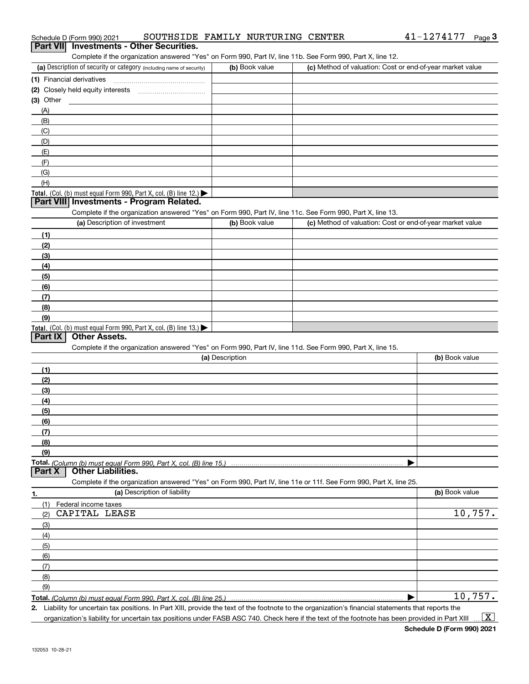| Schedule D (Form 990) 2021                                                                                        | SOUTHSIDE FAMILY NURTURING CENTER |                                                           | 41-1274177<br>$Page$ <sup>3</sup> |
|-------------------------------------------------------------------------------------------------------------------|-----------------------------------|-----------------------------------------------------------|-----------------------------------|
| <b>Investments - Other Securities.</b><br>Part VII                                                                |                                   |                                                           |                                   |
| Complete if the organization answered "Yes" on Form 990, Part IV, line 11b. See Form 990, Part X, line 12.        |                                   |                                                           |                                   |
| (a) Description of security or category (including name of security)                                              | (b) Book value                    | (c) Method of valuation: Cost or end-of-year market value |                                   |
|                                                                                                                   |                                   |                                                           |                                   |
| (2) Closely held equity interests                                                                                 |                                   |                                                           |                                   |
| (3) Other                                                                                                         |                                   |                                                           |                                   |
| (A)                                                                                                               |                                   |                                                           |                                   |
| (B)                                                                                                               |                                   |                                                           |                                   |
| (C)                                                                                                               |                                   |                                                           |                                   |
| (D)                                                                                                               |                                   |                                                           |                                   |
| (E)                                                                                                               |                                   |                                                           |                                   |
| (F)                                                                                                               |                                   |                                                           |                                   |
| (G)<br>(H)                                                                                                        |                                   |                                                           |                                   |
| Total. (Col. (b) must equal Form 990, Part X, col. (B) line 12.)                                                  |                                   |                                                           |                                   |
| Part VIII Investments - Program Related.                                                                          |                                   |                                                           |                                   |
| Complete if the organization answered "Yes" on Form 990, Part IV, line 11c. See Form 990, Part X, line 13.        |                                   |                                                           |                                   |
| (a) Description of investment                                                                                     | (b) Book value                    | (c) Method of valuation: Cost or end-of-year market value |                                   |
| (1)                                                                                                               |                                   |                                                           |                                   |
| (2)                                                                                                               |                                   |                                                           |                                   |
| (3)                                                                                                               |                                   |                                                           |                                   |
| (4)                                                                                                               |                                   |                                                           |                                   |
| (5)                                                                                                               |                                   |                                                           |                                   |
| (6)                                                                                                               |                                   |                                                           |                                   |
| (7)                                                                                                               |                                   |                                                           |                                   |
| (8)                                                                                                               |                                   |                                                           |                                   |
| (9)                                                                                                               |                                   |                                                           |                                   |
| Total. (Col. (b) must equal Form 990, Part X, col. (B) line 13.)                                                  |                                   |                                                           |                                   |
| Other Assets.<br>Part IX                                                                                          |                                   |                                                           |                                   |
| Complete if the organization answered "Yes" on Form 990, Part IV, line 11d. See Form 990, Part X, line 15.        |                                   |                                                           |                                   |
|                                                                                                                   | (a) Description                   |                                                           | (b) Book value                    |
| (1)                                                                                                               |                                   |                                                           |                                   |
| (2)                                                                                                               |                                   |                                                           |                                   |
| (3)                                                                                                               |                                   |                                                           |                                   |
| (4)                                                                                                               |                                   |                                                           |                                   |
| (5)                                                                                                               |                                   |                                                           |                                   |
| (6)                                                                                                               |                                   |                                                           |                                   |
| (7)                                                                                                               |                                   |                                                           |                                   |
| (8)                                                                                                               |                                   |                                                           |                                   |
| (9)                                                                                                               |                                   |                                                           |                                   |
|                                                                                                                   |                                   |                                                           |                                   |
| <b>Other Liabilities.</b><br>Part X                                                                               |                                   |                                                           |                                   |
| Complete if the organization answered "Yes" on Form 990, Part IV, line 11e or 11f. See Form 990, Part X, line 25. |                                   |                                                           |                                   |
| (a) Description of liability<br>1.                                                                                |                                   |                                                           | (b) Book value                    |
| (1)<br>Federal income taxes                                                                                       |                                   |                                                           |                                   |
| CAPITAL LEASE<br>(2)                                                                                              |                                   |                                                           | 10,757.                           |
| (3)                                                                                                               |                                   |                                                           |                                   |
| (4)                                                                                                               |                                   |                                                           |                                   |
| (5)                                                                                                               |                                   |                                                           |                                   |
| (6)                                                                                                               |                                   |                                                           |                                   |
| (7)                                                                                                               |                                   |                                                           |                                   |
| (8)                                                                                                               |                                   |                                                           |                                   |
| (9)                                                                                                               |                                   |                                                           |                                   |
| Total. (Column (b) must equal Form 990. Part X. col. (B) line 25.)                                                |                                   |                                                           | 10,757.                           |

**2.** Liability for uncertain tax positions. In Part XIII, provide the text of the footnote to the organization's financial statements that reports the organization's liability for uncertain tax positions under FASB ASC 740. Check here if the text of the footnote has been provided in Part XIII  $\vert$  X  $\vert$ 

41-1274177 Page 3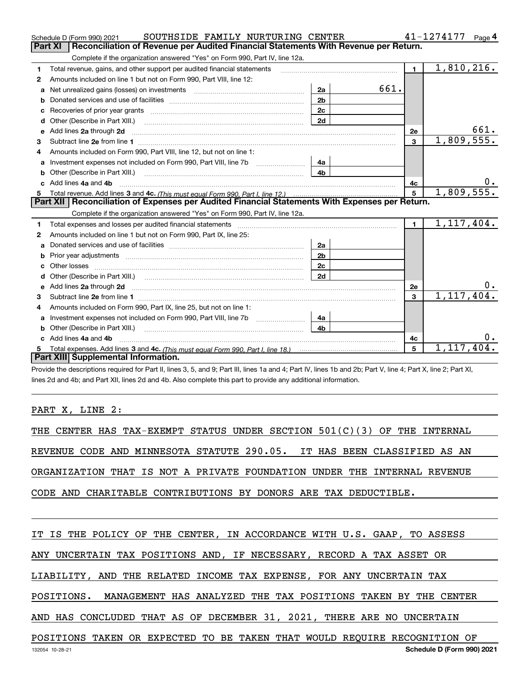|    | SOUTHSIDE FAMILY NURTURING CENTER<br>Schedule D (Form 990) 2021                                                                                                                                                                     |                |      |                | 41-1274177              | Page $4$  |
|----|-------------------------------------------------------------------------------------------------------------------------------------------------------------------------------------------------------------------------------------|----------------|------|----------------|-------------------------|-----------|
|    | <b>Part XI</b><br>Reconciliation of Revenue per Audited Financial Statements With Revenue per Return.                                                                                                                               |                |      |                |                         |           |
|    | Complete if the organization answered "Yes" on Form 990, Part IV, line 12a.                                                                                                                                                         |                |      |                |                         |           |
| 1  | Total revenue, gains, and other support per audited financial statements                                                                                                                                                            |                |      | $\blacksquare$ | $\overline{1,810},216.$ |           |
| 2  | Amounts included on line 1 but not on Form 990, Part VIII, line 12:                                                                                                                                                                 |                |      |                |                         |           |
| a  | Net unrealized gains (losses) on investments [11] matter contracts and the unrealized gains (losses) on investments                                                                                                                 | 2a             | 661. |                |                         |           |
|    |                                                                                                                                                                                                                                     | 2 <sub>b</sub> |      |                |                         |           |
| с  |                                                                                                                                                                                                                                     | 2c             |      |                |                         |           |
| d  |                                                                                                                                                                                                                                     | 2d             |      |                |                         |           |
| е  | Add lines 2a through 2d                                                                                                                                                                                                             |                |      | 2е             |                         | 661.      |
| З. |                                                                                                                                                                                                                                     |                |      | $\overline{3}$ | 1,809,555.              |           |
| 4  | Amounts included on Form 990, Part VIII, line 12, but not on line 1:                                                                                                                                                                |                |      |                |                         |           |
|    |                                                                                                                                                                                                                                     | 4a             |      |                |                         |           |
| b  | Other (Describe in Part XIII.) <b>2006</b> 2007 2010 2010 2010 2010 2011 2012 2013 2014 2015 2016 2017 2018 2019 2016 2016 2017 2018 2019 2016 2017 2018 2019 2016 2017 2018 2019 2018 2019 2016 2017 2018 2019 2019 2018 2019 2018 | 4 <sub>b</sub> |      |                |                         |           |
|    | Add lines 4a and 4b                                                                                                                                                                                                                 |                |      | 4с             |                         | $0 \cdot$ |
|    |                                                                                                                                                                                                                                     |                |      |                |                         |           |
| 5. |                                                                                                                                                                                                                                     |                |      | 5              | 1,809,555.              |           |
|    | Part XII   Reconciliation of Expenses per Audited Financial Statements With Expenses per Return.                                                                                                                                    |                |      |                |                         |           |
|    | Complete if the organization answered "Yes" on Form 990, Part IV, line 12a.                                                                                                                                                         |                |      |                |                         |           |
| 1  | Total expenses and losses per audited financial statements [111] [12] contraction controller and contract the statements [12] [12] and contract the statements [12] and contract the statement of the statement of the stateme      |                |      | $\blacksquare$ | 1,117,404.              |           |
| 2  | Amounts included on line 1 but not on Form 990, Part IX, line 25:                                                                                                                                                                   |                |      |                |                         |           |
| a  |                                                                                                                                                                                                                                     | 2a             |      |                |                         |           |
| b  |                                                                                                                                                                                                                                     | 2 <sub>b</sub> |      |                |                         |           |
| c  |                                                                                                                                                                                                                                     | 2c             |      |                |                         |           |
|    |                                                                                                                                                                                                                                     | 2d             |      |                |                         |           |
| е  |                                                                                                                                                                                                                                     |                |      | 2e             |                         | О.        |
| З. | Add lines 2a through 2d <b>contained a contained a contained a contained a</b> contained a contained a contained a contained a contained a contained a contained a contained a contained a contained a contained a contained a cont |                |      | 3              | 1, 117, 404.            |           |
| 4  | Amounts included on Form 990, Part IX, line 25, but not on line 1:                                                                                                                                                                  |                |      |                |                         |           |
| a  |                                                                                                                                                                                                                                     | 4a             |      |                |                         |           |
|    |                                                                                                                                                                                                                                     | 4b             |      |                |                         |           |
|    | Add lines 4a and 4b                                                                                                                                                                                                                 |                |      | 4c             |                         | 0.        |
|    | Part XIII Supplemental Information.                                                                                                                                                                                                 |                |      | 5              | 1,117,404.              |           |

Provide the descriptions required for Part II, lines 3, 5, and 9; Part III, lines 1a and 4; Part IV, lines 1b and 2b; Part V, line 4; Part X, line 2; Part XI, lines 2d and 4b; and Part XII, lines 2d and 4b. Also complete this part to provide any additional information.

PART X, LINE 2:

THE CENTER HAS TAX-EXEMPT STATUS UNDER SECTION 501(C)(3) OF THE INTERNAL REVENUE CODE AND MINNESOTA STATUTE 290.05. IT HAS BEEN CLASSIFIED AS AN ORGANIZATION THAT IS NOT A PRIVATE FOUNDATION UNDER THE INTERNAL REVENUE CODE AND CHARITABLE CONTRIBUTIONS BY DONORS ARE TAX DEDUCTIBLE.

IT IS THE POLICY OF THE CENTER, IN ACCORDANCE WITH U.S. GAAP, TO ASSESS

ANY UNCERTAIN TAX POSITIONS AND, IF NECESSARY, RECORD A TAX ASSET OR

LIABILITY, AND THE RELATED INCOME TAX EXPENSE, FOR ANY UNCERTAIN TAX

POSITIONS. MANAGEMENT HAS ANALYZED THE TAX POSITIONS TAKEN BY THE CENTER

AND HAS CONCLUDED THAT AS OF DECEMBER 31, 2021, THERE ARE NO UNCERTAIN

POSITIONS TAKEN OR EXPECTED TO BE TAKEN THAT WOULD REQUIRE RECOGNITION OF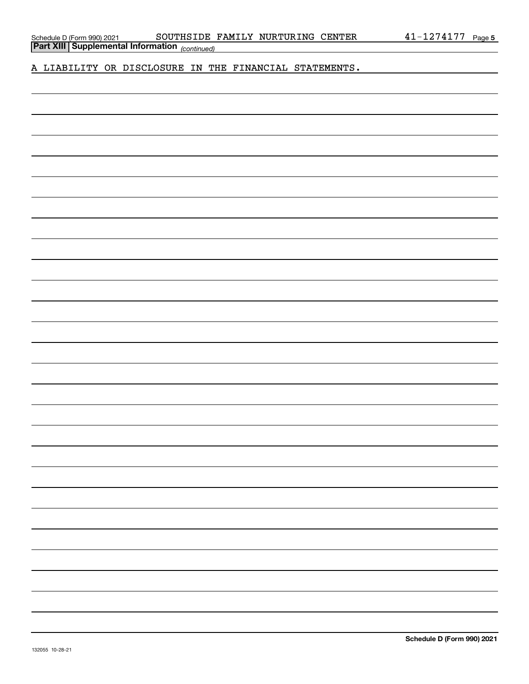Schedule D (Form 990) 2021 SOUTHSIDE FAMILY NURTURING CENTER 4 $1\text{--}1274177$  Page

*(continued)* **Part XIII Supplemental Information** 

A LIABILITY OR DISCLOSURE IN THE FINANCIAL STATEMENTS.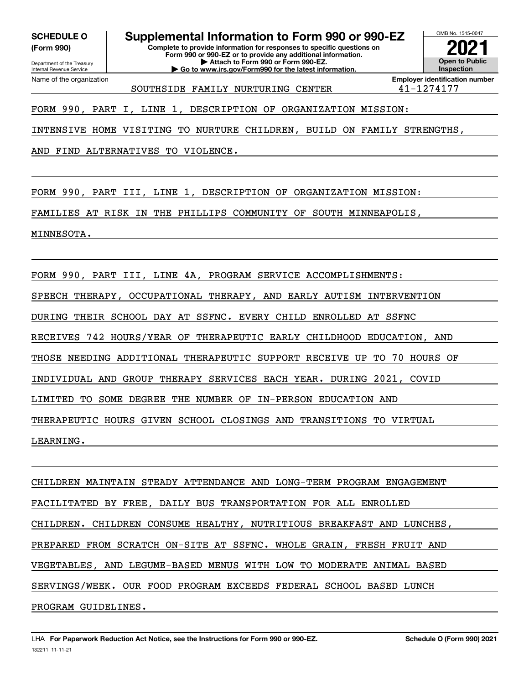**(Form 990)**

Department of the Treasury Internal Revenue Service

Name of the organization

## **SCHEDULE O Supplemental Information to Form 990 or 990-EZ**

**Complete to provide information for responses to specific questions on Form 990 or 990-EZ or to provide any additional information. | Attach to Form 990 or Form 990-EZ. | Go to www.irs.gov/Form990 for the latest information.**



SOUTHSIDE FAMILY NURTURING CENTER 41-1274177

**Employer identification number**

FORM 990, PART I, LINE 1, DESCRIPTION OF ORGANIZATION MISSION:

INTENSIVE HOME VISITING TO NURTURE CHILDREN, BUILD ON FAMILY STRENGTHS,

AND FIND ALTERNATIVES TO VIOLENCE.

FORM 990, PART III, LINE 1, DESCRIPTION OF ORGANIZATION MISSION:

FAMILIES AT RISK IN THE PHILLIPS COMMUNITY OF SOUTH MINNEAPOLIS,

MINNESOTA.

FORM 990, PART III, LINE 4A, PROGRAM SERVICE ACCOMPLISHMENTS:

SPEECH THERAPY, OCCUPATIONAL THERAPY, AND EARLY AUTISM INTERVENTION

DURING THEIR SCHOOL DAY AT SSFNC. EVERY CHILD ENROLLED AT SSFNC

RECEIVES 742 HOURS/YEAR OF THERAPEUTIC EARLY CHILDHOOD EDUCATION, AND

THOSE NEEDING ADDITIONAL THERAPEUTIC SUPPORT RECEIVE UP TO 70 HOURS OF

INDIVIDUAL AND GROUP THERAPY SERVICES EACH YEAR. DURING 2021, COVID

LIMITED TO SOME DEGREE THE NUMBER OF IN-PERSON EDUCATION AND

THERAPEUTIC HOURS GIVEN SCHOOL CLOSINGS AND TRANSITIONS TO VIRTUAL

LEARNING.

CHILDREN MAINTAIN STEADY ATTENDANCE AND LONG-TERM PROGRAM ENGAGEMENT FACILITATED BY FREE, DAILY BUS TRANSPORTATION FOR ALL ENROLLED CHILDREN. CHILDREN CONSUME HEALTHY, NUTRITIOUS BREAKFAST AND LUNCHES, PREPARED FROM SCRATCH ON-SITE AT SSFNC. WHOLE GRAIN, FRESH FRUIT AND VEGETABLES, AND LEGUME-BASED MENUS WITH LOW TO MODERATE ANIMAL BASED SERVINGS/WEEK. OUR FOOD PROGRAM EXCEEDS FEDERAL SCHOOL BASED LUNCH PROGRAM GUIDELINES.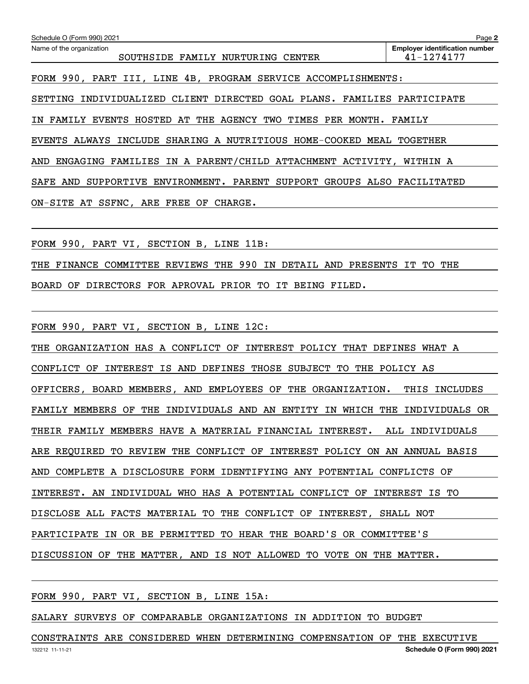| Schedule O (Form 990) 2021                                                       | Page 2                                              |
|----------------------------------------------------------------------------------|-----------------------------------------------------|
| Name of the organization<br>FAMILY NURTURING CENTER<br>SOUTHSIDE                 | <b>Employer identification number</b><br>41-1274177 |
| FORM 990, PART III, LINE 4B, PROGRAM SERVICE ACCOMPLISHMENTS:                    |                                                     |
| INDIVIDUALIZED CLIENT DIRECTED GOAL PLANS. FAMILIES PARTICIPATE<br>SETTING       |                                                     |
| EVENTS HOSTED AT THE AGENCY TWO TIMES PER MONTH.<br>FAMILY<br>ΤN                 | FAMILY                                              |
| EVENTS ALWAYS INCLUDE SHARING A NUTRITIOUS HOME-COOKED MEAL TOGETHER             |                                                     |
| ENGAGING FAMILIES IN A PARENT/CHILD ATTACHMENT ACTIVITY,<br>AND                  | WITHIN A                                            |
| ENVIRONMENT. PARENT SUPPORT GROUPS ALSO FACILITATED<br>AND<br>SAFE<br>SUPPORTIVE |                                                     |
| ON-SITE AT SSFNC, ARE FREE OF CHARGE.                                            |                                                     |
|                                                                                  |                                                     |

FORM 990, PART VI, SECTION B, LINE 11B:

THE FINANCE COMMITTEE REVIEWS THE 990 IN DETAIL AND PRESENTS IT TO THE

BOARD OF DIRECTORS FOR APROVAL PRIOR TO IT BEING FILED.

FORM 990, PART VI, SECTION B, LINE 12C:

THE ORGANIZATION HAS A CONFLICT OF INTEREST POLICY THAT DEFINES WHAT A CONFLICT OF INTEREST IS AND DEFINES THOSE SUBJECT TO THE POLICY AS OFFICERS, BOARD MEMBERS, AND EMPLOYEES OF THE ORGANIZATION. THIS INCLUDES FAMILY MEMBERS OF THE INDIVIDUALS AND AN ENTITY IN WHICH THE INDIVIDUALS OR THEIR FAMILY MEMBERS HAVE A MATERIAL FINANCIAL INTEREST. ALL INDIVIDUALS ARE REQUIRED TO REVIEW THE CONFLICT OF INTEREST POLICY ON AN ANNUAL BASIS AND COMPLETE A DISCLOSURE FORM IDENTIFYING ANY POTENTIAL CONFLICTS OF INTEREST. AN INDIVIDUAL WHO HAS A POTENTIAL CONFLICT OF INTEREST IS TO DISCLOSE ALL FACTS MATERIAL TO THE CONFLICT OF INTEREST, SHALL NOT PARTICIPATE IN OR BE PERMITTED TO HEAR THE BOARD'S OR COMMITTEE'S DISCUSSION OF THE MATTER, AND IS NOT ALLOWED TO VOTE ON THE MATTER.

FORM 990, PART VI, SECTION B, LINE 15A:

SALARY SURVEYS OF COMPARABLE ORGANIZATIONS IN ADDITION TO BUDGET

132212 11-11-21 **Schedule O (Form 990) 2021** CONSTRAINTS ARE CONSIDERED WHEN DETERMINING COMPENSATION OF THE EXECUTIVE